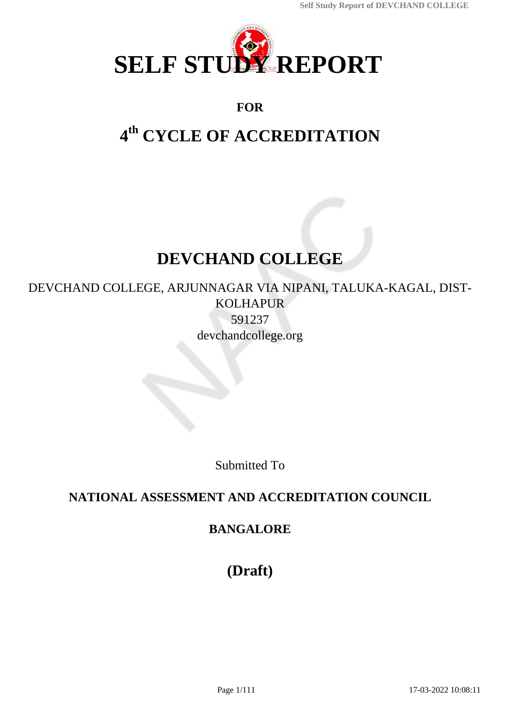

# **FOR**

# **4 th CYCLE OF ACCREDITATION**

# **DEVCHAND COLLEGE**

DEVCHAND COLLEGE, ARJUNNAGAR VIA NIPANI, TALUKA-KAGAL, DIST-KOLHAPUR 591237 devchandcollege.org

Submitted To

# **NATIONAL ASSESSMENT AND ACCREDITATION COUNCIL**

# **BANGALORE**

**(Draft)**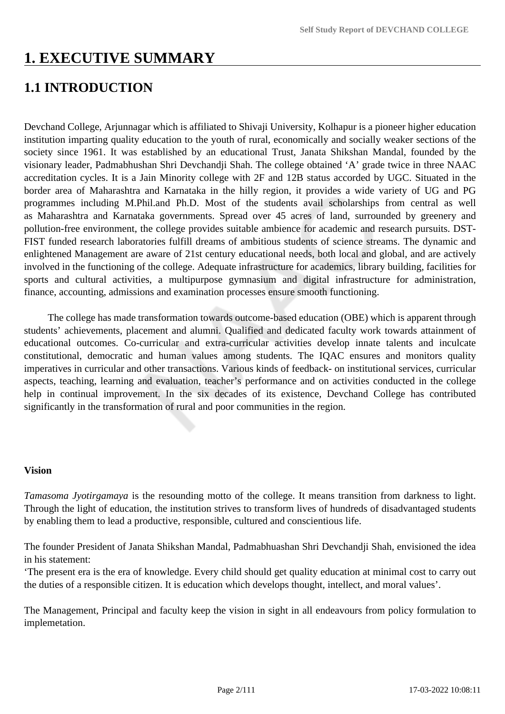# **1. EXECUTIVE SUMMARY**

# **1.1 INTRODUCTION**

Devchand College, Arjunnagar which is affiliated to Shivaji University, Kolhapur is a pioneer higher education institution imparting quality education to the youth of rural, economically and socially weaker sections of the society since 1961. It was established by an educational Trust, Janata Shikshan Mandal, founded by the visionary leader, Padmabhushan Shri Devchandji Shah. The college obtained 'A' grade twice in three NAAC accreditation cycles. It is a Jain Minority college with 2F and 12B status accorded by UGC. Situated in the border area of Maharashtra and Karnataka in the hilly region, it provides a wide variety of UG and PG programmes including M.Phil.and Ph.D. Most of the students avail scholarships from central as well as Maharashtra and Karnataka governments. Spread over 45 acres of land, surrounded by greenery and pollution-free environment, the college provides suitable ambience for academic and research pursuits. DST-FIST funded research laboratories fulfill dreams of ambitious students of science streams. The dynamic and enlightened Management are aware of 21st century educational needs, both local and global, and are actively involved in the functioning of the college. Adequate infrastructure for academics, library building, facilities for sports and cultural activities, a multipurpose gymnasium and digital infrastructure for administration, finance, accounting, admissions and examination processes ensure smooth functioning.

 The college has made transformation towards outcome-based education (OBE) which is apparent through students' achievements, placement and alumni. Qualified and dedicated faculty work towards attainment of educational outcomes. Co-curricular and extra-curricular activities develop innate talents and inculcate constitutional, democratic and human values among students. The IQAC ensures and monitors quality imperatives in curricular and other transactions. Various kinds of feedback- on institutional services, curricular aspects, teaching, learning and evaluation, teacher's performance and on activities conducted in the college help in continual improvement. In the six decades of its existence, Devchand College has contributed significantly in the transformation of rural and poor communities in the region.

#### **Vision**

*Tamasoma Jyotirgamaya* is the resounding motto of the college. It means transition from darkness to light. Through the light of education, the institution strives to transform lives of hundreds of disadvantaged students by enabling them to lead a productive, responsible, cultured and conscientious life.

The founder President of Janata Shikshan Mandal, Padmabhuashan Shri Devchandji Shah, envisioned the idea in his statement:

'The present era is the era of knowledge. Every child should get quality education at minimal cost to carry out the duties of a responsible citizen. It is education which develops thought, intellect, and moral values'.

The Management, Principal and faculty keep the vision in sight in all endeavours from policy formulation to implemetation.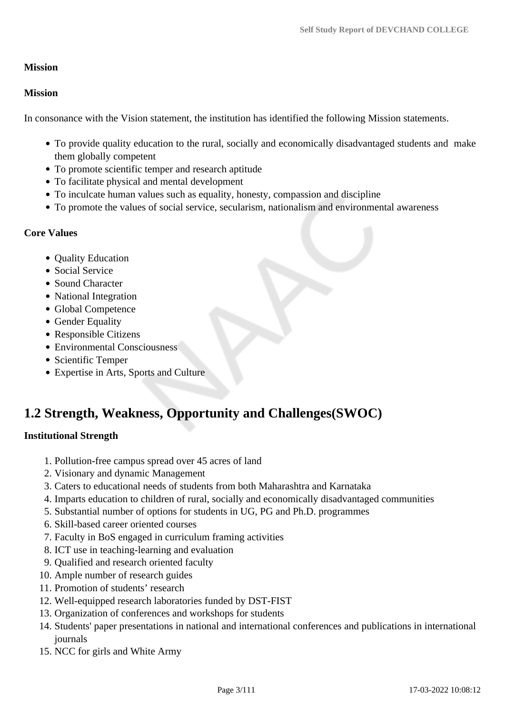### **Mission**

### **Mission**

In consonance with the Vision statement, the institution has identified the following Mission statements.

- To provide quality education to the rural, socially and economically disadvantaged students and make them globally competent
- To promote scientific temper and research aptitude
- To facilitate physical and mental development
- To inculcate human values such as equality, honesty, compassion and discipline
- To promote the values of social service, secularism, nationalism and environmental awareness

### **Core Values**

- Ouality Education
- Social Service
- Sound Character
- National Integration
- Global Competence
- Gender Equality
- Responsible Citizens
- Environmental Consciousness
- Scientific Temper
- Expertise in Arts, Sports and Culture

# **1.2 Strength, Weakness, Opportunity and Challenges(SWOC)**

### **Institutional Strength**

- 1. Pollution-free campus spread over 45 acres of land
- 2. Visionary and dynamic Management
- 3. Caters to educational needs of students from both Maharashtra and Karnataka
- 4. Imparts education to children of rural, socially and economically disadvantaged communities
- 5. Substantial number of options for students in UG, PG and Ph.D. programmes
- 6. Skill-based career oriented courses
- 7. Faculty in BoS engaged in curriculum framing activities
- 8. ICT use in teaching-learning and evaluation
- 9. Qualified and research oriented faculty
- 10. Ample number of research guides
- 11. Promotion of students' research
- 12. Well-equipped research laboratories funded by DST-FIST
- 13. Organization of conferences and workshops for students
- 14. Students' paper presentations in national and international conferences and publications in international journals
- 15. NCC for girls and White Army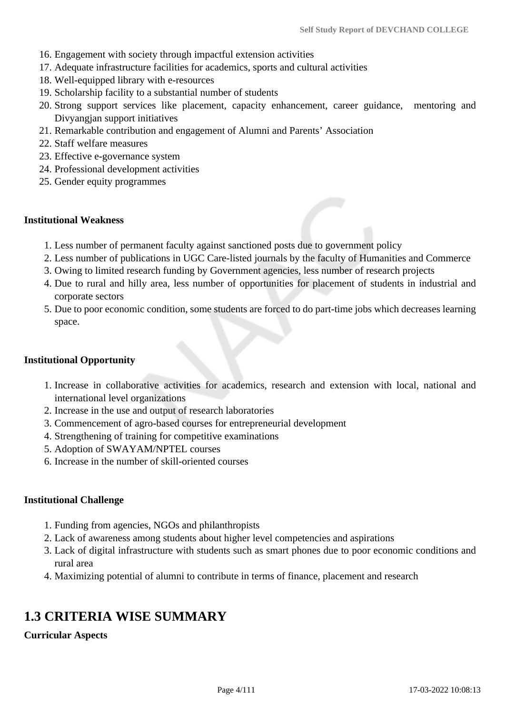- 16. Engagement with society through impactful extension activities
- 17. Adequate infrastructure facilities for academics, sports and cultural activities
- 18. Well-equipped library with e-resources
- 19. Scholarship facility to a substantial number of students
- 20. Strong support services like placement, capacity enhancement, career guidance, mentoring and Divyangjan support initiatives
- 21. Remarkable contribution and engagement of Alumni and Parents' Association
- 22. Staff welfare measures
- 23. Effective e-governance system
- 24. Professional development activities
- 25. Gender equity programmes

#### **Institutional Weakness**

- 1. Less number of permanent faculty against sanctioned posts due to government policy
- 2. Less number of publications in UGC Care-listed journals by the faculty of Humanities and Commerce
- 3. Owing to limited research funding by Government agencies, less number of research projects
- 4. Due to rural and hilly area, less number of opportunities for placement of students in industrial and corporate sectors
- 5. Due to poor economic condition, some students are forced to do part-time jobs which decreases learning space.

#### **Institutional Opportunity**

- 1. Increase in collaborative activities for academics, research and extension with local, national and international level organizations
- 2. Increase in the use and output of research laboratories
- 3. Commencement of agro-based courses for entrepreneurial development
- 4. Strengthening of training for competitive examinations
- 5. Adoption of SWAYAM/NPTEL courses
- 6. Increase in the number of skill-oriented courses

#### **Institutional Challenge**

- 1. Funding from agencies, NGOs and philanthropists
- 2. Lack of awareness among students about higher level competencies and aspirations
- 3. Lack of digital infrastructure with students such as smart phones due to poor economic conditions and rural area
- 4. Maximizing potential of alumni to contribute in terms of finance, placement and research

# **1.3 CRITERIA WISE SUMMARY**

### **Curricular Aspects**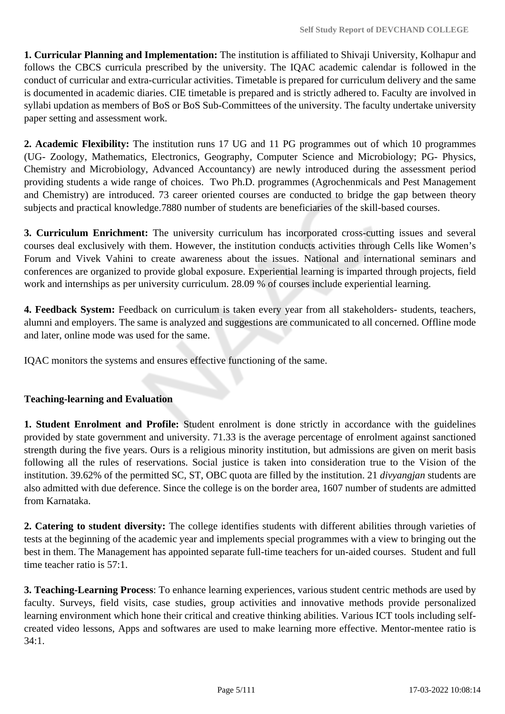**1. Curricular Planning and Implementation:** The institution is affiliated to Shivaji University, Kolhapur and follows the CBCS curricula prescribed by the university. The IQAC academic calendar is followed in the conduct of curricular and extra-curricular activities. Timetable is prepared for curriculum delivery and the same is documented in academic diaries. CIE timetable is prepared and is strictly adhered to. Faculty are involved in syllabi updation as members of BoS or BoS Sub-Committees of the university. The faculty undertake university paper setting and assessment work.

**2. Academic Flexibility:** The institution runs 17 UG and 11 PG programmes out of which 10 programmes (UG- Zoology, Mathematics, Electronics, Geography, Computer Science and Microbiology; PG- Physics, Chemistry and Microbiology, Advanced Accountancy) are newly introduced during the assessment period providing students a wide range of choices. Two Ph.D. programmes (Agrochenmicals and Pest Management and Chemistry) are introduced. 73 career oriented courses are conducted to bridge the gap between theory subjects and practical knowledge.7880 number of students are beneficiaries of the skill-based courses.

**3. Curriculum Enrichment:** The university curriculum has incorporated cross-cutting issues and several courses deal exclusively with them. However, the institution conducts activities through Cells like Women's Forum and Vivek Vahini to create awareness about the issues. National and international seminars and conferences are organized to provide global exposure. Experiential learning is imparted through projects, field work and internships as per university curriculum. 28.09 % of courses include experiential learning.

**4. Feedback System:** Feedback on curriculum is taken every year from all stakeholders- students, teachers, alumni and employers. The same is analyzed and suggestions are communicated to all concerned. Offline mode and later, online mode was used for the same.

IQAC monitors the systems and ensures effective functioning of the same.

### **Teaching-learning and Evaluation**

**1. Student Enrolment and Profile:** Student enrolment is done strictly in accordance with the guidelines provided by state government and university. 71.33 is the average percentage of enrolment against sanctioned strength during the five years. Ours is a religious minority institution, but admissions are given on merit basis following all the rules of reservations. Social justice is taken into consideration true to the Vision of the institution. 39.62% of the permitted SC, ST, OBC quota are filled by the institution. 21 *divyangjan* students are also admitted with due deference. Since the college is on the border area, 1607 number of students are admitted from Karnataka.

**2. Catering to student diversity:** The college identifies students with different abilities through varieties of tests at the beginning of the academic year and implements special programmes with a view to bringing out the best in them. The Management has appointed separate full-time teachers for un-aided courses. Student and full time teacher ratio is 57:1.

**3. Teaching-Learning Process**: To enhance learning experiences, various student centric methods are used by faculty. Surveys, field visits, case studies, group activities and innovative methods provide personalized learning environment which hone their critical and creative thinking abilities. Various ICT tools including selfcreated video lessons, Apps and softwares are used to make learning more effective. Mentor-mentee ratio is 34:1.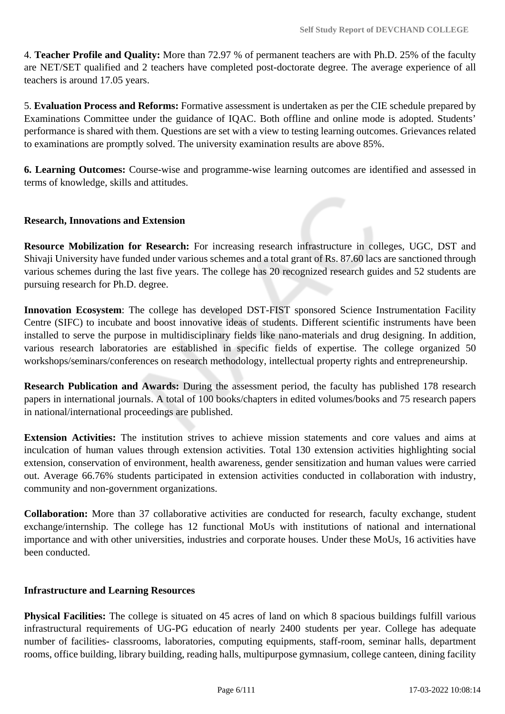4. **Teacher Profile and Quality:** More than 72.97 % of permanent teachers are with Ph.D. 25% of the faculty are NET/SET qualified and 2 teachers have completed post-doctorate degree. The average experience of all teachers is around 17.05 years.

5. **Evaluation Process and Reforms:** Formative assessment is undertaken as per the CIE schedule prepared by Examinations Committee under the guidance of IQAC. Both offline and online mode is adopted. Students' performance is shared with them. Questions are set with a view to testing learning outcomes. Grievances related to examinations are promptly solved. The university examination results are above 85%.

**6. Learning Outcomes:** Course-wise and programme-wise learning outcomes are identified and assessed in terms of knowledge, skills and attitudes.

### **Research, Innovations and Extension**

**Resource Mobilization for Research:** For increasing research infrastructure in colleges, UGC, DST and Shivaji University have funded under various schemes and a total grant of Rs. 87.60 lacs are sanctioned through various schemes during the last five years. The college has 20 recognized research guides and 52 students are pursuing research for Ph.D. degree.

**Innovation Ecosystem**: The college has developed DST-FIST sponsored Science Instrumentation Facility Centre (SIFC) to incubate and boost innovative ideas of students. Different scientific instruments have been installed to serve the purpose in multidisciplinary fields like nano-materials and drug designing. In addition, various research laboratories are established in specific fields of expertise. The college organized 50 workshops/seminars/conferences on research methodology, intellectual property rights and entrepreneurship.

**Research Publication and Awards:** During the assessment period, the faculty has published 178 research papers in international journals. A total of 100 books/chapters in edited volumes/books and 75 research papers in national/international proceedings are published.

**Extension Activities:** The institution strives to achieve mission statements and core values and aims at inculcation of human values through extension activities. Total 130 extension activities highlighting social extension, conservation of environment, health awareness, gender sensitization and human values were carried out. Average 66.76% students participated in extension activities conducted in collaboration with industry, community and non-government organizations.

**Collaboration:** More than 37 collaborative activities are conducted for research, faculty exchange, student exchange/internship. The college has 12 functional MoUs with institutions of national and international importance and with other universities, industries and corporate houses. Under these MoUs, 16 activities have been conducted.

#### **Infrastructure and Learning Resources**

**Physical Facilities:** The college is situated on 45 acres of land on which 8 spacious buildings fulfill various infrastructural requirements of UG-PG education of nearly 2400 students per year. College has adequate number of facilities- classrooms, laboratories, computing equipments, staff-room, seminar halls, department rooms, office building, library building, reading halls, multipurpose gymnasium, college canteen, dining facility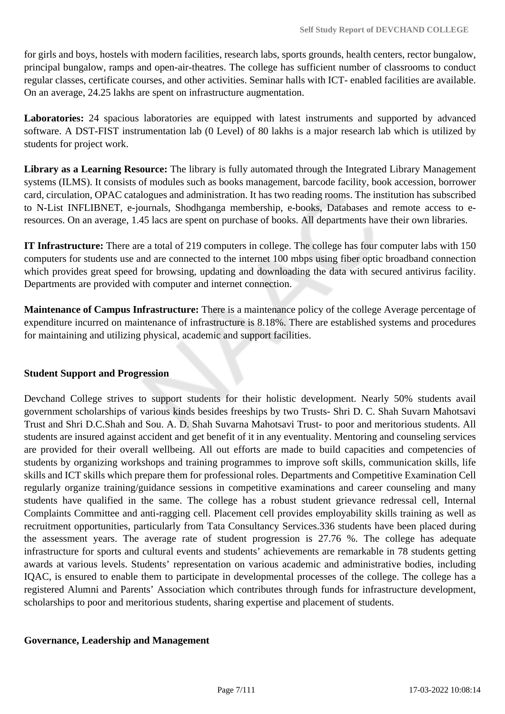for girls and boys, hostels with modern facilities, research labs, sports grounds, health centers, rector bungalow, principal bungalow, ramps and open-air-theatres. The college has sufficient number of classrooms to conduct regular classes, certificate courses, and other activities. Seminar halls with ICT- enabled facilities are available. On an average, 24.25 lakhs are spent on infrastructure augmentation.

**Laboratories:** 24 spacious laboratories are equipped with latest instruments and supported by advanced software. A DST-FIST instrumentation lab (0 Level) of 80 lakhs is a major research lab which is utilized by students for project work.

**Library as a Learning Resource:** The library is fully automated through the Integrated Library Management systems (ILMS). It consists of modules such as books management, barcode facility, book accession, borrower card, circulation, OPAC catalogues and administration. It has two reading rooms. The institution has subscribed to N-List INFLIBNET, e-journals, Shodhganga membership, e-books, Databases and remote access to eresources. On an average, 1.45 lacs are spent on purchase of books. All departments have their own libraries.

**IT Infrastructure:** There are a total of 219 computers in college. The college has four computer labs with 150 computers for students use and are connected to the internet 100 mbps using fiber optic broadband connection which provides great speed for browsing, updating and downloading the data with secured antivirus facility. Departments are provided with computer and internet connection.

**Maintenance of Campus Infrastructure:** There is a maintenance policy of the college Average percentage of expenditure incurred on maintenance of infrastructure is 8.18%. There are established systems and procedures for maintaining and utilizing physical, academic and support facilities.

## **Student Support and Progression**

Devchand College strives to support students for their holistic development. Nearly 50% students avail government scholarships of various kinds besides freeships by two Trusts- Shri D. C. Shah Suvarn Mahotsavi Trust and Shri D.C.Shah and Sou. A. D. Shah Suvarna Mahotsavi Trust- to poor and meritorious students. All students are insured against accident and get benefit of it in any eventuality. Mentoring and counseling services are provided for their overall wellbeing. All out efforts are made to build capacities and competencies of students by organizing workshops and training programmes to improve soft skills, communication skills, life skills and ICT skills which prepare them for professional roles. Departments and Competitive Examination Cell regularly organize training/guidance sessions in competitive examinations and career counseling and many students have qualified in the same. The college has a robust student grievance redressal cell, Internal Complaints Committee and anti-ragging cell. Placement cell provides employability skills training as well as recruitment opportunities, particularly from Tata Consultancy Services.336 students have been placed during the assessment years. The average rate of student progression is 27.76 %. The college has adequate infrastructure for sports and cultural events and students' achievements are remarkable in 78 students getting awards at various levels. Students' representation on various academic and administrative bodies, including IQAC, is ensured to enable them to participate in developmental processes of the college. The college has a registered Alumni and Parents' Association which contributes through funds for infrastructure development, scholarships to poor and meritorious students, sharing expertise and placement of students.

### **Governance, Leadership and Management**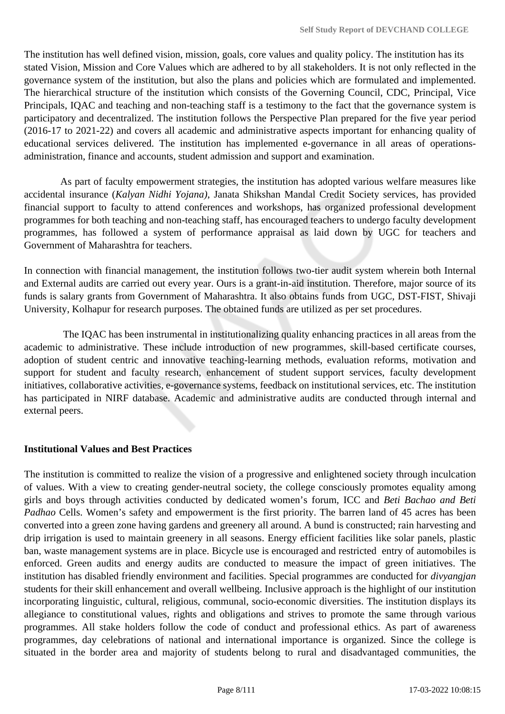The institution has well defined vision, mission, goals, core values and quality policy. The institution has its stated Vision, Mission and Core Values which are adhered to by all stakeholders. It is not only reflected in the governance system of the institution, but also the plans and policies which are formulated and implemented. The hierarchical structure of the institution which consists of the Governing Council, CDC, Principal, Vice Principals, IQAC and teaching and non-teaching staff is a testimony to the fact that the governance system is participatory and decentralized. The institution follows the Perspective Plan prepared for the five year period (2016-17 to 2021-22) and covers all academic and administrative aspects important for enhancing quality of educational services delivered. The institution has implemented e-governance in all areas of operationsadministration, finance and accounts, student admission and support and examination.

 As part of faculty empowerment strategies, the institution has adopted various welfare measures like accidental insurance (*Kalyan Nidhi Yojana)*, Janata Shikshan Mandal Credit Society services, has provided financial support to faculty to attend conferences and workshops, has organized professional development programmes for both teaching and non-teaching staff, has encouraged teachers to undergo faculty development programmes, has followed a system of performance appraisal as laid down by UGC for teachers and Government of Maharashtra for teachers.

In connection with financial management, the institution follows two-tier audit system wherein both Internal and External audits are carried out every year. Ours is a grant-in-aid institution. Therefore, major source of its funds is salary grants from Government of Maharashtra. It also obtains funds from UGC, DST-FIST, Shivaji University, Kolhapur for research purposes. The obtained funds are utilized as per set procedures.

 The IQAC has been instrumental in institutionalizing quality enhancing practices in all areas from the academic to administrative. These include introduction of new programmes, skill-based certificate courses, adoption of student centric and innovative teaching-learning methods, evaluation reforms, motivation and support for student and faculty research, enhancement of student support services, faculty development initiatives, collaborative activities, e-governance systems, feedback on institutional services, etc. The institution has participated in NIRF database. Academic and administrative audits are conducted through internal and external peers.

### **Institutional Values and Best Practices**

The institution is committed to realize the vision of a progressive and enlightened society through inculcation of values. With a view to creating gender-neutral society, the college consciously promotes equality among girls and boys through activities conducted by dedicated women's forum, ICC and *Beti Bachao and Beti Padhao* Cells. Women's safety and empowerment is the first priority. The barren land of 45 acres has been converted into a green zone having gardens and greenery all around. A bund is constructed; rain harvesting and drip irrigation is used to maintain greenery in all seasons. Energy efficient facilities like solar panels, plastic ban, waste management systems are in place. Bicycle use is encouraged and restricted entry of automobiles is enforced. Green audits and energy audits are conducted to measure the impact of green initiatives. The institution has disabled friendly environment and facilities. Special programmes are conducted for *divyangjan* students for their skill enhancement and overall wellbeing. Inclusive approach is the highlight of our institution incorporating linguistic, cultural, religious, communal, socio-economic diversities. The institution displays its allegiance to constitutional values, rights and obligations and strives to promote the same through various programmes. All stake holders follow the code of conduct and professional ethics. As part of awareness programmes, day celebrations of national and international importance is organized. Since the college is situated in the border area and majority of students belong to rural and disadvantaged communities, the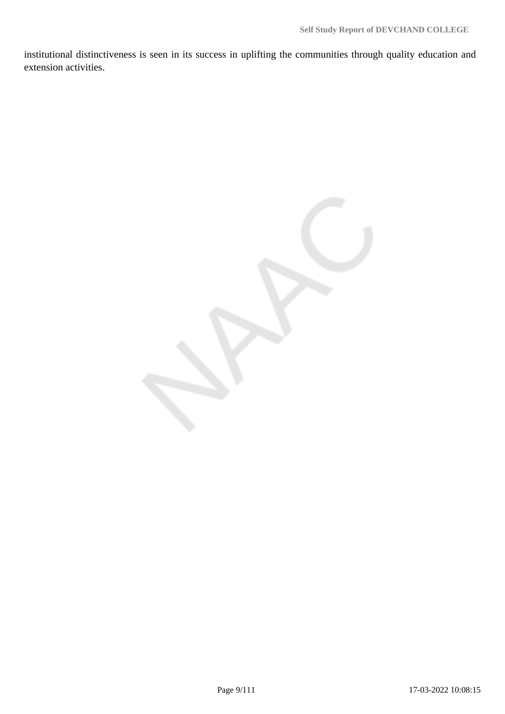institutional distinctiveness is seen in its success in uplifting the communities through quality education and extension activities.

Page 9/111 17-03-2022 10:08:15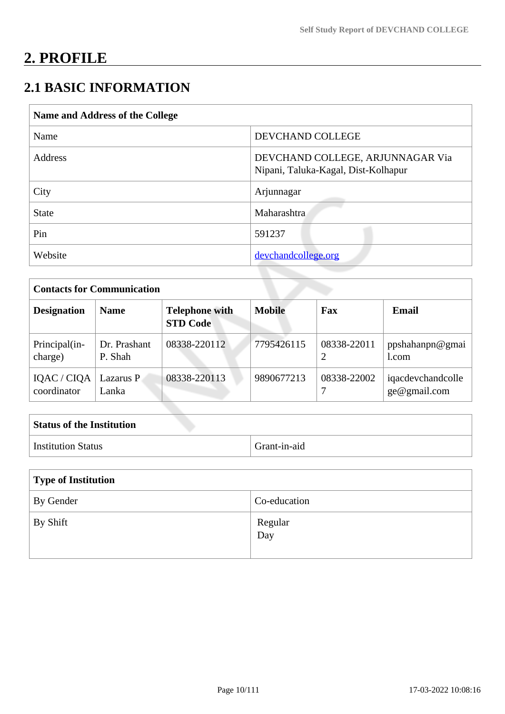# **2. PROFILE**

# **2.1 BASIC INFORMATION**

| Name and Address of the College |                                                                         |  |
|---------------------------------|-------------------------------------------------------------------------|--|
| Name                            | DEVCHAND COLLEGE                                                        |  |
| <b>Address</b>                  | DEVCHAND COLLEGE, ARJUNNAGAR Via<br>Nipani, Taluka-Kagal, Dist-Kolhapur |  |
| City                            | Arjunnagar                                                              |  |
| <b>State</b>                    | Maharashtra                                                             |  |
| Pin                             | 591237                                                                  |  |
| Website                         | devchandcollege.org                                                     |  |

| <b>Contacts for Communication</b> |                         |                                          |               |             |                                     |
|-----------------------------------|-------------------------|------------------------------------------|---------------|-------------|-------------------------------------|
| <b>Designation</b>                | <b>Name</b>             | <b>Telephone with</b><br><b>STD Code</b> | <b>Mobile</b> | Fax         | Email                               |
| Principal(in-<br>charge)          | Dr. Prashant<br>P. Shah | 08338-220112                             | 7795426115    | 08338-22011 | ppshahanpn@gmai<br>L <sub>com</sub> |
| IQAC / CIQA<br>coordinator        | Lazarus P<br>Lanka      | 08338-220113                             | 9890677213    | 08338-22002 | iqacdevchandcolle<br>ge@gmail.com   |

| <b>Status of the Institution</b> |              |
|----------------------------------|--------------|
| Institution Status               | Grant-in-aid |

| Type of Institution    |                             |  |
|------------------------|-----------------------------|--|
| <sup>1</sup> By Gender | Co-education                |  |
| By Shift               | Regular<br>$\overline{Day}$ |  |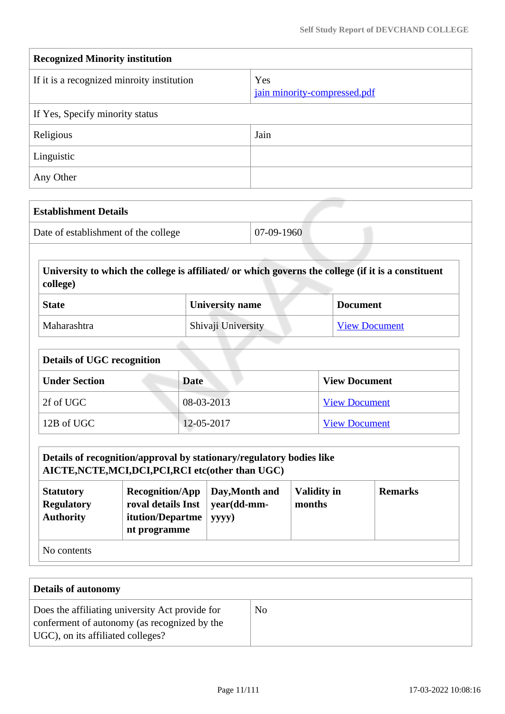| <b>Recognized Minority institution</b>     |                                     |  |
|--------------------------------------------|-------------------------------------|--|
| If it is a recognized minroity institution | Yes<br>jain minority-compressed.pdf |  |
| If Yes, Specify minority status            |                                     |  |
| Religious                                  | Jain                                |  |
| Linguistic                                 |                                     |  |
| Any Other                                  |                                     |  |

| <b>Establishment Details</b>         |              |
|--------------------------------------|--------------|
| Date of establishment of the college | $07-09-1960$ |

 **University to which the college is affiliated/ or which governs the college (if it is a constituent college)**

| <b>State</b> | University name    | <b>Document</b>      |
|--------------|--------------------|----------------------|
| Maharashtra  | Shivaji University | <b>View Document</b> |

| <b>Details of UGC recognition</b> |              |                      |  |
|-----------------------------------|--------------|----------------------|--|
| <b>Under Section</b>              | <b>Date</b>  | <b>View Document</b> |  |
| 2f of UGC                         | $08-03-2013$ | <b>View Document</b> |  |
| 12B of UGC                        | 12-05-2017   | <b>View Document</b> |  |

| Details of recognition/approval by stationary/regulatory bodies like<br>AICTE, NCTE, MCI, DCI, PCI, RCI etc(other than UGC)                                                                                                               |  |  |  |  |
|-------------------------------------------------------------------------------------------------------------------------------------------------------------------------------------------------------------------------------------------|--|--|--|--|
| <b>Validity in</b><br>Day, Month and<br><b>Remarks</b><br><b>Recognition/App</b><br><b>Statutory</b><br>roval details Inst<br>year(dd-mm-<br><b>Regulatory</b><br>months<br><b>Authority</b><br>itution/Departme<br>yyyy)<br>nt programme |  |  |  |  |
| No contents                                                                                                                                                                                                                               |  |  |  |  |

| <b>Details of autonomy</b>                                                                                                           |                |
|--------------------------------------------------------------------------------------------------------------------------------------|----------------|
| Does the affiliating university Act provide for<br>conferment of autonomy (as recognized by the<br>UGC), on its affiliated colleges? | N <sub>0</sub> |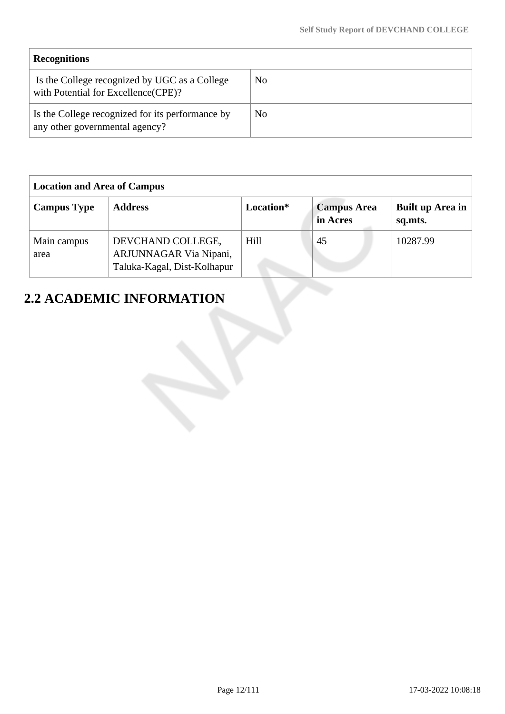| <b>Recognitions</b>                                                                  |     |
|--------------------------------------------------------------------------------------|-----|
| Is the College recognized by UGC as a College<br>with Potential for Excellence(CPE)? | No  |
| Is the College recognized for its performance by<br>any other governmental agency?   | No. |

| <b>Location and Area of Campus</b> |                                                                            |           |                                |                             |
|------------------------------------|----------------------------------------------------------------------------|-----------|--------------------------------|-----------------------------|
| <b>Campus Type</b>                 | <b>Address</b>                                                             | Location* | <b>Campus Area</b><br>in Acres | Built up Area in<br>sq.mts. |
| Main campus<br>area                | DEVCHAND COLLEGE,<br>ARJUNNAGAR Via Nipani,<br>Taluka-Kagal, Dist-Kolhapur | Hill      | 45                             | 10287.99                    |

# **2.2 ACADEMIC INFORMATION**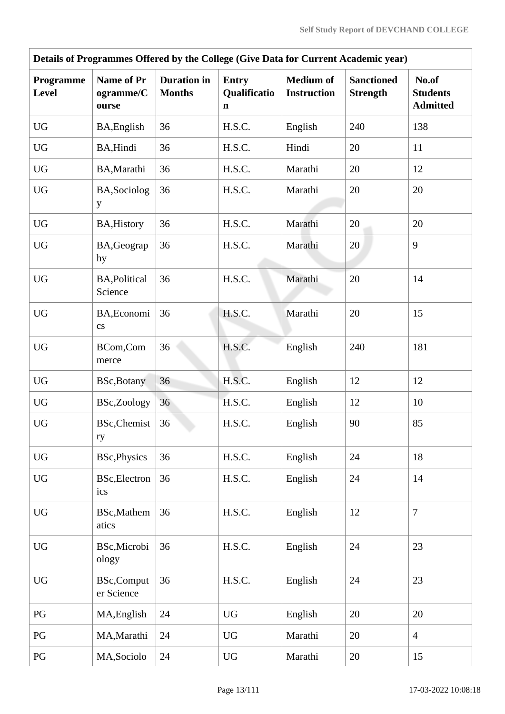| Details of Programmes Offered by the College (Give Data for Current Academic year) |                                       |                                     |                                             |                                        |                                      |                                             |  |  |  |
|------------------------------------------------------------------------------------|---------------------------------------|-------------------------------------|---------------------------------------------|----------------------------------------|--------------------------------------|---------------------------------------------|--|--|--|
| Programme<br><b>Level</b>                                                          | Name of Pr<br>ogramme/C<br>ourse      | <b>Duration</b> in<br><b>Months</b> | <b>Entry</b><br>Qualificatio<br>$\mathbf n$ | <b>Medium of</b><br><b>Instruction</b> | <b>Sanctioned</b><br><b>Strength</b> | No.of<br><b>Students</b><br><b>Admitted</b> |  |  |  |
| <b>UG</b>                                                                          | BA, English                           | 36                                  | H.S.C.                                      | English                                | 240                                  | 138                                         |  |  |  |
| <b>UG</b>                                                                          | BA, Hindi                             | 36                                  | H.S.C.                                      | Hindi                                  | 20                                   | 11                                          |  |  |  |
| <b>UG</b>                                                                          | BA, Marathi                           | 36                                  | H.S.C.                                      | Marathi                                | 20                                   | 12                                          |  |  |  |
| <b>UG</b>                                                                          | BA, Sociolog<br>y                     | 36                                  | H.S.C.                                      | Marathi                                | 20                                   | 20                                          |  |  |  |
| <b>UG</b>                                                                          | <b>BA, History</b>                    | 36                                  | H.S.C.                                      | Marathi                                | 20                                   | 20                                          |  |  |  |
| <b>UG</b>                                                                          | BA, Geograp<br>hy                     | 36                                  | H.S.C.                                      | Marathi                                | 20                                   | 9                                           |  |  |  |
| <b>UG</b>                                                                          | <b>BA, Political</b><br>Science       | 36                                  | H.S.C.                                      | Marathi                                | 20                                   | 14                                          |  |  |  |
| <b>UG</b>                                                                          | BA, Economi<br>$\mathbf{c}\mathbf{s}$ | 36                                  | H.S.C.                                      | Marathi                                | 20                                   | 15                                          |  |  |  |
| <b>UG</b>                                                                          | BCom,Com<br>merce                     | 36                                  | H.S.C.                                      | English                                | 240                                  | 181                                         |  |  |  |
| <b>UG</b>                                                                          | <b>BSc, Botany</b>                    | 36                                  | H.S.C.                                      | English                                | 12                                   | 12                                          |  |  |  |
| <b>UG</b>                                                                          | BSc,Zoology                           | 36                                  | H.S.C.                                      | English                                | 12                                   | 10                                          |  |  |  |
| ${\rm U}{\rm G}$                                                                   | <b>BSc, Chemist</b><br>ry             | 36                                  | H.S.C.                                      | English                                | 90                                   | 85                                          |  |  |  |
| <b>UG</b>                                                                          | <b>BSc, Physics</b>                   | 36                                  | H.S.C.                                      | English                                | 24                                   | 18                                          |  |  |  |
| <b>UG</b>                                                                          | <b>BSc, Electron</b><br>ics           | 36                                  | H.S.C.                                      | English                                | 24                                   | 14                                          |  |  |  |
| <b>UG</b>                                                                          | BSc, Mathem<br>atics                  | 36                                  | H.S.C.                                      | English                                | 12                                   | $\overline{7}$                              |  |  |  |
| <b>UG</b>                                                                          | BSc, Microbi<br>ology                 | 36                                  | H.S.C.                                      | English                                | 24                                   | 23                                          |  |  |  |
| $\mathbf{U}\mathbf{G}$                                                             | <b>BSc,Comput</b><br>er Science       | 36                                  | H.S.C.                                      | English                                | 24                                   | 23                                          |  |  |  |
| PG                                                                                 | MA, English                           | 24                                  | <b>UG</b>                                   | English                                | 20                                   | 20                                          |  |  |  |
| PG                                                                                 | MA, Marathi                           | 24                                  | <b>UG</b>                                   | Marathi                                | 20                                   | $\overline{4}$                              |  |  |  |
| PG                                                                                 | MA, Sociolo                           | 24                                  | <b>UG</b>                                   | Marathi                                | 20                                   | 15                                          |  |  |  |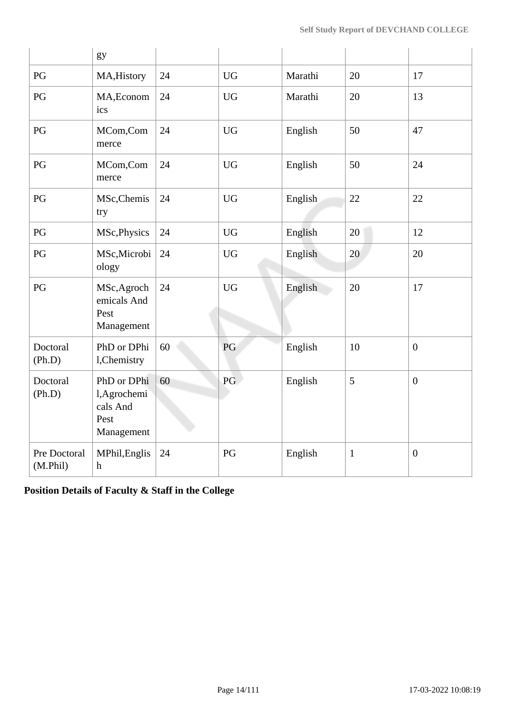|                          | gy                                                            |    |           |         |              |                  |
|--------------------------|---------------------------------------------------------------|----|-----------|---------|--------------|------------------|
| PG                       | MA, History                                                   | 24 | <b>UG</b> | Marathi | 20           | 17               |
| PG                       | MA, Econom<br>ics                                             | 24 | <b>UG</b> | Marathi | 20           | 13               |
| PG                       | MCom,Com<br>merce                                             | 24 | <b>UG</b> | English | 50           | 47               |
| PG                       | MCom,Com<br>merce                                             | 24 | <b>UG</b> | English | 50           | 24               |
| PG                       | MSc, Chemis<br>try                                            | 24 | <b>UG</b> | English | 22           | 22               |
| PG                       | MSc, Physics                                                  | 24 | <b>UG</b> | English | 20           | 12               |
| PG                       | MSc, Microbi<br>ology                                         | 24 | <b>UG</b> | English | 20           | 20               |
| PG                       | MSc, Agroch<br>emicals And<br>Pest<br>Management              | 24 | <b>UG</b> | English | 20           | 17               |
| Doctoral<br>(Ph.D)       | PhD or DPhi<br>l, Chemistry                                   | 60 | PG        | English | 10           | $\mathbf{0}$     |
| Doctoral<br>(Ph.D)       | PhD or DPhi<br>l, Agrochemi<br>cals And<br>Pest<br>Management | 60 | PG        | English | 5            | $\mathbf{0}$     |
| Pre Doctoral<br>(M.Phil) | MPhil, Englis<br>$\boldsymbol{\mathrm{h}}$                    | 24 | PG        | English | $\mathbf{1}$ | $\boldsymbol{0}$ |

**Position Details of Faculty & Staff in the College**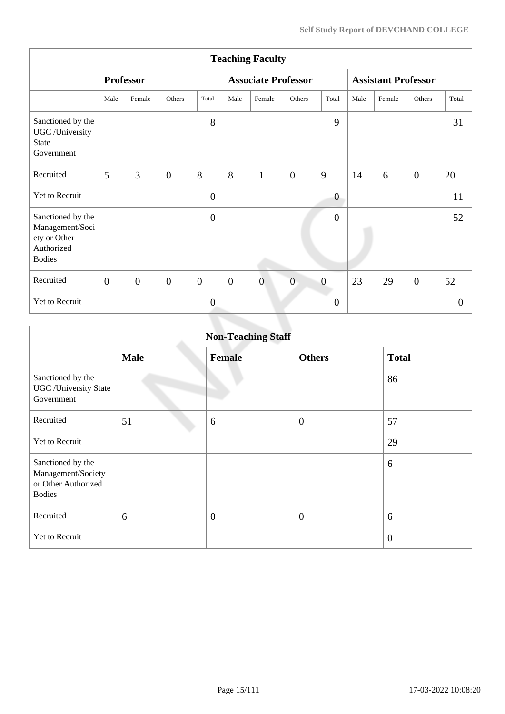| <b>Teaching Faculty</b>                                                             |                |                  |                |                  |                  |                            |                |                  |                            |        |                |                |
|-------------------------------------------------------------------------------------|----------------|------------------|----------------|------------------|------------------|----------------------------|----------------|------------------|----------------------------|--------|----------------|----------------|
|                                                                                     |                | <b>Professor</b> |                |                  |                  | <b>Associate Professor</b> |                |                  | <b>Assistant Professor</b> |        |                |                |
|                                                                                     | Male           | Female           | Others         | Total            | Male             | Female                     | Others         | Total            | Male                       | Female | Others         | Total          |
| Sanctioned by the<br>UGC /University<br><b>State</b><br>Government                  |                |                  |                | 8                |                  |                            |                | 9                |                            |        |                | 31             |
| Recruited                                                                           | 5              | 3                | $\overline{0}$ | 8                | 8                | $\mathbf{1}$               | $\overline{0}$ | 9                | 14                         | 6      | $\overline{0}$ | 20             |
| Yet to Recruit                                                                      |                |                  |                | $\overline{0}$   |                  |                            |                | $\boldsymbol{0}$ |                            |        |                | 11             |
| Sanctioned by the<br>Management/Soci<br>ety or Other<br>Authorized<br><b>Bodies</b> |                |                  |                | $\boldsymbol{0}$ |                  |                            |                | $\boldsymbol{0}$ |                            |        |                | 52             |
| Recruited                                                                           | $\overline{0}$ | $\boldsymbol{0}$ | $\mathbf{0}$   | $\boldsymbol{0}$ | $\boldsymbol{0}$ | $\overline{0}$             | $\overline{0}$ | $\boldsymbol{0}$ | 23                         | 29     | $\overline{0}$ | 52             |
| Yet to Recruit                                                                      |                |                  |                | $\mathbf{0}$     |                  |                            |                | $\boldsymbol{0}$ |                            |        |                | $\overline{0}$ |
|                                                                                     |                |                  |                |                  |                  |                            |                |                  |                            |        |                |                |

| <b>Non-Teaching Staff</b>                                                       |             |               |                  |                |  |  |  |
|---------------------------------------------------------------------------------|-------------|---------------|------------------|----------------|--|--|--|
|                                                                                 | <b>Male</b> | <b>Female</b> | <b>Others</b>    | <b>Total</b>   |  |  |  |
| Sanctioned by the<br><b>UGC</b> / University State<br>Government                |             |               |                  | 86             |  |  |  |
| Recruited                                                                       | 51          | 6             | $\boldsymbol{0}$ | 57             |  |  |  |
| <b>Yet to Recruit</b>                                                           |             |               |                  | 29             |  |  |  |
| Sanctioned by the<br>Management/Society<br>or Other Authorized<br><b>Bodies</b> |             |               |                  | 6              |  |  |  |
| Recruited                                                                       | 6           | $\mathbf{0}$  | $\boldsymbol{0}$ | 6              |  |  |  |
| Yet to Recruit                                                                  |             |               |                  | $\overline{0}$ |  |  |  |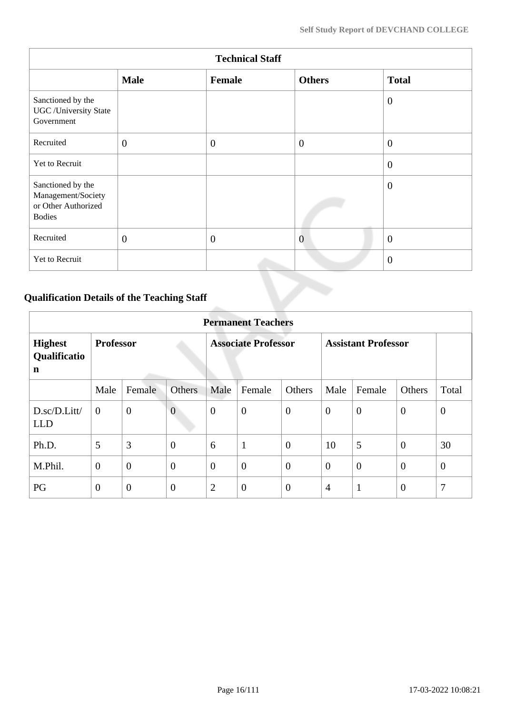| <b>Technical Staff</b>                                                          |              |              |                |                |  |  |
|---------------------------------------------------------------------------------|--------------|--------------|----------------|----------------|--|--|
|                                                                                 | <b>Male</b>  | Female       | <b>Others</b>  | <b>Total</b>   |  |  |
| Sanctioned by the<br><b>UGC</b> /University State<br>Government                 |              |              |                | $\overline{0}$ |  |  |
| Recruited                                                                       | $\mathbf{0}$ | $\mathbf{0}$ | $\overline{0}$ | $\overline{0}$ |  |  |
| Yet to Recruit                                                                  |              |              |                | $\overline{0}$ |  |  |
| Sanctioned by the<br>Management/Society<br>or Other Authorized<br><b>Bodies</b> |              |              |                | $\overline{0}$ |  |  |
| Recruited                                                                       | $\mathbf{0}$ | $\theta$     | $\overline{0}$ | $\overline{0}$ |  |  |
| Yet to Recruit                                                                  |              |              |                | $\overline{0}$ |  |  |

# **Qualification Details of the Teaching Staff**

|                                     | <b>Permanent Teachers</b> |                |                            |                |                  |                            |                |                |                |                |
|-------------------------------------|---------------------------|----------------|----------------------------|----------------|------------------|----------------------------|----------------|----------------|----------------|----------------|
| <b>Highest</b><br>Qualificatio<br>n | <b>Professor</b>          |                | <b>Associate Professor</b> |                |                  | <b>Assistant Professor</b> |                |                |                |                |
|                                     | Male                      | Female         | <b>Others</b>              | Male           | Female           | Others                     | Male           | Female         | <b>Others</b>  | Total          |
| D.sc/D.Litt/<br><b>LLD</b>          | $\overline{0}$            | $\overline{0}$ | $\overline{0}$             | $\overline{0}$ | $\boldsymbol{0}$ | $\overline{0}$             | $\theta$       | $\overline{0}$ | $\overline{0}$ | $\mathbf{0}$   |
| Ph.D.                               | 5                         | 3              | $\overline{0}$             | 6              | $\mathbf{1}$     | $\overline{0}$             | 10             | 5              | $\overline{0}$ | 30             |
| M.Phil.                             | $\boldsymbol{0}$          | $\overline{0}$ | $\overline{0}$             | $\overline{0}$ | $\overline{0}$   | $\overline{0}$             | $\overline{0}$ | $\overline{0}$ | $\overline{0}$ | $\overline{0}$ |
| PG                                  | $\boldsymbol{0}$          | $\overline{0}$ | $\overline{0}$             | $\overline{2}$ | $\overline{0}$   | $\overline{0}$             | $\overline{4}$ | $\mathbf{1}$   | $\overline{0}$ | $\overline{7}$ |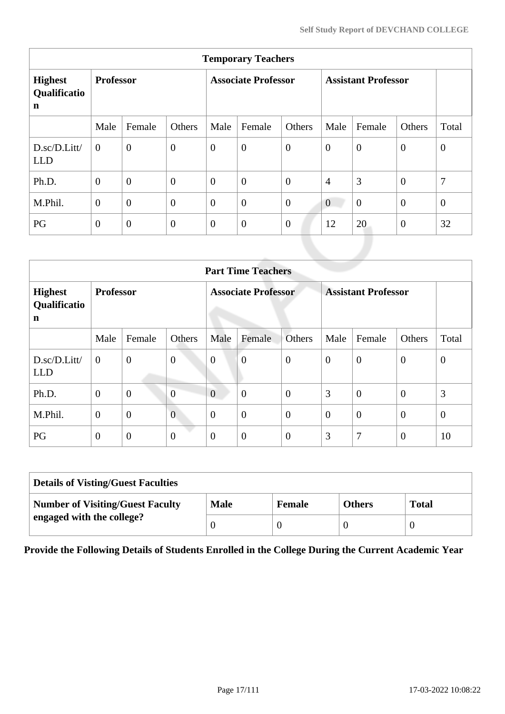| <b>Temporary Teachers</b>                     |                  |                |                            |                |                  |                            |                  |                |                |                |
|-----------------------------------------------|------------------|----------------|----------------------------|----------------|------------------|----------------------------|------------------|----------------|----------------|----------------|
| <b>Highest</b><br>Qualificatio<br>$\mathbf n$ | <b>Professor</b> |                | <b>Associate Professor</b> |                |                  | <b>Assistant Professor</b> |                  |                |                |                |
|                                               | Male             | Female         | Others                     | Male           | Female           | Others                     | Male             | Female         | Others         | Total          |
| D.sc/D.Litt/<br><b>LLD</b>                    | $\theta$         | $\overline{0}$ | $\mathbf{0}$               | $\overline{0}$ | $\boldsymbol{0}$ | $\overline{0}$             | $\boldsymbol{0}$ | $\theta$       | $\overline{0}$ | $\overline{0}$ |
| Ph.D.                                         | $\overline{0}$   | $\overline{0}$ | $\overline{0}$             | $\overline{0}$ | $\overline{0}$   | $\overline{0}$             | $\overline{4}$   | 3              | $\overline{0}$ | 7              |
| M.Phil.                                       | $\boldsymbol{0}$ | $\overline{0}$ | $\overline{0}$             | $\overline{0}$ | $\overline{0}$   | $\overline{0}$             | $\overline{0}$   | $\overline{0}$ | $\overline{0}$ | $\mathbf{0}$   |
| PG                                            | $\boldsymbol{0}$ | $\overline{0}$ | $\overline{0}$             | $\overline{0}$ | $\boldsymbol{0}$ | $\boldsymbol{0}$           | 12               | 20             | $\overline{0}$ | 32             |
|                                               |                  |                |                            |                |                  |                            |                  |                |                |                |

|                                           | <b>Part Time Teachers</b> |                |                            |                  |                  |                            |                |                  |                  |                  |
|-------------------------------------------|---------------------------|----------------|----------------------------|------------------|------------------|----------------------------|----------------|------------------|------------------|------------------|
| <b>Highest</b><br>Qualificatio<br>n       | <b>Professor</b>          |                | <b>Associate Professor</b> |                  |                  | <b>Assistant Professor</b> |                |                  |                  |                  |
|                                           | Male                      | Female         | Others                     | Male             | Female           | Others                     | Male           | Female           | Others           | Total            |
| $D.\text{sc}/D.\text{Litt}$<br><b>LLD</b> | $\mathbf{0}$              | $\overline{0}$ | $\boldsymbol{0}$           | $\boldsymbol{0}$ | $\overline{0}$   | $\boldsymbol{0}$           | $\overline{0}$ | $\theta$         | $\overline{0}$   | $\boldsymbol{0}$ |
| Ph.D.                                     | $\theta$                  | $\mathbf{0}$   | $\overline{0}$             | $\overline{0}$   | $\overline{0}$   | $\overline{0}$             | 3              | $\boldsymbol{0}$ | $\overline{0}$   | 3                |
| M.Phil.                                   | $\mathbf{0}$              | $\overline{0}$ | $\overline{0}$             | $\overline{0}$   | $\overline{0}$   | $\overline{0}$             | $\overline{0}$ | $\overline{0}$   | $\overline{0}$   | $\theta$         |
| PG                                        | $\mathbf{0}$              | $\mathbf{0}$   | $\boldsymbol{0}$           | $\overline{0}$   | $\boldsymbol{0}$ | $\overline{0}$             | 3              | 7                | $\boldsymbol{0}$ | 10               |

| <b>Details of Visting/Guest Faculties</b> |             |               |               |              |  |  |
|-------------------------------------------|-------------|---------------|---------------|--------------|--|--|
| <b>Number of Visiting/Guest Faculty</b>   | <b>Male</b> | <b>Female</b> | <b>Others</b> | <b>Total</b> |  |  |
| engaged with the college?                 |             |               |               |              |  |  |

**Provide the Following Details of Students Enrolled in the College During the Current Academic Year**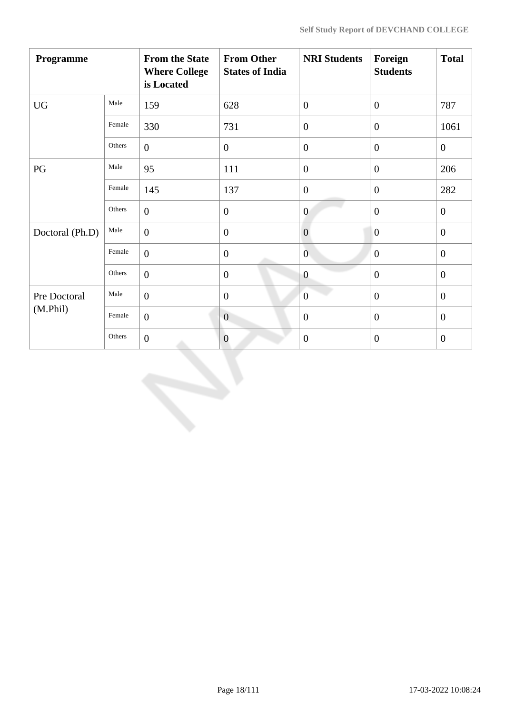| Programme       |        | <b>From the State</b><br><b>Where College</b><br>is Located | <b>From Other</b><br><b>States of India</b> | <b>NRI Students</b> | Foreign<br><b>Students</b> | <b>Total</b>     |
|-----------------|--------|-------------------------------------------------------------|---------------------------------------------|---------------------|----------------------------|------------------|
| <b>UG</b>       | Male   | 159                                                         | 628                                         | $\overline{0}$      | $\mathbf{0}$               | 787              |
|                 | Female | 330                                                         | 731                                         | $\overline{0}$      | $\mathbf{0}$               | 1061             |
|                 | Others | $\overline{0}$                                              | $\boldsymbol{0}$                            | $\boldsymbol{0}$    | $\mathbf{0}$               | $\boldsymbol{0}$ |
| PG              | Male   | 95                                                          | 111                                         | $\overline{0}$      | $\overline{0}$             | 206              |
|                 | Female | 145                                                         | 137                                         | $\boldsymbol{0}$    | $\boldsymbol{0}$           | 282              |
|                 | Others | $\overline{0}$                                              | $\boldsymbol{0}$                            | $\overline{0}$      | $\mathbf{0}$               | $\mathbf{0}$     |
| Doctoral (Ph.D) | Male   | $\overline{0}$                                              | $\boldsymbol{0}$                            | $\overline{0}$      | $\overline{0}$             | $\boldsymbol{0}$ |
|                 | Female | $\boldsymbol{0}$                                            | $\boldsymbol{0}$                            | $\overline{0}$      | $\mathbf{0}$               | $\overline{0}$   |
|                 | Others | $\boldsymbol{0}$                                            | $\boldsymbol{0}$                            | $\overline{0}$      | $\mathbf{0}$               | $\overline{0}$   |
| Pre Doctoral    | Male   | $\theta$                                                    | $\boldsymbol{0}$                            | $\overline{0}$      | $\overline{0}$             | $\mathbf{0}$     |
| (M. Phil)       | Female | $\mathbf{0}$                                                | $\overline{0}$                              | $\overline{0}$      | $\mathbf{0}$               | $\mathbf{0}$     |
|                 | Others | $\boldsymbol{0}$                                            | $\boldsymbol{0}$                            | $\boldsymbol{0}$    | $\mathbf{0}$               | $\boldsymbol{0}$ |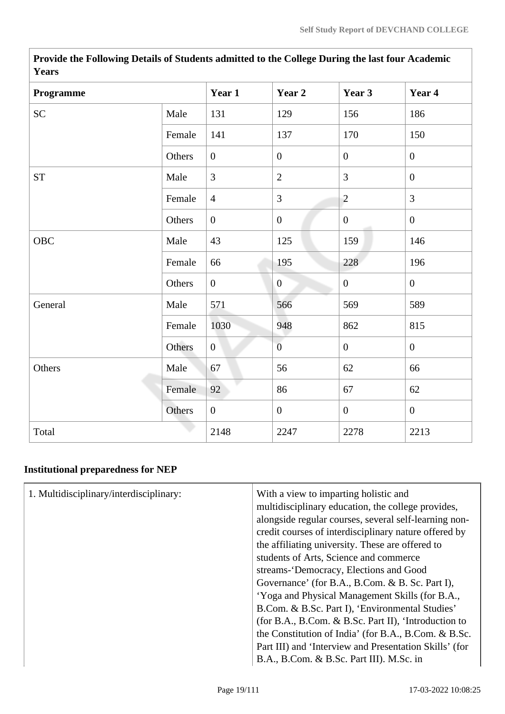| Years              |        |                |                  |                |                  |  |  |  |
|--------------------|--------|----------------|------------------|----------------|------------------|--|--|--|
| Programme          |        | Year 1         | Year 2           | Year 3         | Year 4           |  |  |  |
| <b>SC</b>          | Male   | 131            | 129              | 156            | 186              |  |  |  |
|                    | Female | 141            | 137              | 170            | 150              |  |  |  |
|                    | Others | $\overline{0}$ | $\boldsymbol{0}$ | $\overline{0}$ | $\overline{0}$   |  |  |  |
| ${\cal S}{\cal T}$ | Male   | $\overline{3}$ | $\sqrt{2}$       | $\overline{3}$ | $\boldsymbol{0}$ |  |  |  |
|                    | Female | $\overline{4}$ | 3                | $\overline{2}$ | $\overline{3}$   |  |  |  |
|                    | Others | $\overline{0}$ | $\boldsymbol{0}$ | $\mathbf{0}$   | $\mathbf{0}$     |  |  |  |
| OBC                | Male   | 43             | 125              | 159            | 146              |  |  |  |
|                    | Female | 66             | 195              | 228            | 196              |  |  |  |
|                    | Others | $\overline{0}$ | $\overline{0}$   | $\overline{0}$ | $\mathbf{0}$     |  |  |  |
| General            | Male   | 571            | 566              | 569            | 589              |  |  |  |
|                    | Female | 1030           | 948              | 862            | 815              |  |  |  |
|                    | Others | $\overline{0}$ | $\overline{0}$   | $\mathbf{0}$   | $\boldsymbol{0}$ |  |  |  |
| Others             | Male   | 67             | 56               | 62             | 66               |  |  |  |
|                    | Female | 92             | 86               | 67             | 62               |  |  |  |
|                    | Others | $\overline{0}$ | $\boldsymbol{0}$ | $\overline{0}$ | $\mathbf{0}$     |  |  |  |
| Total              |        | 2148           | 2247             | 2278           | 2213             |  |  |  |

**Provide the Following Details of Students admitted to the College During the last four Academic Years**

# **Institutional preparedness for NEP**

| 1. Multidisciplinary/interdisciplinary: | With a view to imparting holistic and<br>multidisciplinary education, the college provides,<br>alongside regular courses, several self-learning non-<br>credit courses of interdisciplinary nature offered by<br>the affiliating university. These are offered to<br>students of Arts, Science and commerce<br>streams-'Democracy, Elections and Good<br>Governance' (for B.A., B.Com. & B. Sc. Part I),<br>'Yoga and Physical Management Skills (for B.A.,<br>B.Com. & B.Sc. Part I), 'Environmental Studies'<br>(for B.A., B.Com. & B.Sc. Part II), 'Introduction to<br>the Constitution of India' (for B.A., B.Com. & B.Sc. |
|-----------------------------------------|--------------------------------------------------------------------------------------------------------------------------------------------------------------------------------------------------------------------------------------------------------------------------------------------------------------------------------------------------------------------------------------------------------------------------------------------------------------------------------------------------------------------------------------------------------------------------------------------------------------------------------|
|                                         | Part III) and 'Interview and Presentation Skills' (for<br>B.A., B.Com. & B.Sc. Part III). M.Sc. in                                                                                                                                                                                                                                                                                                                                                                                                                                                                                                                             |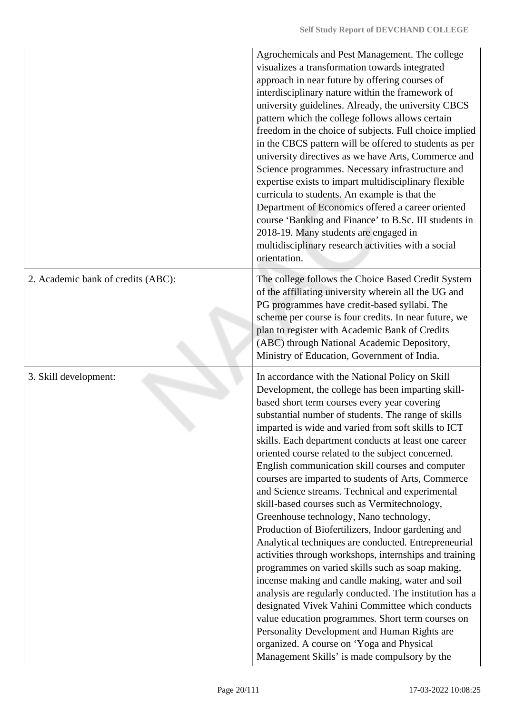|                                    | Agrochemicals and Pest Management. The college<br>visualizes a transformation towards integrated<br>approach in near future by offering courses of<br>interdisciplinary nature within the framework of<br>university guidelines. Already, the university CBCS<br>pattern which the college follows allows certain<br>freedom in the choice of subjects. Full choice implied<br>in the CBCS pattern will be offered to students as per<br>university directives as we have Arts, Commerce and<br>Science programmes. Necessary infrastructure and<br>expertise exists to impart multidisciplinary flexible<br>curricula to students. An example is that the<br>Department of Economics offered a career oriented<br>course 'Banking and Finance' to B.Sc. III students in<br>2018-19. Many students are engaged in<br>multidisciplinary research activities with a social<br>orientation.                                                                                                                                                                                                                                                                                                                                                  |
|------------------------------------|-------------------------------------------------------------------------------------------------------------------------------------------------------------------------------------------------------------------------------------------------------------------------------------------------------------------------------------------------------------------------------------------------------------------------------------------------------------------------------------------------------------------------------------------------------------------------------------------------------------------------------------------------------------------------------------------------------------------------------------------------------------------------------------------------------------------------------------------------------------------------------------------------------------------------------------------------------------------------------------------------------------------------------------------------------------------------------------------------------------------------------------------------------------------------------------------------------------------------------------------|
| 2. Academic bank of credits (ABC): | The college follows the Choice Based Credit System<br>of the affiliating university wherein all the UG and<br>PG programmes have credit-based syllabi. The<br>scheme per course is four credits. In near future, we<br>plan to register with Academic Bank of Credits<br>(ABC) through National Academic Depository,<br>Ministry of Education, Government of India.                                                                                                                                                                                                                                                                                                                                                                                                                                                                                                                                                                                                                                                                                                                                                                                                                                                                       |
| 3. Skill development:              | In accordance with the National Policy on Skill<br>Development, the college has been imparting skill-<br>based short term courses every year covering<br>substantial number of students. The range of skills<br>imparted is wide and varied from soft skills to ICT<br>skills. Each department conducts at least one career<br>oriented course related to the subject concerned.<br>English communication skill courses and computer<br>courses are imparted to students of Arts, Commerce<br>and Science streams. Technical and experimental<br>skill-based courses such as Vermitechnology,<br>Greenhouse technology, Nano technology,<br>Production of Biofertilizers, Indoor gardening and<br>Analytical techniques are conducted. Entrepreneurial<br>activities through workshops, internships and training<br>programmes on varied skills such as soap making,<br>incense making and candle making, water and soil<br>analysis are regularly conducted. The institution has a<br>designated Vivek Vahini Committee which conducts<br>value education programmes. Short term courses on<br>Personality Development and Human Rights are<br>organized. A course on 'Yoga and Physical<br>Management Skills' is made compulsory by the |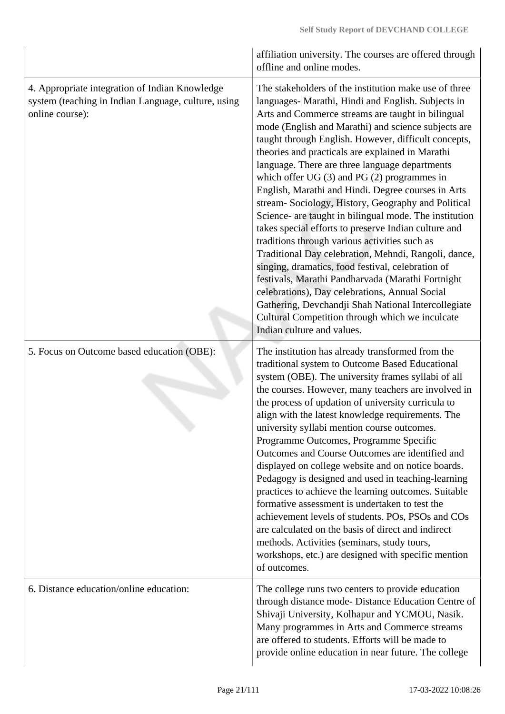|                                                                                                                          | affiliation university. The courses are offered through<br>offline and online modes.                                                                                                                                                                                                                                                                                                                                                                                                                                                                                                                                                                                                                                                                                                                                                                                                                                                                                                                                                                                                 |
|--------------------------------------------------------------------------------------------------------------------------|--------------------------------------------------------------------------------------------------------------------------------------------------------------------------------------------------------------------------------------------------------------------------------------------------------------------------------------------------------------------------------------------------------------------------------------------------------------------------------------------------------------------------------------------------------------------------------------------------------------------------------------------------------------------------------------------------------------------------------------------------------------------------------------------------------------------------------------------------------------------------------------------------------------------------------------------------------------------------------------------------------------------------------------------------------------------------------------|
| 4. Appropriate integration of Indian Knowledge<br>system (teaching in Indian Language, culture, using<br>online course): | The stakeholders of the institution make use of three<br>languages- Marathi, Hindi and English. Subjects in<br>Arts and Commerce streams are taught in bilingual<br>mode (English and Marathi) and science subjects are<br>taught through English. However, difficult concepts,<br>theories and practicals are explained in Marathi<br>language. There are three language departments<br>which offer UG $(3)$ and PG $(2)$ programmes in<br>English, Marathi and Hindi. Degree courses in Arts<br>stream- Sociology, History, Geography and Political<br>Science- are taught in bilingual mode. The institution<br>takes special efforts to preserve Indian culture and<br>traditions through various activities such as<br>Traditional Day celebration, Mehndi, Rangoli, dance,<br>singing, dramatics, food festival, celebration of<br>festivals, Marathi Pandharvada (Marathi Fortnight<br>celebrations), Day celebrations, Annual Social<br>Gathering, Devchandji Shah National Intercollegiate<br>Cultural Competition through which we inculcate<br>Indian culture and values. |
| 5. Focus on Outcome based education (OBE):                                                                               | The institution has already transformed from the<br>traditional system to Outcome Based Educational<br>system (OBE). The university frames syllabi of all<br>the courses. However, many teachers are involved in<br>the process of updation of university curricula to<br>align with the latest knowledge requirements. The<br>university syllabi mention course outcomes.<br>Programme Outcomes, Programme Specific<br>Outcomes and Course Outcomes are identified and<br>displayed on college website and on notice boards.<br>Pedagogy is designed and used in teaching-learning<br>practices to achieve the learning outcomes. Suitable<br>formative assessment is undertaken to test the<br>achievement levels of students. POs, PSOs and COs<br>are calculated on the basis of direct and indirect<br>methods. Activities (seminars, study tours,<br>workshops, etc.) are designed with specific mention<br>of outcomes.                                                                                                                                                       |
| 6. Distance education/online education:                                                                                  | The college runs two centers to provide education<br>through distance mode- Distance Education Centre of<br>Shivaji University, Kolhapur and YCMOU, Nasik.<br>Many programmes in Arts and Commerce streams<br>are offered to students. Efforts will be made to<br>provide online education in near future. The college                                                                                                                                                                                                                                                                                                                                                                                                                                                                                                                                                                                                                                                                                                                                                               |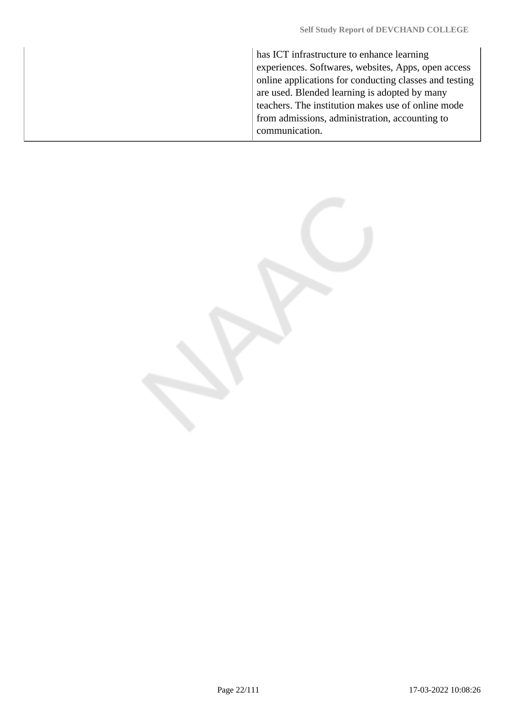has ICT infrastructure to enhance learning experiences. Softwares, websites, Apps, open access online applications for conducting classes and testing are used. Blended learning is adopted by many teachers. The institution makes use of online mode from admissions, administration, accounting to communication.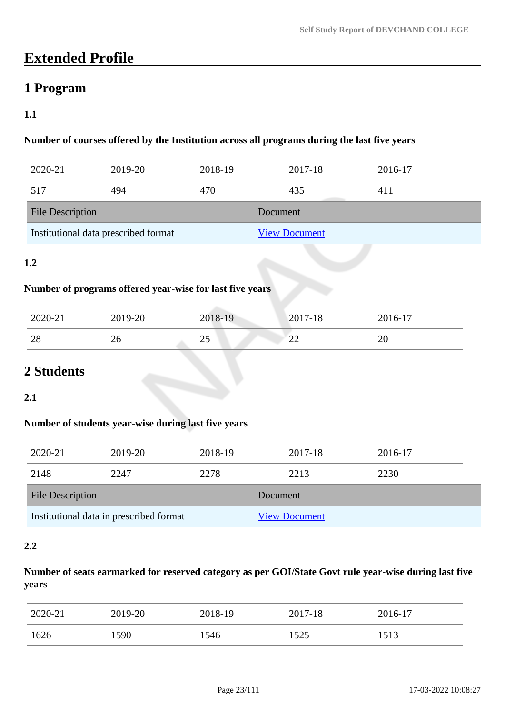# **Extended Profile**

# **1 Program**

# **1.1**

## **Number of courses offered by the Institution across all programs during the last five years**

| 2020-21                              | 2019-20 | 2018-19  |                      | 2017-18 | 2016-17 |
|--------------------------------------|---------|----------|----------------------|---------|---------|
| 517                                  | 494     | 470      |                      | 435     | 411     |
| <b>File Description</b>              |         | Document |                      |         |         |
| Institutional data prescribed format |         |          | <b>View Document</b> |         |         |

### **1.2**

### **Number of programs offered year-wise for last five years**

| 2020-21 | 2019-20 | 2018-19         | $2017 - 18$  | 2016-17 |
|---------|---------|-----------------|--------------|---------|
| 28      | ົ<br>26 | $\bigcap$<br>رے | $\sim$<br>∠∠ | 20      |

# **2 Students**

### **2.1**

# **Number of students year-wise during last five years**

| 2020-21                                 | 2019-20 | 2018-19  |                      | 2017-18 | 2016-17 |
|-----------------------------------------|---------|----------|----------------------|---------|---------|
| 2148                                    | 2247    | 2278     |                      | 2213    | 2230    |
| <b>File Description</b>                 |         | Document |                      |         |         |
| Institutional data in prescribed format |         |          | <b>View Document</b> |         |         |

### **2.2**

# **Number of seats earmarked for reserved category as per GOI/State Govt rule year-wise during last five years**

| 2020-21 | 2019-20 | 2018-19 | 2017-18 | 2016-17 |
|---------|---------|---------|---------|---------|
| 1626    | 1590    | 1546    | 1525    | 1513    |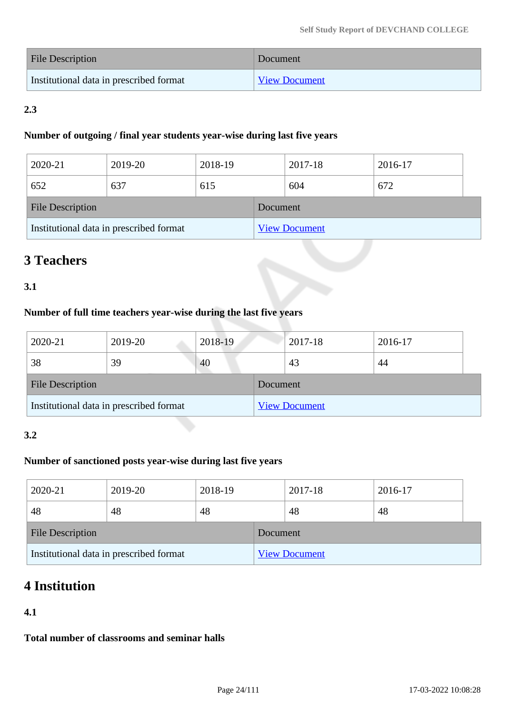| <b>File Description</b>                 | Document             |
|-----------------------------------------|----------------------|
| Institutional data in prescribed format | <b>View Document</b> |

# **2.3**

### **Number of outgoing / final year students year-wise during last five years**

| 2020-21                                 | 2019-20 | 2018-19  |  | 2017-18              | 2016-17 |  |
|-----------------------------------------|---------|----------|--|----------------------|---------|--|
| 652                                     | 637     | 615      |  | 604                  | 672     |  |
| <b>File Description</b>                 |         | Document |  |                      |         |  |
| Institutional data in prescribed format |         |          |  | <b>View Document</b> |         |  |

# **3 Teachers**

# **3.1**

# **Number of full time teachers year-wise during the last five years**

| 2020-21                                 | 2019-20 | 2018-19  |                      | 2017-18 | 2016-17 |  |
|-----------------------------------------|---------|----------|----------------------|---------|---------|--|
| 38                                      | 39      | 40       |                      | 43      | 44      |  |
| <b>File Description</b>                 |         | Document |                      |         |         |  |
| Institutional data in prescribed format |         |          | <b>View Document</b> |         |         |  |

### **3.2**

## **Number of sanctioned posts year-wise during last five years**

| 2020-21                                 | 2019-20 | 2018-19  |                      | 2017-18 | 2016-17 |
|-----------------------------------------|---------|----------|----------------------|---------|---------|
| 48                                      | 48      | 48       |                      | 48      | 48      |
| <b>File Description</b>                 |         | Document |                      |         |         |
| Institutional data in prescribed format |         |          | <b>View Document</b> |         |         |

# **4 Institution**

## **4.1**

**Total number of classrooms and seminar halls**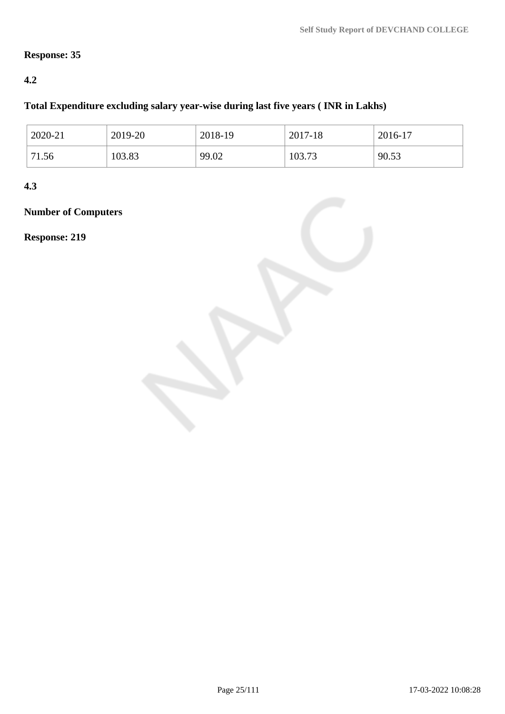# **Response: 35**

## **4.2**

# **Total Expenditure excluding salary year-wise during last five years ( INR in Lakhs)**

| 2020-21 | 2019-20 | 2018-19 | 2017-18 | 2016-17 |
|---------|---------|---------|---------|---------|
| 71.56   | 103.83  | 99.02   | 103.73  | 90.53   |

**4.3**

**Number of Computers**

**Response: 219**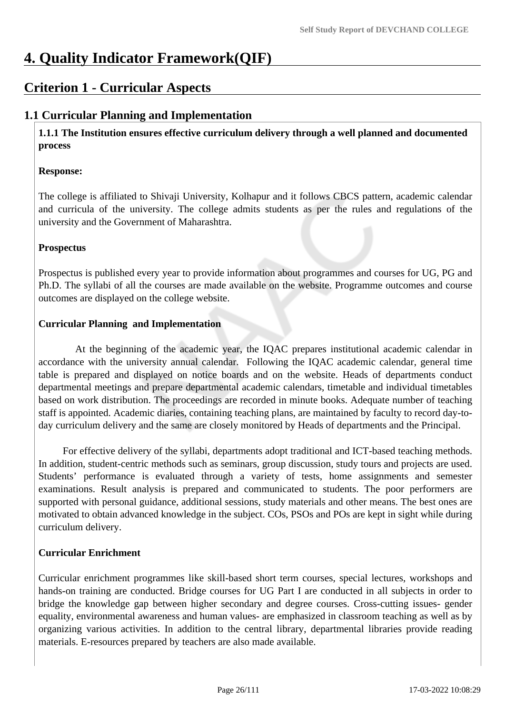# **4. Quality Indicator Framework(QIF)**

# **Criterion 1 - Curricular Aspects**

# **1.1 Curricular Planning and Implementation**

 **1.1.1 The Institution ensures effective curriculum delivery through a well planned and documented process**

### **Response:**

The college is affiliated to Shivaji University, Kolhapur and it follows CBCS pattern, academic calendar and curricula of the university. The college admits students as per the rules and regulations of the university and the Government of Maharashtra.

### **Prospectus**

Prospectus is published every year to provide information about programmes and courses for UG, PG and Ph.D. The syllabi of all the courses are made available on the website. Programme outcomes and course outcomes are displayed on the college website.

### **Curricular Planning and Implementation**

 At the beginning of the academic year, the IQAC prepares institutional academic calendar in accordance with the university annual calendar. Following the IQAC academic calendar, general time table is prepared and displayed on notice boards and on the website. Heads of departments conduct departmental meetings and prepare departmental academic calendars, timetable and individual timetables based on work distribution. The proceedings are recorded in minute books. Adequate number of teaching staff is appointed. Academic diaries, containing teaching plans, are maintained by faculty to record day-today curriculum delivery and the same are closely monitored by Heads of departments and the Principal.

 For effective delivery of the syllabi, departments adopt traditional and ICT-based teaching methods. In addition, student-centric methods such as seminars, group discussion, study tours and projects are used. Students' performance is evaluated through a variety of tests, home assignments and semester examinations. Result analysis is prepared and communicated to students. The poor performers are supported with personal guidance, additional sessions, study materials and other means. The best ones are motivated to obtain advanced knowledge in the subject. COs, PSOs and POs are kept in sight while during curriculum delivery.

## **Curricular Enrichment**

Curricular enrichment programmes like skill-based short term courses, special lectures, workshops and hands-on training are conducted. Bridge courses for UG Part I are conducted in all subjects in order to bridge the knowledge gap between higher secondary and degree courses. Cross-cutting issues- gender equality, environmental awareness and human values- are emphasized in classroom teaching as well as by organizing various activities. In addition to the central library, departmental libraries provide reading materials. E-resources prepared by teachers are also made available.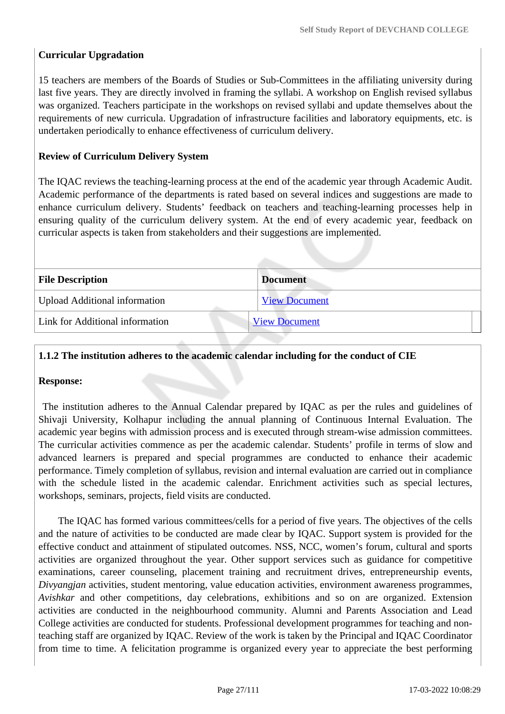### **Curricular Upgradation**

15 teachers are members of the Boards of Studies or Sub-Committees in the affiliating university during last five years. They are directly involved in framing the syllabi. A workshop on English revised syllabus was organized. Teachers participate in the workshops on revised syllabi and update themselves about the requirements of new curricula. Upgradation of infrastructure facilities and laboratory equipments, etc. is undertaken periodically to enhance effectiveness of curriculum delivery.

### **Review of Curriculum Delivery System**

The IQAC reviews the teaching-learning process at the end of the academic year through Academic Audit. Academic performance of the departments is rated based on several indices and suggestions are made to enhance curriculum delivery. Students' feedback on teachers and teaching-learning processes help in ensuring quality of the curriculum delivery system. At the end of every academic year, feedback on curricular aspects is taken from stakeholders and their suggestions are implemented.

| <b>File Description</b>              | <b>Document</b>      |  |
|--------------------------------------|----------------------|--|
| <b>Upload Additional information</b> | <b>View Document</b> |  |
| Link for Additional information      | <b>View Document</b> |  |
|                                      |                      |  |

#### **1.1.2 The institution adheres to the academic calendar including for the conduct of CIE**

#### **Response:**

 The institution adheres to the Annual Calendar prepared by IQAC as per the rules and guidelines of Shivaji University, Kolhapur including the annual planning of Continuous Internal Evaluation. The academic year begins with admission process and is executed through stream-wise admission committees. The curricular activities commence as per the academic calendar. Students' profile in terms of slow and advanced learners is prepared and special programmes are conducted to enhance their academic performance. Timely completion of syllabus, revision and internal evaluation are carried out in compliance with the schedule listed in the academic calendar. Enrichment activities such as special lectures, workshops, seminars, projects, field visits are conducted.

 The IQAC has formed various committees/cells for a period of five years. The objectives of the cells and the nature of activities to be conducted are made clear by IQAC. Support system is provided for the effective conduct and attainment of stipulated outcomes. NSS, NCC, women's forum, cultural and sports activities are organized throughout the year. Other support services such as guidance for competitive examinations, career counseling, placement training and recruitment drives, entrepreneurship events, *Divyangjan* activities, student mentoring, value education activities, environment awareness programmes, *Avishkar* and other competitions, day celebrations, exhibitions and so on are organized. Extension activities are conducted in the neighbourhood community. Alumni and Parents Association and Lead College activities are conducted for students. Professional development programmes for teaching and nonteaching staff are organized by IQAC. Review of the work is taken by the Principal and IQAC Coordinator from time to time. A felicitation programme is organized every year to appreciate the best performing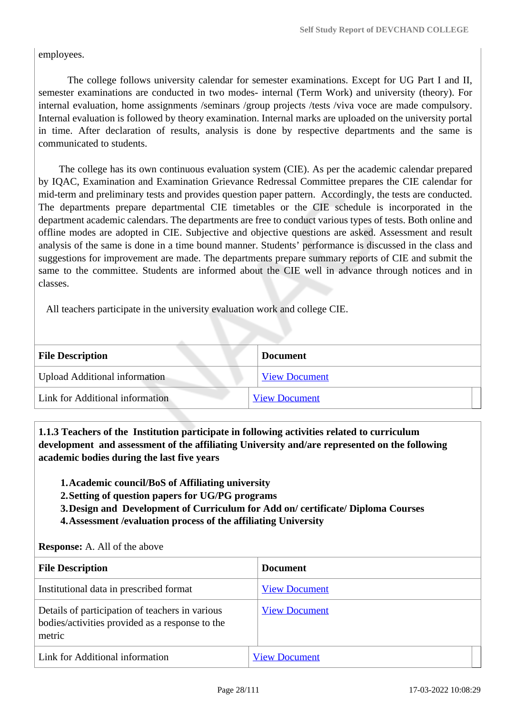employees.

 The college follows university calendar for semester examinations. Except for UG Part I and II, semester examinations are conducted in two modes- internal (Term Work) and university (theory). For internal evaluation, home assignments /seminars /group projects /tests /viva voce are made compulsory. Internal evaluation is followed by theory examination. Internal marks are uploaded on the university portal in time. After declaration of results, analysis is done by respective departments and the same is communicated to students.

 The college has its own continuous evaluation system (CIE). As per the academic calendar prepared by IQAC, Examination and Examination Grievance Redressal Committee prepares the CIE calendar for mid-term and preliminary tests and provides question paper pattern. Accordingly, the tests are conducted. The departments prepare departmental CIE timetables or the CIE schedule is incorporated in the department academic calendars. The departments are free to conduct various types of tests. Both online and offline modes are adopted in CIE. Subjective and objective questions are asked. Assessment and result analysis of the same is done in a time bound manner. Students' performance is discussed in the class and suggestions for improvement are made. The departments prepare summary reports of CIE and submit the same to the committee. Students are informed about the CIE well in advance through notices and in classes.

All teachers participate in the university evaluation work and college CIE.

| <b>File Description</b>              | Document             |
|--------------------------------------|----------------------|
| <b>Upload Additional information</b> | <b>View Document</b> |
| Link for Additional information      | <b>View Document</b> |

 **1.1.3 Teachers of the Institution participate in following activities related to curriculum development and assessment of the affiliating University and/are represented on the following academic bodies during the last five years** 

- **1.Academic council/BoS of Affiliating university**
- **2.Setting of question papers for UG/PG programs**
- **3.Design and Development of Curriculum for Add on/ certificate/ Diploma Courses**
- **4.Assessment /evaluation process of the affiliating University**

#### **Response:** A. All of the above

| <b>File Description</b>                                                                                      | <b>Document</b>      |
|--------------------------------------------------------------------------------------------------------------|----------------------|
| Institutional data in prescribed format                                                                      | <b>View Document</b> |
| Details of participation of teachers in various<br>bodies/activities provided as a response to the<br>metric | <b>View Document</b> |
| Link for Additional information                                                                              | <b>View Document</b> |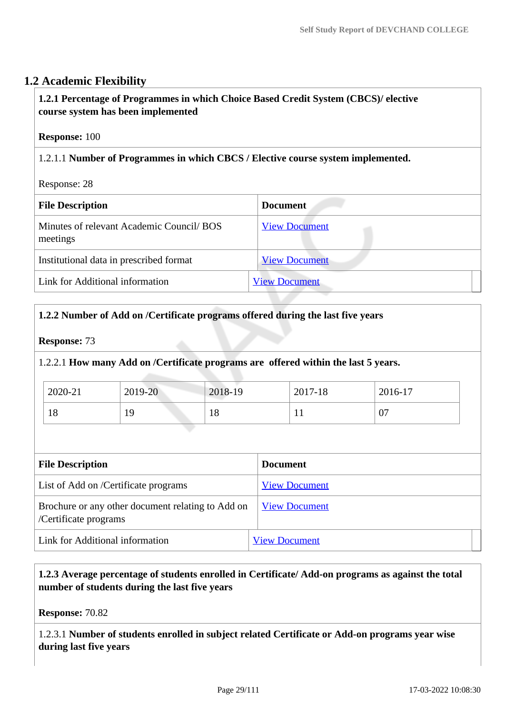# **1.2 Academic Flexibility**

## **1.2.1 Percentage of Programmes in which Choice Based Credit System (CBCS)/ elective course system has been implemented**

#### **Response:** 100

## 1.2.1.1 **Number of Programmes in which CBCS / Elective course system implemented.**

Response: 28

| <b>File Description</b>                               | <b>Document</b>      |
|-------------------------------------------------------|----------------------|
| Minutes of relevant Academic Council/ BOS<br>meetings | <b>View Document</b> |
| Institutional data in prescribed format               | <b>View Document</b> |
| Link for Additional information                       | <b>View Document</b> |

### **1.2.2 Number of Add on /Certificate programs offered during the last five years**

**Response:** 73

1.2.2.1 **How many Add on /Certificate programs are offered within the last 5 years.**

| 2020-21 | 2019-20 | 2018-19 | 2017-18 | 2016-17 |
|---------|---------|---------|---------|---------|
| 18      | **      | 18      |         | U.      |

| <b>File Description</b>                                                    | <b>Document</b>      |
|----------------------------------------------------------------------------|----------------------|
| List of Add on /Certificate programs                                       | <b>View Document</b> |
| Brochure or any other document relating to Add on<br>/Certificate programs | <b>View Document</b> |
| Link for Additional information                                            | <b>View Document</b> |

 **1.2.3 Average percentage of students enrolled in Certificate/ Add-on programs as against the total number of students during the last five years**

**Response:** 70.82

1.2.3.1 **Number of students enrolled in subject related Certificate or Add-on programs year wise during last five years**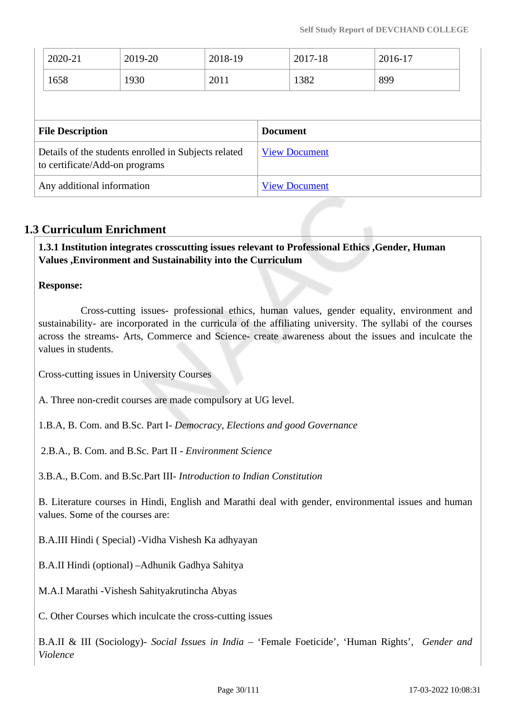| 2020-21                    | 2019-20                                                                                | 2018-19 |                      | 2017-18 | 2016-17 |
|----------------------------|----------------------------------------------------------------------------------------|---------|----------------------|---------|---------|
| 1658                       | 1930                                                                                   | 2011    |                      | 1382    | 899     |
|                            |                                                                                        |         |                      |         |         |
| <b>File Description</b>    |                                                                                        |         | <b>Document</b>      |         |         |
|                            | Details of the students enrolled in Subjects related<br>to certificate/Add-on programs |         | <b>View Document</b> |         |         |
| Any additional information |                                                                                        |         | <b>View Document</b> |         |         |

# **1.3 Curriculum Enrichment**

 **1.3.1 Institution integrates crosscutting issues relevant to Professional Ethics ,Gender, Human Values ,Environment and Sustainability into the Curriculum**

### **Response:**

 Cross-cutting issues- professional ethics, human values, gender equality, environment and sustainability- are incorporated in the curricula of the affiliating university. The syllabi of the courses across the streams- Arts, Commerce and Science- create awareness about the issues and inculcate the values in students.

Cross-cutting issues in University Courses

A. Three non-credit courses are made compulsory at UG level.

1.B.A, B. Com. and B.Sc. Part I- *Democracy, Elections and good Governance*

2.B.A., B. Com. and B.Sc. Part II - *Environment Science*

3.B.A., B.Com. and B.Sc.Part III- *Introduction to Indian Constitution*

B. Literature courses in Hindi, English and Marathi deal with gender, environmental issues and human values. Some of the courses are:

B.A.III Hindi ( Special) -Vidha Vishesh Ka adhyayan

B.A.II Hindi (optional) –Adhunik Gadhya Sahitya

M.A.I Marathi -Vishesh Sahityakrutincha Abyas

C. Other Courses which inculcate the cross-cutting issues

B.A.II & III (Sociology)- *Social Issues in India* – 'Female Foeticide', 'Human Rights', *Gender and Violence*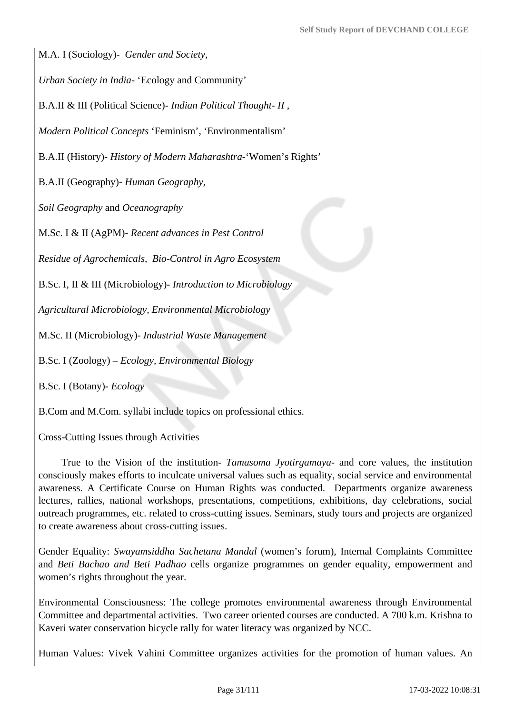M.A. I (Sociology)- *Gender and Society,* 

*Urban Society in India*- 'Ecology and Community'

B.A.II & III (Political Science)- *Indian Political Thought- II* ,

*Modern Political Concepts* 'Feminism', 'Environmentalism'

B.A.II (History)- *History of Modern Maharashtra*-'Women's Rights'

B.A.II (Geography)- *Human Geography,* 

*Soil Geography* and *Oceanography*

M.Sc. I & II (AgPM)- *Recent advances in Pest Control*

*Residue of Agrochemicals, Bio-Control in Agro Ecosystem* 

B.Sc. I, II & III (Microbiology)- *Introduction to Microbiology*

*Agricultural Microbiology, Environmental Microbiology*

M.Sc. II (Microbiology)- *Industrial Waste Management*

B.Sc. I (Zoology) – *Ecology, Environmental Biology*

B.Sc. I (Botany)- *Ecology*

B.Com and M.Com. syllabi include topics on professional ethics.

Cross-Cutting Issues through Activities

 True to the Vision of the institution- *Tamasoma Jyotirgamaya*- and core values, the institution consciously makes efforts to inculcate universal values such as equality, social service and environmental awareness. A Certificate Course on Human Rights was conducted. Departments organize awareness lectures, rallies, national workshops, presentations, competitions, exhibitions, day celebrations, social outreach programmes, etc. related to cross-cutting issues. Seminars, study tours and projects are organized to create awareness about cross-cutting issues.

Gender Equality: *Swayamsiddha Sachetana Mandal* (women's forum), Internal Complaints Committee and *Beti Bachao and Beti Padhao* cells organize programmes on gender equality, empowerment and women's rights throughout the year.

Environmental Consciousness: The college promotes environmental awareness through Environmental Committee and departmental activities. Two career oriented courses are conducted. A 700 k.m. Krishna to Kaveri water conservation bicycle rally for water literacy was organized by NCC.

Human Values: Vivek Vahini Committee organizes activities for the promotion of human values. An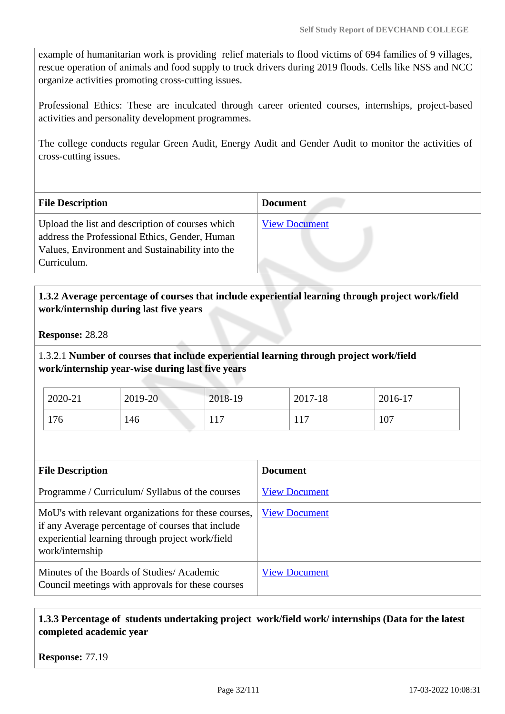example of humanitarian work is providing relief materials to flood victims of 694 families of 9 villages, rescue operation of animals and food supply to truck drivers during 2019 floods. Cells like NSS and NCC organize activities promoting cross-cutting issues.

Professional Ethics: These are inculcated through career oriented courses, internships, project-based activities and personality development programmes.

The college conducts regular Green Audit, Energy Audit and Gender Audit to monitor the activities of cross-cutting issues.

| <b>File Description</b>                                                                                                                                              | <b>Document</b>      |
|----------------------------------------------------------------------------------------------------------------------------------------------------------------------|----------------------|
| Upload the list and description of courses which<br>address the Professional Ethics, Gender, Human<br>Values, Environment and Sustainability into the<br>Curriculum. | <b>View Document</b> |

## **1.3.2 Average percentage of courses that include experiential learning through project work/field work/internship during last five years**

**Response:** 28.28

1.3.2.1 **Number of courses that include experiential learning through project work/field work/internship year-wise during last five years**

| 2020-21 | 2019-20 | 2018-19     | 2017-18               | 2016-17 |
|---------|---------|-------------|-----------------------|---------|
| 176     | 146     | 17<br>1 L J | 1 <sub>7</sub><br>11/ | 107     |

| <b>File Description</b>                                                                                                                                                          | <b>Document</b>      |
|----------------------------------------------------------------------------------------------------------------------------------------------------------------------------------|----------------------|
| Programme / Curriculum/ Syllabus of the courses                                                                                                                                  | <b>View Document</b> |
| MoU's with relevant organizations for these courses,<br>if any Average percentage of courses that include<br>experiential learning through project work/field<br>work/internship | <b>View Document</b> |
| Minutes of the Boards of Studies/Academic<br>Council meetings with approvals for these courses                                                                                   | <b>View Document</b> |

## **1.3.3 Percentage of students undertaking project work/field work/ internships (Data for the latest completed academic year**

**Response:** 77.19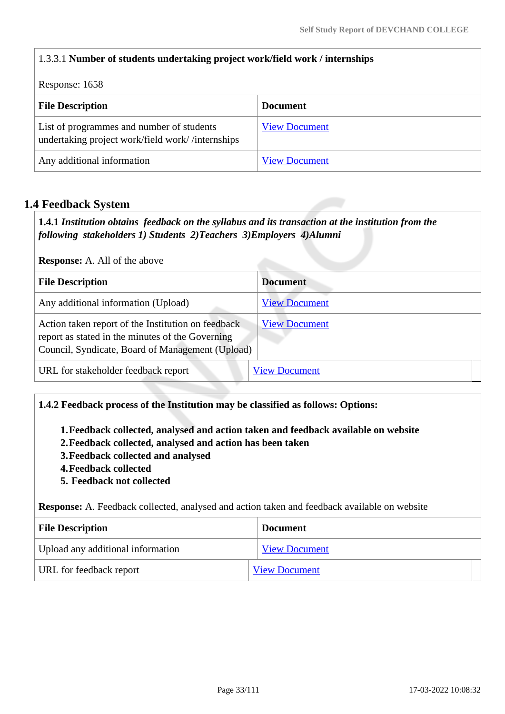# 1.3.3.1 **Number of students undertaking project work/field work / internships** Response: 1658 **File Description Document** List of programmes and number of students undertaking project work/field work/ /internships [View Document](https://assessmentonline.naac.gov.in/storage/app/hei/SSR/104917/1.3.3_1646831666_7329.xlsx) Any additional information [View Document](https://assessmentonline.naac.gov.in/storage/app/hei/SSR/104917/1.3.3_1646740176_7329.pdf)

# **1.4 Feedback System**

 **1.4.1** *Institution obtains feedback on the syllabus and its transaction at the institution from the following stakeholders 1) Students 2)Teachers 3)Employers 4)Alumni* 

**Response:** A. All of the above

| <b>File Description</b>                                                                                                                                    | <b>Document</b>      |
|------------------------------------------------------------------------------------------------------------------------------------------------------------|----------------------|
| Any additional information (Upload)                                                                                                                        | <b>View Document</b> |
| Action taken report of the Institution on feedback<br>report as stated in the minutes of the Governing<br>Council, Syndicate, Board of Management (Upload) | <b>View Document</b> |
| URL for stakeholder feedback report                                                                                                                        | <b>View Document</b> |

### **1.4.2 Feedback process of the Institution may be classified as follows: Options:**

**1.Feedback collected, analysed and action taken and feedback available on website**

- **2.Feedback collected, analysed and action has been taken**
- **3.Feedback collected and analysed**
- **4.Feedback collected**
- **5. Feedback not collected**

**Response:** A. Feedback collected, analysed and action taken and feedback available on website

| <b>File Description</b>           | <b>Document</b>      |
|-----------------------------------|----------------------|
| Upload any additional information | <b>View Document</b> |
| URL for feedback report           | <b>View Document</b> |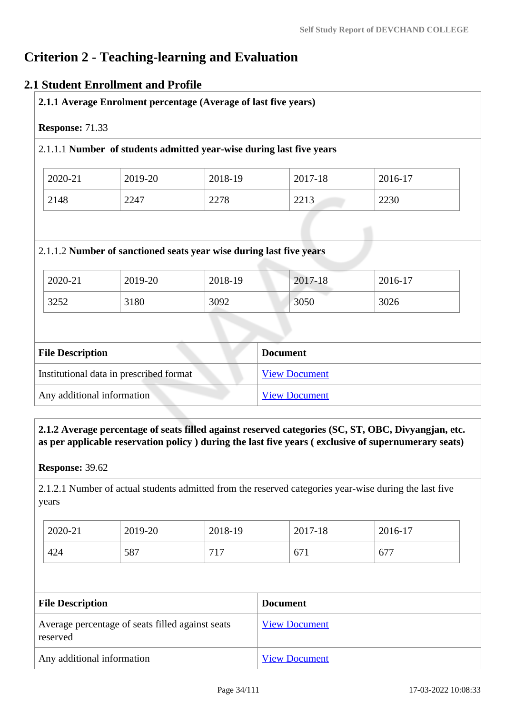# **Criterion 2 - Teaching-learning and Evaluation**

## **2.1 Student Enrollment and Profile**

|                         |         | 2.1.1.1 Number of students admitted year-wise during last five years |                 |         |
|-------------------------|---------|----------------------------------------------------------------------|-----------------|---------|
| 2020-21                 | 2019-20 | 2018-19                                                              | 2017-18         | 2016-17 |
| 2148                    | 2247    | 2278                                                                 | 2213            | 2230    |
|                         |         | 2.1.1.2 Number of sanctioned seats year wise during last five years  |                 |         |
| 2020-21                 | 2019-20 | 2018-19                                                              | 2017-18         | 2016-17 |
| 3252                    | 3180    | 3092                                                                 | 3050            | 3026    |
|                         |         |                                                                      |                 |         |
| <b>File Description</b> |         |                                                                      | <b>Document</b> |         |

Any additional information [View Document](https://assessmentonline.naac.gov.in/storage/app/hei/SSR/104917/2.1.1_1646821315_7329.pdf)

 **2.1.2 Average percentage of seats filled against reserved categories (SC, ST, OBC, Divyangjan, etc. as per applicable reservation policy ) during the last five years ( exclusive of supernumerary seats)**

**Response:** 39.62

2.1.2.1 Number of actual students admitted from the reserved categories year-wise during the last five years

| 2020-21 | 2019-20 | 2018-19 | 2017-18 | 2016-17 |
|---------|---------|---------|---------|---------|
| 424     | 587     | 717     | 671     | 677     |

| <b>File Description</b>                                      | <b>Document</b>      |  |  |
|--------------------------------------------------------------|----------------------|--|--|
| Average percentage of seats filled against seats<br>reserved | <b>View Document</b> |  |  |
| Any additional information                                   | <b>View Document</b> |  |  |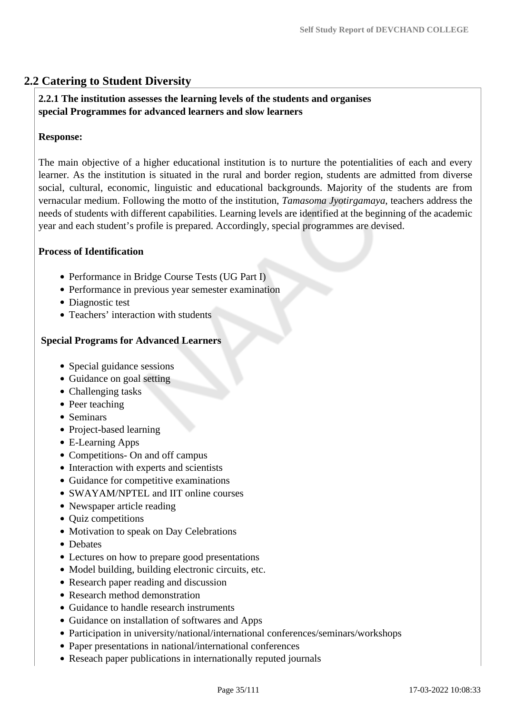# **2.2 Catering to Student Diversity**

### **2.2.1 The institution assesses the learning levels of the students and organises special Programmes for advanced learners and slow learners**

#### **Response:**

The main objective of a higher educational institution is to nurture the potentialities of each and every learner. As the institution is situated in the rural and border region, students are admitted from diverse social, cultural, economic, linguistic and educational backgrounds. Majority of the students are from vernacular medium. Following the motto of the institution, *Tamasoma Jyotirgamaya*, teachers address the needs of students with different capabilities. Learning levels are identified at the beginning of the academic year and each student's profile is prepared. Accordingly, special programmes are devised.

#### **Process of Identification**

- Performance in Bridge Course Tests (UG Part I)
- Performance in previous year semester examination
- Diagnostic test
- Teachers' interaction with students

#### **Special Programs for Advanced Learners**

- Special guidance sessions
- Guidance on goal setting
- Challenging tasks
- Peer teaching
- Seminars
- Project-based learning
- E-Learning Apps
- Competitions- On and off campus
- Interaction with experts and scientists
- Guidance for competitive examinations
- SWAYAM/NPTEL and IIT online courses
- Newspaper article reading
- Quiz competitions
- Motivation to speak on Day Celebrations
- Debates
- Lectures on how to prepare good presentations
- Model building, building electronic circuits, etc.
- Research paper reading and discussion
- Research method demonstration
- Guidance to handle research instruments
- Guidance on installation of softwares and Apps
- Participation in university/national/international conferences/seminars/workshops
- Paper presentations in national/international conferences
- Reseach paper publications in internationally reputed journals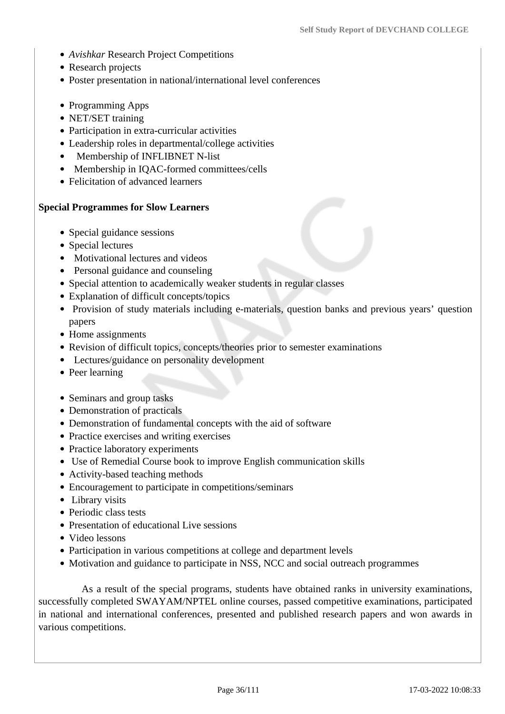- *Avishkar* Research Project Competitions
- Research projects
- Poster presentation in national/international level conferences
- Programming Apps
- NET/SET training
- Participation in extra-curricular activities
- Leadership roles in departmental/college activities
- Membership of INFLIBNET N-list
- Membership in IQAC-formed committees/cells
- Felicitation of advanced learners

#### **Special Programmes for Slow Learners**

- Special guidance sessions
- Special lectures
- Motivational lectures and videos
- Personal guidance and counseling
- Special attention to academically weaker students in regular classes
- Explanation of difficult concepts/topics
- Provision of study materials including e-materials, question banks and previous years' question papers
- Home assignments
- Revision of difficult topics, concepts/theories prior to semester examinations
- Lectures/guidance on personality development
- Peer learning
- Seminars and group tasks
- Demonstration of practicals
- Demonstration of fundamental concepts with the aid of software
- Practice exercises and writing exercises
- Practice laboratory experiments
- Use of Remedial Course book to improve English communication skills
- Activity-based teaching methods
- Encouragement to participate in competitions/seminars
- Library visits
- Periodic class tests
- Presentation of educational Live sessions
- Video lessons
- Participation in various competitions at college and department levels
- Motivation and guidance to participate in NSS, NCC and social outreach programmes

 As a result of the special programs, students have obtained ranks in university examinations, successfully completed SWAYAM/NPTEL online courses, passed competitive examinations, participated in national and international conferences, presented and published research papers and won awards in various competitions.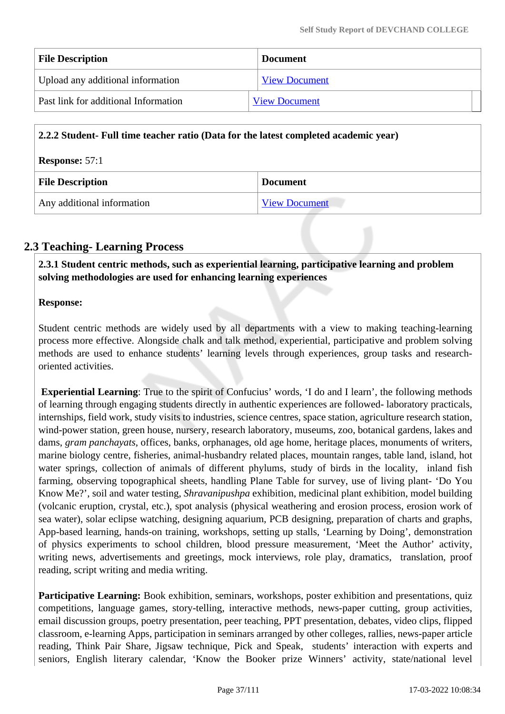| <b>File Description</b>              | <b>Document</b>      |  |
|--------------------------------------|----------------------|--|
| Upload any additional information    | <b>View Document</b> |  |
| Past link for additional Information | <b>View Document</b> |  |

| 2.2.2 Student- Full time teacher ratio (Data for the latest completed academic year) |                      |
|--------------------------------------------------------------------------------------|----------------------|
| <b>Response: 57:1</b>                                                                |                      |
| <b>File Description</b>                                                              | <b>Document</b>      |
| Any additional information                                                           | <b>View Document</b> |

# **2.3 Teaching- Learning Process**

 **2.3.1 Student centric methods, such as experiential learning, participative learning and problem solving methodologies are used for enhancing learning experiences**

## **Response:**

Student centric methods are widely used by all departments with a view to making teaching-learning process more effective. Alongside chalk and talk method, experiential, participative and problem solving methods are used to enhance students' learning levels through experiences, group tasks and researchoriented activities.

**Experiential Learning**: True to the spirit of Confucius' words, 'I do and I learn', the following methods of learning through engaging students directly in authentic experiences are followed- laboratory practicals, internships, field work, study visits to industries, science centres, space station, agriculture research station, wind-power station, green house, nursery, research laboratory, museums, zoo, botanical gardens, lakes and dams, *gram panchayats*, offices, banks, orphanages, old age home, heritage places, monuments of writers, marine biology centre, fisheries, animal-husbandry related places, mountain ranges, table land, island, hot water springs, collection of animals of different phylums, study of birds in the locality, inland fish farming, observing topographical sheets, handling Plane Table for survey, use of living plant- 'Do You Know Me?', soil and water testing, *Shravanipushpa* exhibition, medicinal plant exhibition, model building (volcanic eruption, crystal, etc.), spot analysis (physical weathering and erosion process, erosion work of sea water), solar eclipse watching, designing aquarium, PCB designing, preparation of charts and graphs, App-based learning, hands-on training, workshops, setting up stalls, 'Learning by Doing', demonstration of physics experiments to school children, blood pressure measurement, 'Meet the Author' activity, writing news, advertisements and greetings, mock interviews, role play, dramatics, translation, proof reading, script writing and media writing.

Participative Learning: Book exhibition, seminars, workshops, poster exhibition and presentations, quiz competitions, language games, story-telling, interactive methods, news-paper cutting, group activities, email discussion groups, poetry presentation, peer teaching, PPT presentation, debates, video clips, flipped classroom, e-learning Apps, participation in seminars arranged by other colleges, rallies, news-paper article reading, Think Pair Share, Jigsaw technique, Pick and Speak, students' interaction with experts and seniors, English literary calendar, 'Know the Booker prize Winners' activity, state/national level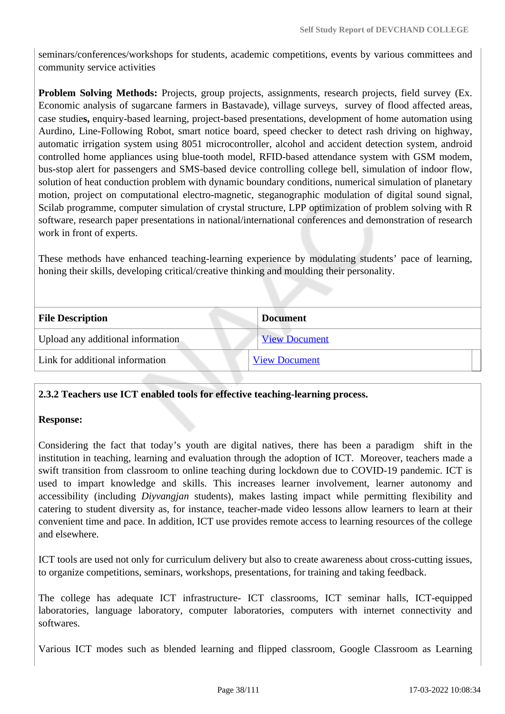seminars/conferences/workshops for students, academic competitions, events by various committees and community service activities

**Problem Solving Methods:** Projects, group projects, assignments, research projects, field survey (Ex. Economic analysis of sugarcane farmers in Bastavade), village surveys, survey of flood affected areas, case studie**s,** enquiry-based learning, project-based presentations, development of home automation using Aurdino, Line-Following Robot, smart notice board, speed checker to detect rash driving on highway, automatic irrigation system using 8051 microcontroller, alcohol and accident detection system, android controlled home appliances using blue-tooth model, RFID-based attendance system with GSM modem, bus-stop alert for passengers and SMS-based device controlling college bell, simulation of indoor flow, solution of heat conduction problem with dynamic boundary conditions, numerical simulation of planetary motion, project on computational electro-magnetic, steganographic modulation of digital sound signal, Scilab programme, computer simulation of crystal structure, LPP optimization of problem solving with R software, research paper presentations in national/international conferences and demonstration of research work in front of experts.

These methods have enhanced teaching-learning experience by modulating students' pace of learning, honing their skills, developing critical/creative thinking and moulding their personality.

| <b>File Description</b>           | <b>Document</b>      |  |
|-----------------------------------|----------------------|--|
| Upload any additional information | <b>View Document</b> |  |
| Link for additional information   | <b>View Document</b> |  |
|                                   |                      |  |

### **2.3.2 Teachers use ICT enabled tools for effective teaching-learning process.**

### **Response:**

Considering the fact that today's youth are digital natives, there has been a paradigm shift in the institution in teaching, learning and evaluation through the adoption of ICT. Moreover, teachers made a swift transition from classroom to online teaching during lockdown due to COVID-19 pandemic. ICT is used to impart knowledge and skills. This increases learner involvement, learner autonomy and accessibility (including *Diyvangjan* students), makes lasting impact while permitting flexibility and catering to student diversity as, for instance, teacher-made video lessons allow learners to learn at their convenient time and pace. In addition, ICT use provides remote access to learning resources of the college and elsewhere.

ICT tools are used not only for curriculum delivery but also to create awareness about cross-cutting issues, to organize competitions, seminars, workshops, presentations, for training and taking feedback.

The college has adequate ICT infrastructure- ICT classrooms, ICT seminar halls, ICT-equipped laboratories, language laboratory, computer laboratories, computers with internet connectivity and softwares.

Various ICT modes such as blended learning and flipped classroom, Google Classroom as Learning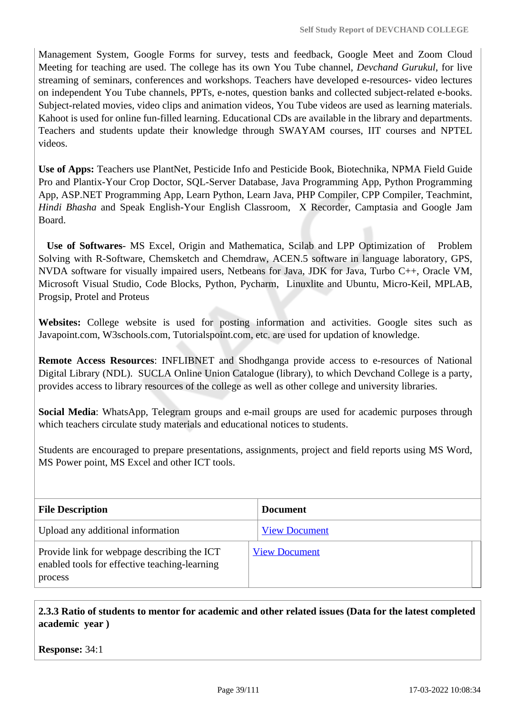Management System, Google Forms for survey, tests and feedback, Google Meet and Zoom Cloud Meeting for teaching are used. The college has its own You Tube channel, *Devchand Gurukul*, for live streaming of seminars, conferences and workshops. Teachers have developed e-resources- video lectures on independent You Tube channels, PPTs, e-notes, question banks and collected subject-related e-books. Subject-related movies, video clips and animation videos, You Tube videos are used as learning materials. Kahoot is used for online fun-filled learning. Educational CDs are available in the library and departments. Teachers and students update their knowledge through SWAYAM courses, IIT courses and NPTEL videos.

**Use of Apps:** Teachers use PlantNet, Pesticide Info and Pesticide Book, Biotechnika, NPMA Field Guide Pro and Plantix-Your Crop Doctor, SQL-Server Database, Java Programming App, Python Programming App, ASP.NET Programming App, Learn Python, Learn Java, PHP Compiler, CPP Compiler, Teachmint, *Hindi Bhasha* and Speak English-Your English Classroom, X Recorder, Camptasia and Google Jam Board.

 **Use of Softwares**- MS Excel, Origin and Mathematica, Scilab and LPP Optimization of Problem Solving with R-Software, Chemsketch and Chemdraw, ACEN.5 software in language laboratory, GPS, NVDA software for visually impaired users, Netbeans for Java, JDK for Java, Turbo C++, Oracle VM, Microsoft Visual Studio, Code Blocks, Python, Pycharm, Linuxlite and Ubuntu, Micro-Keil, MPLAB, Progsip, Protel and Proteus

**Websites:** College website is used for posting information and activities. Google sites such as Javapoint.com, W3schools.com, Tutorialspoint.com, etc. are used for updation of knowledge.

**Remote Access Resources**: INFLIBNET and Shodhganga provide access to e-resources of National Digital Library (NDL). SUCLA Online Union Catalogue (library), to which Devchand College is a party, provides access to library resources of the college as well as other college and university libraries.

**Social Media**: WhatsApp, Telegram groups and e-mail groups are used for academic purposes through which teachers circulate study materials and educational notices to students.

Students are encouraged to prepare presentations, assignments, project and field reports using MS Word, MS Power point, MS Excel and other ICT tools.

| <b>File Description</b>                                                                                 | Document             |
|---------------------------------------------------------------------------------------------------------|----------------------|
| Upload any additional information                                                                       | <b>View Document</b> |
| Provide link for webpage describing the ICT<br>enabled tools for effective teaching-learning<br>process | <b>View Document</b> |

 **2.3.3 Ratio of students to mentor for academic and other related issues (Data for the latest completed academic year )**

**Response:** 34:1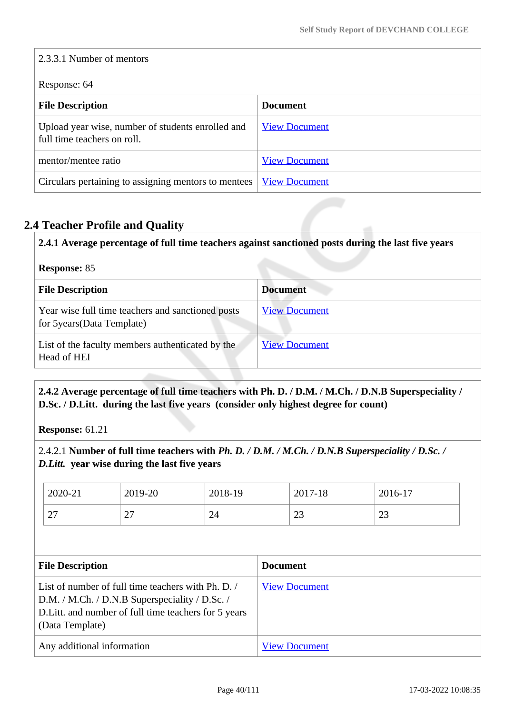| 2.3.3.1 Number of mentors                                                        |                      |  |
|----------------------------------------------------------------------------------|----------------------|--|
| Response: 64                                                                     |                      |  |
| <b>File Description</b>                                                          | <b>Document</b>      |  |
| Upload year wise, number of students enrolled and<br>full time teachers on roll. | <b>View Document</b> |  |
| mentor/mentee ratio                                                              | <b>View Document</b> |  |
| Circulars pertaining to assigning mentors to mentees                             | <b>View Document</b> |  |

# **2.4 Teacher Profile and Quality**

| <b>Response: 85</b>                                                              |                      |
|----------------------------------------------------------------------------------|----------------------|
| <b>File Description</b>                                                          | <b>Document</b>      |
| Year wise full time teachers and sanctioned posts<br>for 5 years (Data Template) | <b>View Document</b> |
| List of the faculty members authenticated by the<br>Head of HEI                  | <b>View Document</b> |

# **2.4.2 Average percentage of full time teachers with Ph. D. / D.M. / M.Ch. / D.N.B Superspeciality / D.Sc. / D.Litt. during the last five years (consider only highest degree for count)**

**Response:** 61.21

2.4.2.1 **Number of full time teachers with** *Ph. D. / D.M. / M.Ch. / D.N.B Superspeciality / D.Sc. / D.Litt.* **year wise during the last five years**

| 2020-21       | 2019-20                  | 2018-19 | 2017-18       | 2016-17  |
|---------------|--------------------------|---------|---------------|----------|
| $\sim$<br>ا ت | $\overline{\phantom{a}}$ | 24      | $\cap$<br>ل ک | ΩΩ<br>رے |

| <b>File Description</b>                                                                                                                                                        | <b>Document</b>      |
|--------------------------------------------------------------------------------------------------------------------------------------------------------------------------------|----------------------|
| List of number of full time teachers with Ph. D.<br>D.M. / M.Ch. / D.N.B Superspeciality / D.Sc. /<br>D. Litt. and number of full time teachers for 5 years<br>(Data Template) | <b>View Document</b> |
| Any additional information                                                                                                                                                     | <b>View Document</b> |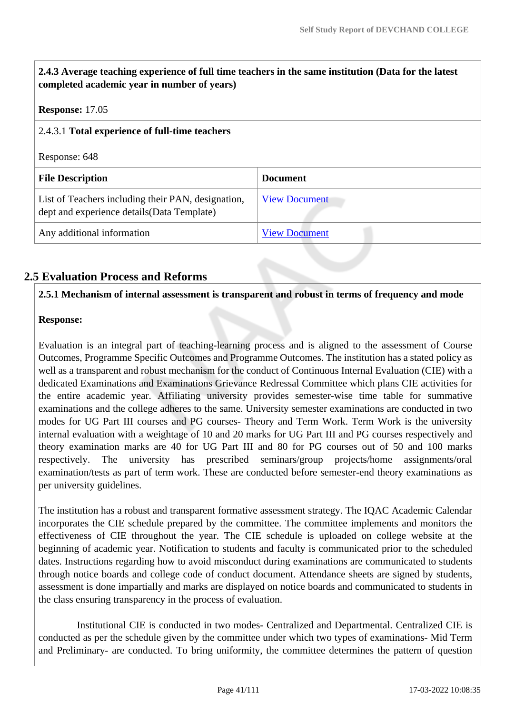| 2.4.3 Average teaching experience of full time teachers in the same institution (Data for the latest<br>completed academic year in number of years) |                      |  |
|-----------------------------------------------------------------------------------------------------------------------------------------------------|----------------------|--|
| <b>Response:</b> 17.05                                                                                                                              |                      |  |
| 2.4.3.1 Total experience of full-time teachers                                                                                                      |                      |  |
| Response: 648                                                                                                                                       |                      |  |
| <b>File Description</b>                                                                                                                             | <b>Document</b>      |  |
| List of Teachers including their PAN, designation,<br>dept and experience details (Data Template)                                                   | <b>View Document</b> |  |
| Any additional information                                                                                                                          | <b>View Document</b> |  |

# **2.5 Evaluation Process and Reforms**

### **2.5.1 Mechanism of internal assessment is transparent and robust in terms of frequency and mode**

### **Response:**

Evaluation is an integral part of teaching-learning process and is aligned to the assessment of Course Outcomes, Programme Specific Outcomes and Programme Outcomes. The institution has a stated policy as well as a transparent and robust mechanism for the conduct of Continuous Internal Evaluation (CIE) with a dedicated Examinations and Examinations Grievance Redressal Committee which plans CIE activities for the entire academic year. Affiliating university provides semester-wise time table for summative examinations and the college adheres to the same. University semester examinations are conducted in two modes for UG Part III courses and PG courses- Theory and Term Work. Term Work is the university internal evaluation with a weightage of 10 and 20 marks for UG Part III and PG courses respectively and theory examination marks are 40 for UG Part III and 80 for PG courses out of 50 and 100 marks respectively. The university has prescribed seminars/group projects/home assignments/oral examination/tests as part of term work. These are conducted before semester-end theory examinations as per university guidelines.

The institution has a robust and transparent formative assessment strategy. The IQAC Academic Calendar incorporates the CIE schedule prepared by the committee. The committee implements and monitors the effectiveness of CIE throughout the year. The CIE schedule is uploaded on college website at the beginning of academic year. Notification to students and faculty is communicated prior to the scheduled dates. Instructions regarding how to avoid misconduct during examinations are communicated to students through notice boards and college code of conduct document. Attendance sheets are signed by students, assessment is done impartially and marks are displayed on notice boards and communicated to students in the class ensuring transparency in the process of evaluation.

 Institutional CIE is conducted in two modes- Centralized and Departmental. Centralized CIE is conducted as per the schedule given by the committee under which two types of examinations- Mid Term and Preliminary- are conducted. To bring uniformity, the committee determines the pattern of question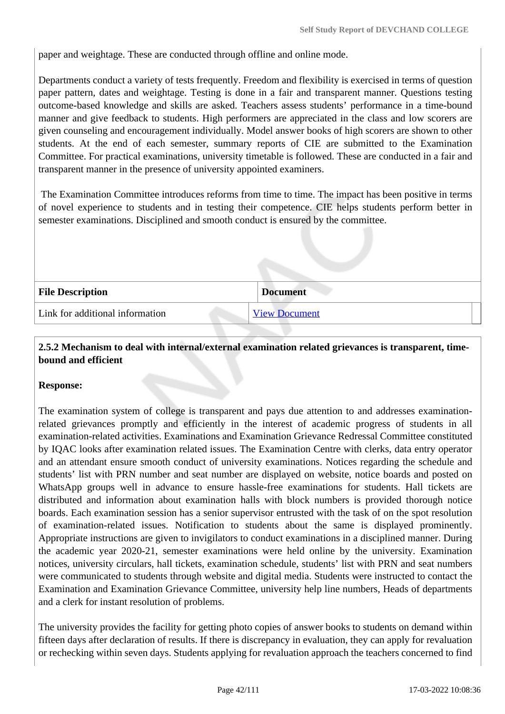paper and weightage. These are conducted through offline and online mode.

Departments conduct a variety of tests frequently. Freedom and flexibility is exercised in terms of question paper pattern, dates and weightage. Testing is done in a fair and transparent manner. Questions testing outcome-based knowledge and skills are asked. Teachers assess students' performance in a time-bound manner and give feedback to students. High performers are appreciated in the class and low scorers are given counseling and encouragement individually. Model answer books of high scorers are shown to other students. At the end of each semester, summary reports of CIE are submitted to the Examination Committee. For practical examinations, university timetable is followed. These are conducted in a fair and transparent manner in the presence of university appointed examiners.

 The Examination Committee introduces reforms from time to time. The impact has been positive in terms of novel experience to students and in testing their competence. CIE helps students perform better in semester examinations. Disciplined and smooth conduct is ensured by the committee.

| <b>File Description</b>         | <b>Document</b>      |
|---------------------------------|----------------------|
| Link for additional information | <b>View Document</b> |

## **2.5.2 Mechanism to deal with internal/external examination related grievances is transparent, timebound and efficient**

### **Response:**

The examination system of college is transparent and pays due attention to and addresses examinationrelated grievances promptly and efficiently in the interest of academic progress of students in all examination-related activities. Examinations and Examination Grievance Redressal Committee constituted by IQAC looks after examination related issues. The Examination Centre with clerks, data entry operator and an attendant ensure smooth conduct of university examinations. Notices regarding the schedule and students' list with PRN number and seat number are displayed on website, notice boards and posted on WhatsApp groups well in advance to ensure hassle-free examinations for students. Hall tickets are distributed and information about examination halls with block numbers is provided thorough notice boards. Each examination session has a senior supervisor entrusted with the task of on the spot resolution of examination-related issues. Notification to students about the same is displayed prominently. Appropriate instructions are given to invigilators to conduct examinations in a disciplined manner. During the academic year 2020-21, semester examinations were held online by the university. Examination notices, university circulars, hall tickets, examination schedule, students' list with PRN and seat numbers were communicated to students through website and digital media. Students were instructed to contact the Examination and Examination Grievance Committee, university help line numbers, Heads of departments and a clerk for instant resolution of problems.

The university provides the facility for getting photo copies of answer books to students on demand within fifteen days after declaration of results. If there is discrepancy in evaluation, they can apply for revaluation or rechecking within seven days. Students applying for revaluation approach the teachers concerned to find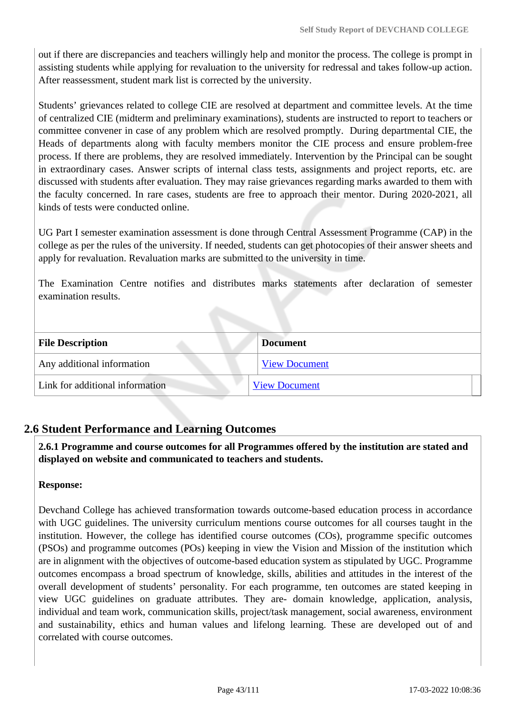out if there are discrepancies and teachers willingly help and monitor the process. The college is prompt in assisting students while applying for revaluation to the university for redressal and takes follow-up action. After reassessment, student mark list is corrected by the university.

Students' grievances related to college CIE are resolved at department and committee levels. At the time of centralized CIE (midterm and preliminary examinations), students are instructed to report to teachers or committee convener in case of any problem which are resolved promptly. During departmental CIE, the Heads of departments along with faculty members monitor the CIE process and ensure problem-free process. If there are problems, they are resolved immediately. Intervention by the Principal can be sought in extraordinary cases. Answer scripts of internal class tests, assignments and project reports, etc. are discussed with students after evaluation. They may raise grievances regarding marks awarded to them with the faculty concerned. In rare cases, students are free to approach their mentor. During 2020-2021, all kinds of tests were conducted online.

UG Part I semester examination assessment is done through Central Assessment Programme (CAP) in the college as per the rules of the university. If needed, students can get photocopies of their answer sheets and apply for revaluation. Revaluation marks are submitted to the university in time.

The Examination Centre notifies and distributes marks statements after declaration of semester examination results.

| <b>File Description</b>         | <b>Document</b>      |
|---------------------------------|----------------------|
| Any additional information      | <b>View Document</b> |
| Link for additional information | <b>View Document</b> |

# **2.6 Student Performance and Learning Outcomes**

 **2.6.1 Programme and course outcomes for all Programmes offered by the institution are stated and displayed on website and communicated to teachers and students.**

#### **Response:**

Devchand College has achieved transformation towards outcome-based education process in accordance with UGC guidelines. The university curriculum mentions course outcomes for all courses taught in the institution. However, the college has identified course outcomes (COs), programme specific outcomes (PSOs) and programme outcomes (POs) keeping in view the Vision and Mission of the institution which are in alignment with the objectives of outcome-based education system as stipulated by UGC. Programme outcomes encompass a broad spectrum of knowledge, skills, abilities and attitudes in the interest of the overall development of students' personality. For each programme, ten outcomes are stated keeping in view UGC guidelines on graduate attributes. They are- domain knowledge, application, analysis, individual and team work, communication skills, project/task management, social awareness, environment and sustainability, ethics and human values and lifelong learning. These are developed out of and correlated with course outcomes.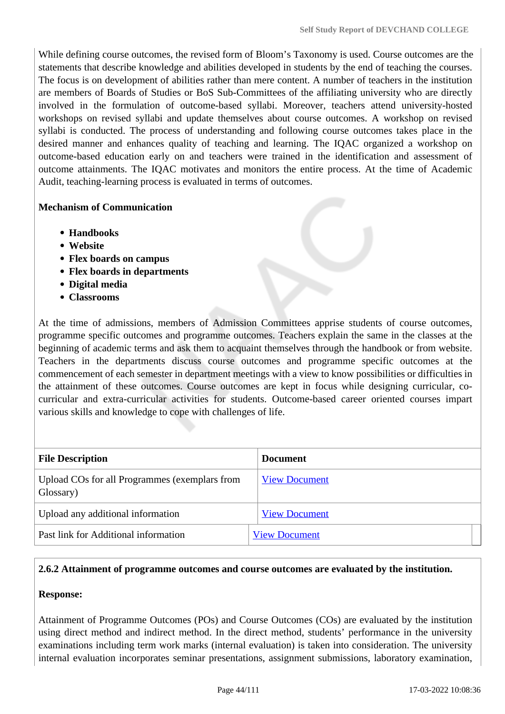While defining course outcomes, the revised form of Bloom's Taxonomy is used. Course outcomes are the statements that describe knowledge and abilities developed in students by the end of teaching the courses. The focus is on development of abilities rather than mere content. A number of teachers in the institution are members of Boards of Studies or BoS Sub-Committees of the affiliating university who are directly involved in the formulation of outcome-based syllabi. Moreover, teachers attend university-hosted workshops on revised syllabi and update themselves about course outcomes. A workshop on revised syllabi is conducted. The process of understanding and following course outcomes takes place in the desired manner and enhances quality of teaching and learning. The IQAC organized a workshop on outcome-based education early on and teachers were trained in the identification and assessment of outcome attainments. The IQAC motivates and monitors the entire process. At the time of Academic Audit, teaching-learning process is evaluated in terms of outcomes.

### **Mechanism of Communication**

- **Handbooks**
- **Website**
- **Flex boards on campus**
- **Flex boards in departments**
- **Digital media**
- **Classrooms**

At the time of admissions, members of Admission Committees apprise students of course outcomes, programme specific outcomes and programme outcomes. Teachers explain the same in the classes at the beginning of academic terms and ask them to acquaint themselves through the handbook or from website. Teachers in the departments discuss course outcomes and programme specific outcomes at the commencement of each semester in department meetings with a view to know possibilities or difficulties in the attainment of these outcomes. Course outcomes are kept in focus while designing curricular, cocurricular and extra-curricular activities for students. Outcome-based career oriented courses impart various skills and knowledge to cope with challenges of life.

| <b>File Description</b>                                    | <b>Document</b>      |
|------------------------------------------------------------|----------------------|
| Upload COs for all Programmes (exemplars from<br>Glossary) | <b>View Document</b> |
| Upload any additional information                          | <b>View Document</b> |
| Past link for Additional information                       | <b>View Document</b> |

#### **2.6.2 Attainment of programme outcomes and course outcomes are evaluated by the institution.**

#### **Response:**

Attainment of Programme Outcomes (POs) and Course Outcomes (COs) are evaluated by the institution using direct method and indirect method. In the direct method, students' performance in the university examinations including term work marks (internal evaluation) is taken into consideration. The university internal evaluation incorporates seminar presentations, assignment submissions, laboratory examination,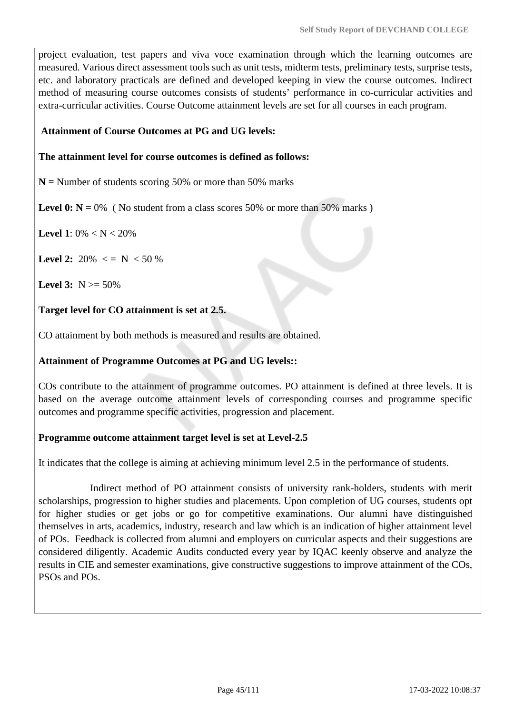project evaluation, test papers and viva voce examination through which the learning outcomes are measured. Various direct assessment tools such as unit tests, midterm tests, preliminary tests, surprise tests, etc. and laboratory practicals are defined and developed keeping in view the course outcomes. Indirect method of measuring course outcomes consists of students' performance in co-curricular activities and extra-curricular activities. Course Outcome attainment levels are set for all courses in each program.

### **Attainment of Course Outcomes at PG and UG levels:**

### **The attainment level for course outcomes is defined as follows:**

**N =** Number of students scoring 50% or more than 50% marks

**Level 0:**  $N = 0\%$  ( No student from a class scores 50% or more than 50% marks )

**Level 1**:  $0\% < N < 20\%$ 

**Level 2:**  $20\% \leq N \leq 50\%$ 

**Level 3:**  $N \ge 50\%$ 

### **Target level for CO attainment is set at 2.5.**

CO attainment by both methods is measured and results are obtained.

### **Attainment of Programme Outcomes at PG and UG levels::**

COs contribute to the attainment of programme outcomes. PO attainment is defined at three levels. It is based on the average outcome attainment levels of corresponding courses and programme specific outcomes and programme specific activities, progression and placement.

#### **Programme outcome attainment target level is set at Level-2.5**

It indicates that the college is aiming at achieving minimum level 2.5 in the performance of students.

 Indirect method of PO attainment consists of university rank-holders, students with merit scholarships, progression to higher studies and placements. Upon completion of UG courses, students opt for higher studies or get jobs or go for competitive examinations. Our alumni have distinguished themselves in arts, academics, industry, research and law which is an indication of higher attainment level of POs. Feedback is collected from alumni and employers on curricular aspects and their suggestions are considered diligently. Academic Audits conducted every year by IQAC keenly observe and analyze the results in CIE and semester examinations, give constructive suggestions to improve attainment of the COs, PSOs and POs.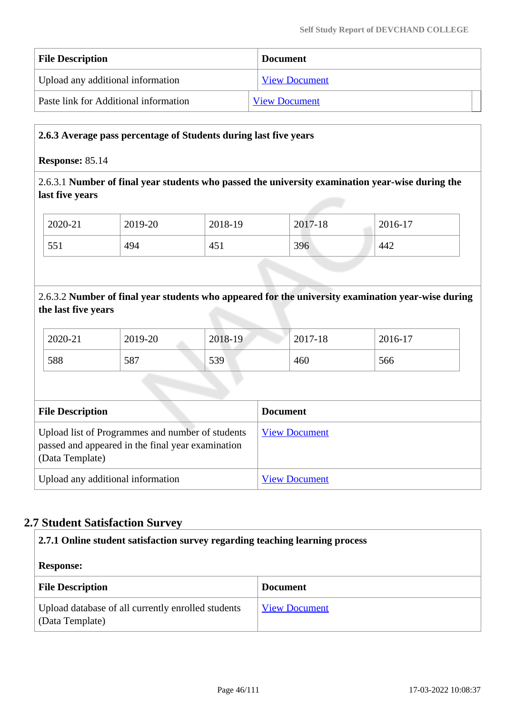| <b>File Description</b>               | <b>Document</b>      |
|---------------------------------------|----------------------|
| Upload any additional information     | <b>View Document</b> |
| Paste link for Additional information | <b>View Document</b> |

### **2.6.3 Average pass percentage of Students during last five years**

### **Response:** 85.14

# 2.6.3.1 **Number of final year students who passed the university examination year-wise during the last five years**

| 2020-21 | 2019-20 | 2018-19 | 2017-18 | 2016-17 |
|---------|---------|---------|---------|---------|
| 551     | 494     | 451     | 396     | 442     |

# 2.6.3.2 **Number of final year students who appeared for the university examination year-wise during the last five years**

| 2020-21 | 2019-20 | 2018-19 | 2017-18 | 2016-17 |
|---------|---------|---------|---------|---------|
| 588     | 587     | 539     | 460     | 566     |

| <b>File Description</b>                                                                                                  | <b>Document</b>      |
|--------------------------------------------------------------------------------------------------------------------------|----------------------|
| Upload list of Programmes and number of students<br>passed and appeared in the final year examination<br>(Data Template) | <b>View Document</b> |
| Upload any additional information                                                                                        | <b>View Document</b> |

# **2.7 Student Satisfaction Survey**

| 2.7.1 Online student satisfaction survey regarding teaching learning process |                      |  |
|------------------------------------------------------------------------------|----------------------|--|
| <b>Response:</b>                                                             |                      |  |
| <b>File Description</b>                                                      | <b>Document</b>      |  |
| Upload database of all currently enrolled students<br>(Data Template)        | <b>View Document</b> |  |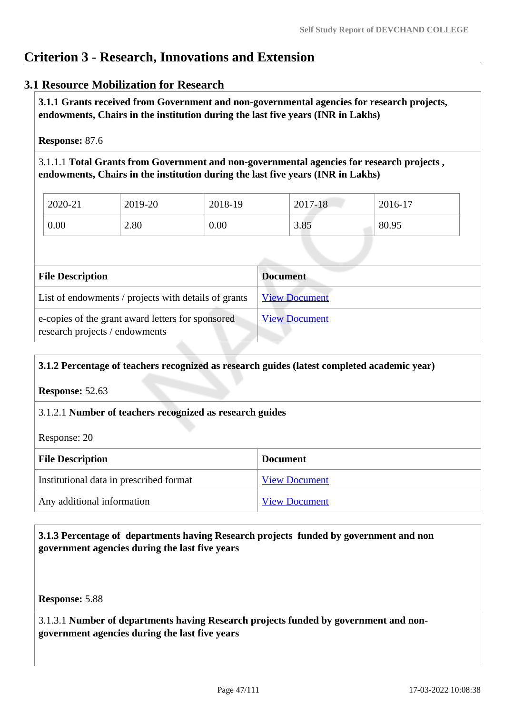# **Criterion 3 - Research, Innovations and Extension**

## **3.1 Resource Mobilization for Research**

 **3.1.1 Grants received from Government and non-governmental agencies for research projects, endowments, Chairs in the institution during the last five years (INR in Lakhs)** 

**Response:** 87.6

3.1.1.1 **Total Grants from Government and non-governmental agencies for research projects , endowments, Chairs in the institution during the last five years (INR in Lakhs)**

| 2020-21 | 2019-20 | 2018-19 | 2017-18 | 2016-17 |
|---------|---------|---------|---------|---------|
| 0.00    | 2.80    | 0.00    | 3.85    | 80.95   |

| <b>File Description</b>                                                             | <b>Document</b>      |
|-------------------------------------------------------------------------------------|----------------------|
| List of endowments / projects with details of grants                                | <b>View Document</b> |
| e-copies of the grant award letters for sponsored<br>research projects / endowments | <b>View Document</b> |

#### **3.1.2 Percentage of teachers recognized as research guides (latest completed academic year)**

**Response:** 52.63

### 3.1.2.1 **Number of teachers recognized as research guides**

Response: 20

| <b>File Description</b>                 | <b>Document</b>      |
|-----------------------------------------|----------------------|
| Institutional data in prescribed format | <b>View Document</b> |
| Any additional information              | <b>View Document</b> |

## **3.1.3 Percentage of departments having Research projects funded by government and non government agencies during the last five years**

**Response:** 5.88

3.1.3.1 **Number of departments having Research projects funded by government and nongovernment agencies during the last five years**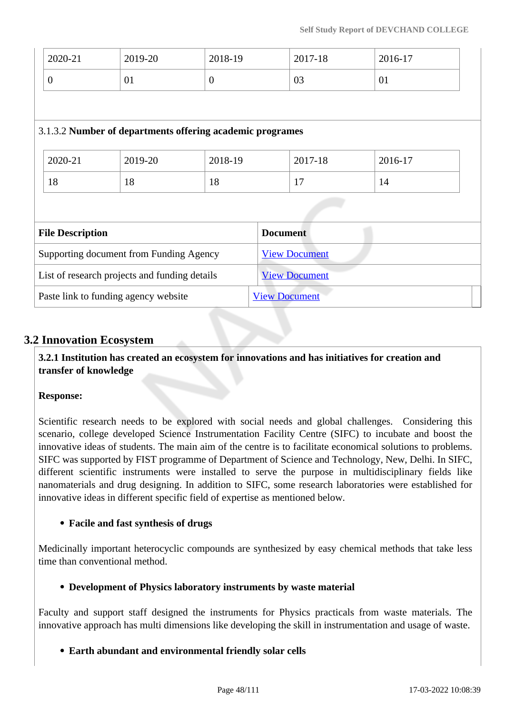| 2020-21                                       | 2019-20                              | 2018-19                                                   | 2017-18              | 2016-17 |
|-----------------------------------------------|--------------------------------------|-----------------------------------------------------------|----------------------|---------|
| $\overline{0}$                                | 01                                   | $\overline{0}$                                            | 03                   | 01      |
|                                               |                                      |                                                           |                      |         |
|                                               |                                      | 3.1.3.2 Number of departments offering academic programes |                      |         |
| 2020-21                                       | 2019-20                              | 2018-19                                                   | 2017-18              | 2016-17 |
| 18                                            | 18                                   | 18                                                        | 17                   | 14      |
|                                               |                                      |                                                           |                      |         |
| <b>File Description</b>                       |                                      |                                                           | <b>Document</b>      |         |
| Supporting document from Funding Agency       |                                      |                                                           | <b>View Document</b> |         |
| List of research projects and funding details |                                      |                                                           | <b>View Document</b> |         |
|                                               | Paste link to funding agency website |                                                           | <b>View Document</b> |         |

# **3.2 Innovation Ecosystem**

 **3.2.1 Institution has created an ecosystem for innovations and has initiatives for creation and transfer of knowledge**

### **Response:**

Scientific research needs to be explored with social needs and global challenges. Considering this scenario, college developed Science Instrumentation Facility Centre (SIFC) to incubate and boost the innovative ideas of students. The main aim of the centre is to facilitate economical solutions to problems. SIFC was supported by FIST programme of Department of Science and Technology, New, Delhi. In SIFC, different scientific instruments were installed to serve the purpose in multidisciplinary fields like nanomaterials and drug designing. In addition to SIFC, some research laboratories were established for innovative ideas in different specific field of expertise as mentioned below.

### **Facile and fast synthesis of drugs**

Medicinally important heterocyclic compounds are synthesized by easy chemical methods that take less time than conventional method.

#### **Development of Physics laboratory instruments by waste material**

Faculty and support staff designed the instruments for Physics practicals from waste materials. The innovative approach has multi dimensions like developing the skill in instrumentation and usage of waste.

### **Earth abundant and environmental friendly solar cells**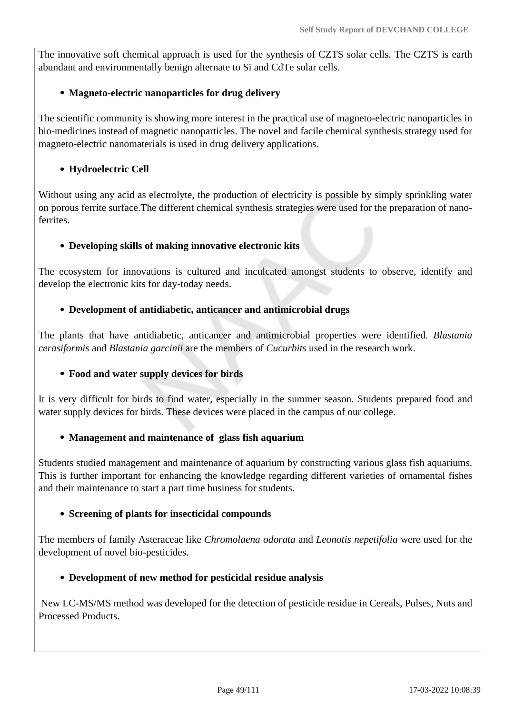The innovative soft chemical approach is used for the synthesis of CZTS solar cells. The CZTS is earth abundant and environmentally benign alternate to Si and CdTe solar cells.

### **Magneto-electric nanoparticles for drug delivery**

The scientific community is showing more interest in the practical use of magneto-electric nanoparticles in bio-medicines instead of magnetic nanoparticles. The novel and facile chemical synthesis strategy used for magneto-electric nanomaterials is used in drug delivery applications.

### **Hydroelectric Cell**

Without using any acid as electrolyte, the production of electricity is possible by simply sprinkling water on porous ferrite surface.The different chemical synthesis strategies were used for the preparation of nanoferrites.

### **Developing skills of making innovative electronic kits**

The ecosystem for innovations is cultured and inculcated amongst students to observe, identify and develop the electronic kits for day-today needs.

### **Development of antidiabetic, anticancer and antimicrobial drugs**

The plants that have antidiabetic, anticancer and antimicrobial properties were identified. *Blastania cerasiformis* and *Blastania garcinii* are the members of *Cucurbits* used in the research work.

#### **Food and water supply devices for birds**

It is very difficult for birds to find water, especially in the summer season. Students prepared food and water supply devices for birds. These devices were placed in the campus of our college.

#### **Management and maintenance of glass fish aquarium**

Students studied management and maintenance of aquarium by constructing various glass fish aquariums. This is further important for enhancing the knowledge regarding different varieties of ornamental fishes and their maintenance to start a part time business for students.

#### **Screening of plants for insecticidal compounds**

The members of family Asteraceae like *Chromolaena odorata* and *Leonotis nepetifolia* were used for the development of novel bio-pesticides.

#### **Development of new method for pesticidal residue analysis**

 New LC-MS/MS method was developed for the detection of pesticide residue in Cereals, Pulses, Nuts and Processed Products.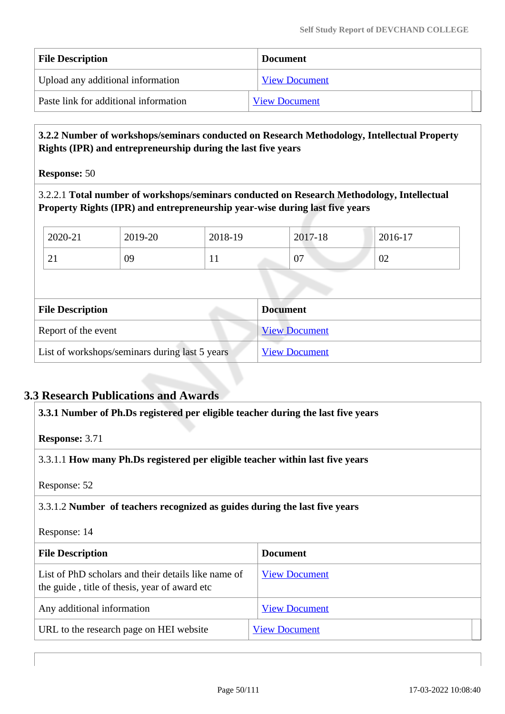| <b>File Description</b>               | <b>Document</b>      |
|---------------------------------------|----------------------|
| Upload any additional information     | <b>View Document</b> |
| Paste link for additional information | <b>View Document</b> |

### **3.2.2 Number of workshops/seminars conducted on Research Methodology, Intellectual Property Rights (IPR) and entrepreneurship during the last five years**

**Response:** 50

3.2.2.1 **Total number of workshops/seminars conducted on Research Methodology, Intellectual Property Rights (IPR) and entrepreneurship year-wise during last five years** 

| 2020-21  | 2019-20 | 2018-19   | 2017-18 | 2016-17 |  |
|----------|---------|-----------|---------|---------|--|
| $\sim$ 1 | 09      | <b>TT</b> | 07      | 02      |  |

| <b>File Description</b>                        | <b>Document</b>      |
|------------------------------------------------|----------------------|
| Report of the event                            | <b>View Document</b> |
| List of workshops/seminars during last 5 years | <b>View Document</b> |

# **3.3 Research Publications and Awards**

| 3.3.1 Number of Ph.Ds registered per eligible teacher during the last five years                      |                      |  |  |  |
|-------------------------------------------------------------------------------------------------------|----------------------|--|--|--|
| <b>Response: 3.71</b>                                                                                 |                      |  |  |  |
| 3.3.1.1 How many Ph.Ds registered per eligible teacher within last five years                         |                      |  |  |  |
| Response: 52                                                                                          |                      |  |  |  |
| 3.3.1.2 Number of teachers recognized as guides during the last five years                            |                      |  |  |  |
| Response: 14                                                                                          |                      |  |  |  |
| <b>Document</b><br><b>File Description</b>                                                            |                      |  |  |  |
| List of PhD scholars and their details like name of<br>the guide, title of thesis, year of award etc. | <b>View Document</b> |  |  |  |
| Any additional information                                                                            | <b>View Document</b> |  |  |  |
| URL to the research page on HEI website                                                               | <b>View Document</b> |  |  |  |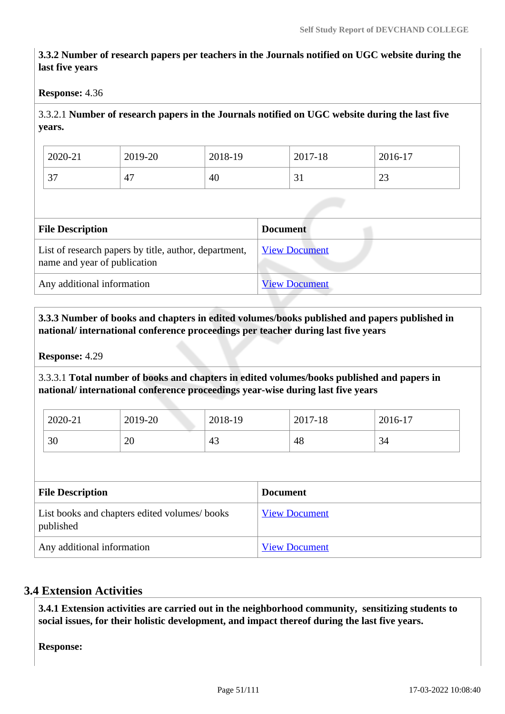# **3.3.2 Number of research papers per teachers in the Journals notified on UGC website during the last five years**

### **Response:** 4.36

# 3.3.2.1 **Number of research papers in the Journals notified on UGC website during the last five years.**

| 2020-21       | 2019-20 | 2018-19 | 2017-18 | 2016-17      |
|---------------|---------|---------|---------|--------------|
| $\sim$<br>، ب | 4.      | 40      |         | $\sim$<br>رے |

| <b>File Description</b>                                                               | <b>Document</b>      |
|---------------------------------------------------------------------------------------|----------------------|
| List of research papers by title, author, department,<br>name and year of publication | <b>View Document</b> |
| Any additional information                                                            | <b>View Document</b> |

## **3.3.3 Number of books and chapters in edited volumes/books published and papers published in national/ international conference proceedings per teacher during last five years**

**Response:** 4.29

3.3.3.1 **Total number of books and chapters in edited volumes/books published and papers in national/ international conference proceedings year-wise during last five years**

| 2020-21 | 2019-20                      | 2018-19 | 2017-18 | 2016-17 |
|---------|------------------------------|---------|---------|---------|
| 30      | $\Delta$<br>∠∪<br>m 정신 - (7) | 43      | 48      | 34      |

| <b>File Description</b>                                   | <b>Document</b>      |
|-----------------------------------------------------------|----------------------|
| List books and chapters edited volumes/books<br>published | <b>View Document</b> |
| Any additional information                                | <b>View Document</b> |

# **3.4 Extension Activities**

 **3.4.1 Extension activities are carried out in the neighborhood community, sensitizing students to social issues, for their holistic development, and impact thereof during the last five years.**

**Response:**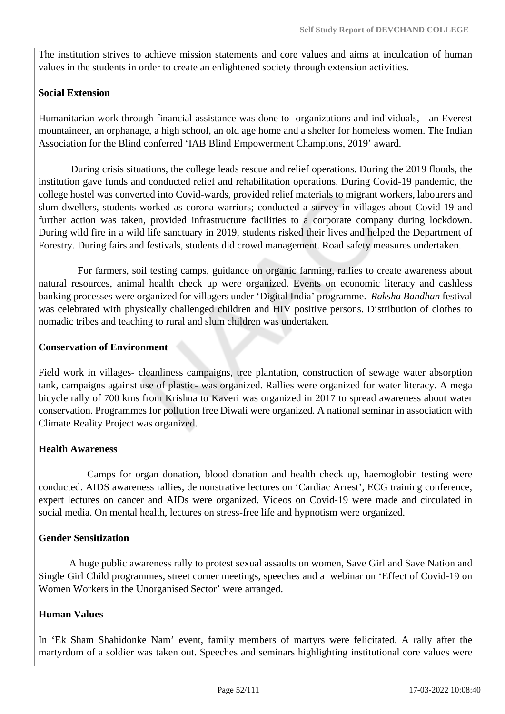The institution strives to achieve mission statements and core values and aims at inculcation of human values in the students in order to create an enlightened society through extension activities.

### **Social Extension**

Humanitarian work through financial assistance was done to- organizations and individuals, an Everest mountaineer, an orphanage, a high school, an old age home and a shelter for homeless women. The Indian Association for the Blind conferred 'IAB Blind Empowerment Champions, 2019' award.

 During crisis situations, the college leads rescue and relief operations. During the 2019 floods, the institution gave funds and conducted relief and rehabilitation operations. During Covid-19 pandemic, the college hostel was converted into Covid-wards, provided relief materials to migrant workers, labourers and slum dwellers, students worked as corona-warriors; conducted a survey in villages about Covid-19 and further action was taken, provided infrastructure facilities to a corporate company during lockdown. During wild fire in a wild life sanctuary in 2019, students risked their lives and helped the Department of Forestry. During fairs and festivals, students did crowd management. Road safety measures undertaken.

 For farmers, soil testing camps, guidance on organic farming, rallies to create awareness about natural resources, animal health check up were organized. Events on economic literacy and cashless banking processes were organized for villagers under 'Digital India' programme. *Raksha Bandhan* festival was celebrated with physically challenged children and HIV positive persons. Distribution of clothes to nomadic tribes and teaching to rural and slum children was undertaken.

### **Conservation of Environment**

Field work in villages- cleanliness campaigns, tree plantation, construction of sewage water absorption tank, campaigns against use of plastic- was organized. Rallies were organized for water literacy. A mega bicycle rally of 700 kms from Krishna to Kaveri was organized in 2017 to spread awareness about water conservation. Programmes for pollution free Diwali were organized. A national seminar in association with Climate Reality Project was organized.

### **Health Awareness**

 Camps for organ donation, blood donation and health check up, haemoglobin testing were conducted. AIDS awareness rallies, demonstrative lectures on 'Cardiac Arrest', ECG training conference, expert lectures on cancer and AIDs were organized. Videos on Covid-19 were made and circulated in social media. On mental health, lectures on stress-free life and hypnotism were organized.

#### **Gender Sensitization**

 A huge public awareness rally to protest sexual assaults on women, Save Girl and Save Nation and Single Girl Child programmes, street corner meetings, speeches and a webinar on 'Effect of Covid-19 on Women Workers in the Unorganised Sector' were arranged.

### **Human Values**

In 'Ek Sham Shahidonke Nam' event, family members of martyrs were felicitated. A rally after the martyrdom of a soldier was taken out. Speeches and seminars highlighting institutional core values were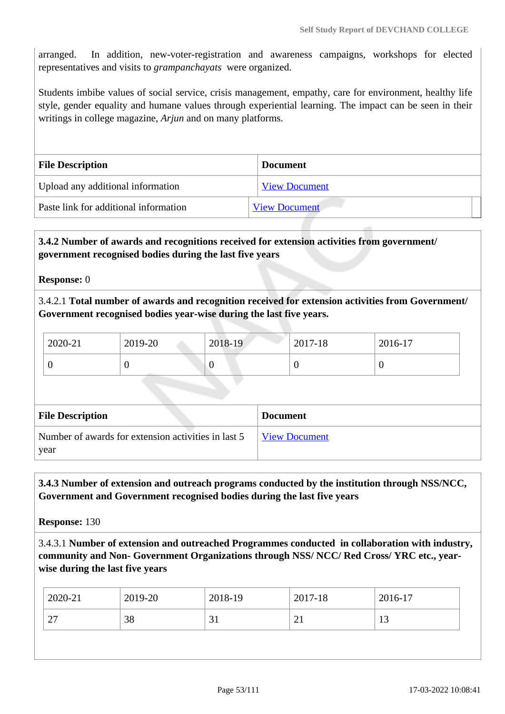arranged. In addition, new-voter-registration and awareness campaigns, workshops for elected representatives and visits to *grampanchayats* were organized.

Students imbibe values of social service, crisis management, empathy, care for environment, healthy life style, gender equality and humane values through experiential learning. The impact can be seen in their writings in college magazine, *Arjun* and on many platforms.

| <b>File Description</b>               | <b>Document</b>      |  |
|---------------------------------------|----------------------|--|
| Upload any additional information     | <b>View Document</b> |  |
| Paste link for additional information | <b>View Document</b> |  |

## **3.4.2 Number of awards and recognitions received for extension activities from government/ government recognised bodies during the last five years**

**Response:** 0

3.4.2.1 **Total number of awards and recognition received for extension activities from Government/ Government recognised bodies year-wise during the last five years.**

| 2020-21 | 2019-20 | 2018-19 | 2017-18 | 2016-17 |
|---------|---------|---------|---------|---------|
| ິ       | ◡       | ν       |         |         |

| <b>File Description</b>                             | <b>Document</b>      |
|-----------------------------------------------------|----------------------|
| Number of awards for extension activities in last 5 | <b>View Document</b> |
| year                                                |                      |

 **3.4.3 Number of extension and outreach programs conducted by the institution through NSS/NCC, Government and Government recognised bodies during the last five years**

**Response:** 130

3.4.3.1 **Number of extension and outreached Programmes conducted in collaboration with industry, community and Non- Government Organizations through NSS/ NCC/ Red Cross/ YRC etc., yearwise during the last five years**

| 2020-21   | 2019-20 | 2018-19 | 2017-18       | 2016-17        |
|-----------|---------|---------|---------------|----------------|
| ⌒冖<br>ا ک | 38      | 31      | ⌒<br>$\sim$ 1 | 1 <sub>2</sub> |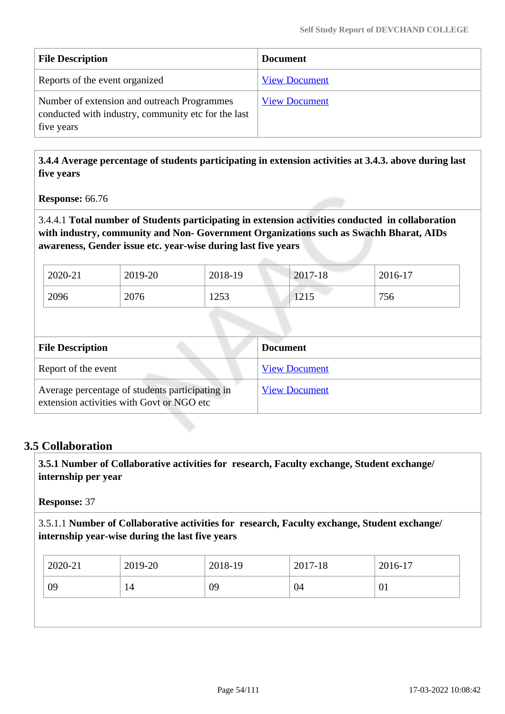| <b>File Description</b>                                                                                          | <b>Document</b>      |
|------------------------------------------------------------------------------------------------------------------|----------------------|
| Reports of the event organized                                                                                   | <b>View Document</b> |
| Number of extension and outreach Programmes<br>conducted with industry, community etc for the last<br>five years | <b>View Document</b> |

 **3.4.4 Average percentage of students participating in extension activities at 3.4.3. above during last five years**

**Response:** 66.76

3.4.4.1 **Total number of Students participating in extension activities conducted in collaboration with industry, community and Non- Government Organizations such as Swachh Bharat, AIDs awareness, Gender issue etc. year-wise during last five years**

| 2020-21 | 2019-20 | 2018-19 | 2017-18                     | 2016-17 |
|---------|---------|---------|-----------------------------|---------|
| 2096    | 2076    | 1253    | $\bigcap$ 1 $\in$<br>14 L J | 756     |

| <b>File Description</b>                                                                      | Document             |
|----------------------------------------------------------------------------------------------|----------------------|
| Report of the event                                                                          | <b>View Document</b> |
| Average percentage of students participating in<br>extension activities with Govt or NGO etc | <b>View Document</b> |

# **3.5 Collaboration**

 **3.5.1 Number of Collaborative activities for research, Faculty exchange, Student exchange/ internship per year**

**Response:** 37

3.5.1.1 **Number of Collaborative activities for research, Faculty exchange, Student exchange/ internship year-wise during the last five years**

| 2020-21 | 2019-20 | 2018-19 | 2017-18 | 2016-17 |
|---------|---------|---------|---------|---------|
| 09      | 14      | 09      | 04      | 01      |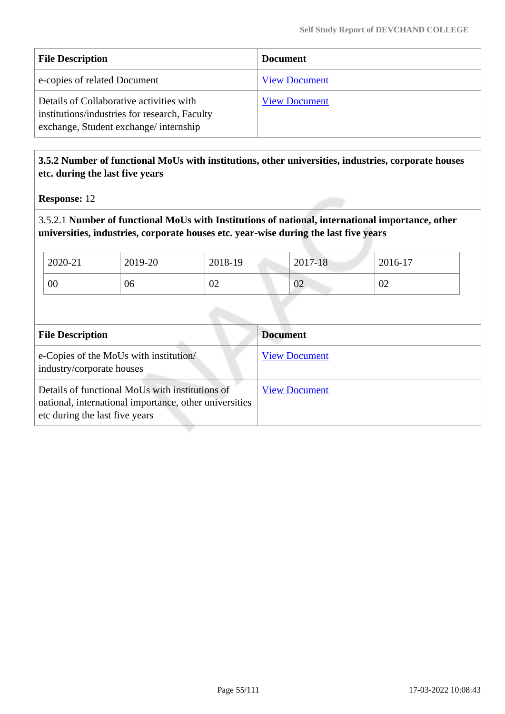| <b>File Description</b>                                                                                                            | <b>Document</b>      |
|------------------------------------------------------------------------------------------------------------------------------------|----------------------|
| e-copies of related Document                                                                                                       | <b>View Document</b> |
| Details of Collaborative activities with<br>institutions/industries for research, Faculty<br>exchange, Student exchange/internship | <b>View Document</b> |

## **3.5.2 Number of functional MoUs with institutions, other universities, industries, corporate houses etc. during the last five years**

**Response:** 12

3.5.2.1 **Number of functional MoUs with Institutions of national, international importance, other universities, industries, corporate houses etc. year-wise during the last five years**

| 2020-21 | 2019-20 | 2018-19 | 2017-18 | 2016-17 |
|---------|---------|---------|---------|---------|
| 00      | 06      | 02      | 02      | 02      |

| <b>File Description</b>                                                                                                                     | <b>Document</b>      |
|---------------------------------------------------------------------------------------------------------------------------------------------|----------------------|
| e-Copies of the MoUs with institution/<br>industry/corporate houses                                                                         | <b>View Document</b> |
| Details of functional MoUs with institutions of<br>national, international importance, other universities<br>etc during the last five years | <b>View Document</b> |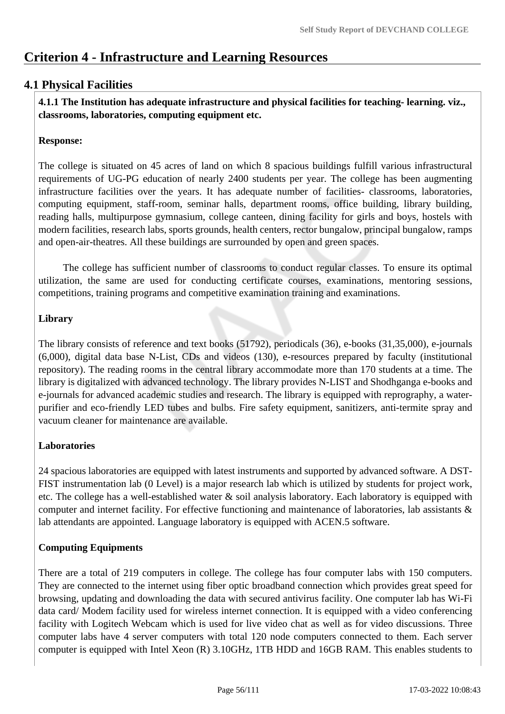# **Criterion 4 - Infrastructure and Learning Resources**

# **4.1 Physical Facilities**

 **4.1.1 The Institution has adequate infrastructure and physical facilities for teaching- learning. viz., classrooms, laboratories, computing equipment etc.** 

### **Response:**

The college is situated on 45 acres of land on which 8 spacious buildings fulfill various infrastructural requirements of UG-PG education of nearly 2400 students per year. The college has been augmenting infrastructure facilities over the years. It has adequate number of facilities- classrooms, laboratories, computing equipment, staff-room, seminar halls, department rooms, office building, library building, reading halls, multipurpose gymnasium, college canteen, dining facility for girls and boys, hostels with modern facilities, research labs, sports grounds, health centers, rector bungalow, principal bungalow, ramps and open-air-theatres. All these buildings are surrounded by open and green spaces.

 The college has sufficient number of classrooms to conduct regular classes. To ensure its optimal utilization, the same are used for conducting certificate courses, examinations, mentoring sessions, competitions, training programs and competitive examination training and examinations.

## **Library**

The library consists of reference and text books (51792), periodicals (36), e-books (31,35,000), e-journals (6,000), digital data base N-List, CDs and videos (130), e-resources prepared by faculty (institutional repository). The reading rooms in the central library accommodate more than 170 students at a time. The library is digitalized with advanced technology. The library provides N-LIST and Shodhganga e-books and e-journals for advanced academic studies and research. The library is equipped with reprography, a waterpurifier and eco-friendly LED tubes and bulbs. Fire safety equipment, sanitizers, anti-termite spray and vacuum cleaner for maintenance are available.

### **Laboratories**

24 spacious laboratories are equipped with latest instruments and supported by advanced software. A DST-FIST instrumentation lab (0 Level) is a major research lab which is utilized by students for project work, etc. The college has a well-established water  $\&$  soil analysis laboratory. Each laboratory is equipped with computer and internet facility. For effective functioning and maintenance of laboratories, lab assistants & lab attendants are appointed. Language laboratory is equipped with ACEN.5 software.

# **Computing Equipments**

There are a total of 219 computers in college. The college has four computer labs with 150 computers. They are connected to the internet using fiber optic broadband connection which provides great speed for browsing, updating and downloading the data with secured antivirus facility. One computer lab has Wi-Fi data card/ Modem facility used for wireless internet connection. It is equipped with a video conferencing facility with Logitech Webcam which is used for live video chat as well as for video discussions. Three computer labs have 4 server computers with total 120 node computers connected to them. Each server computer is equipped with Intel Xeon (R) 3.10GHz, 1TB HDD and 16GB RAM. This enables students to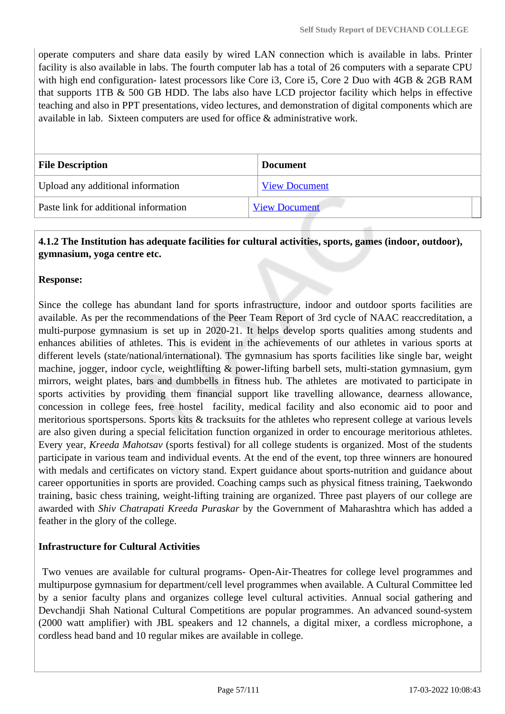operate computers and share data easily by wired LAN connection which is available in labs. Printer facility is also available in labs. The fourth computer lab has a total of 26 computers with a separate CPU with high end configuration- latest processors like Core i3, Core i5, Core 2 Duo with 4GB & 2GB RAM that supports 1TB & 500 GB HDD. The labs also have LCD projector facility which helps in effective teaching and also in PPT presentations, video lectures, and demonstration of digital components which are available in lab. Sixteen computers are used for office & administrative work.

| <b>File Description</b>               | <b>Document</b>      |
|---------------------------------------|----------------------|
| Upload any additional information     | <b>View Document</b> |
| Paste link for additional information | <b>View Document</b> |

## **4.1.2 The Institution has adequate facilities for cultural activities, sports, games (indoor, outdoor), gymnasium, yoga centre etc.**

## **Response:**

Since the college has abundant land for sports infrastructure, indoor and outdoor sports facilities are available. As per the recommendations of the Peer Team Report of 3rd cycle of NAAC reaccreditation, a multi-purpose gymnasium is set up in 2020-21. It helps develop sports qualities among students and enhances abilities of athletes. This is evident in the achievements of our athletes in various sports at different levels (state/national/international). The gymnasium has sports facilities like single bar, weight machine, jogger, indoor cycle, weightlifting & power-lifting barbell sets, multi-station gymnasium, gym mirrors, weight plates, bars and dumbbells in fitness hub. The athletes are motivated to participate in sports activities by providing them financial support like travelling allowance, dearness allowance, concession in college fees, free hostel facility, medical facility and also economic aid to poor and meritorious sportspersons. Sports kits & tracksuits for the athletes who represent college at various levels are also given during a special felicitation function organized in order to encourage meritorious athletes. Every year, *Kreeda Mahotsav* (sports festival) for all college students is organized. Most of the students participate in various team and individual events. At the end of the event, top three winners are honoured with medals and certificates on victory stand. Expert guidance about sports-nutrition and guidance about career opportunities in sports are provided. Coaching camps such as physical fitness training, Taekwondo training, basic chess training, weight-lifting training are organized. Three past players of our college are awarded with *Shiv Chatrapati Kreeda Puraskar* by the Government of Maharashtra which has added a feather in the glory of the college.

### **Infrastructure for Cultural Activities**

 Two venues are available for cultural programs- Open-Air-Theatres for college level programmes and multipurpose gymnasium for department/cell level programmes when available. A Cultural Committee led by a senior faculty plans and organizes college level cultural activities. Annual social gathering and Devchandji Shah National Cultural Competitions are popular programmes. An advanced sound-system (2000 watt amplifier) with JBL speakers and 12 channels, a digital mixer, a cordless microphone, a cordless head band and 10 regular mikes are available in college.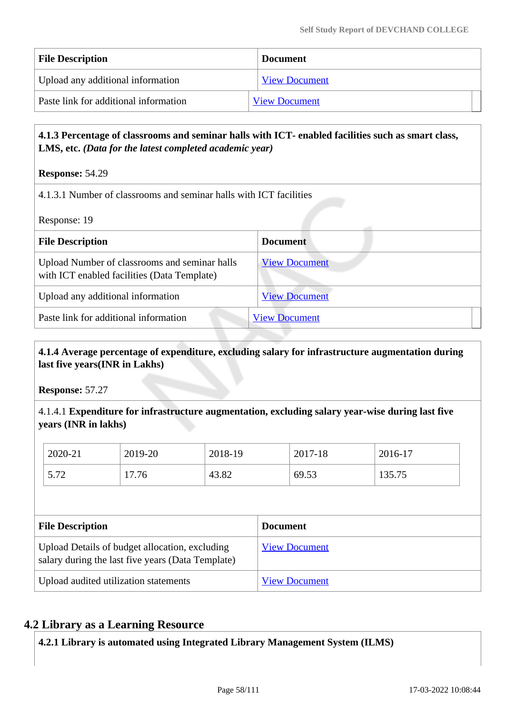| <b>File Description</b>               | <b>Document</b>      |
|---------------------------------------|----------------------|
| Upload any additional information     | <b>View Document</b> |
| Paste link for additional information | <b>View Document</b> |

### **4.1.3 Percentage of classrooms and seminar halls with ICT- enabled facilities such as smart class, LMS, etc.** *(Data for the latest completed academic year)*

**Response:** 54.29

4.1.3.1 Number of classrooms and seminar halls with ICT facilities

Response: 19

| <b>File Description</b>                                                                      | <b>Document</b>      |
|----------------------------------------------------------------------------------------------|----------------------|
| Upload Number of classrooms and seminar halls<br>with ICT enabled facilities (Data Template) | <b>View Document</b> |
| Upload any additional information                                                            | <b>View Document</b> |
| Paste link for additional information                                                        | <b>View Document</b> |

# **4.1.4 Average percentage of expenditure, excluding salary for infrastructure augmentation during last five years(INR in Lakhs)**

**Response:** 57.27

4.1.4.1 **Expenditure for infrastructure augmentation, excluding salary year-wise during last five years (INR in lakhs)**

| 2020-21      | 2019-20 | 2018-19 | 2017-18 | 2016-17 |
|--------------|---------|---------|---------|---------|
| 77 ה<br>J.14 | 17.76   | 43.82   | 69.53   | 135.75  |

| <b>File Description</b>                                                                             | <b>Document</b>      |
|-----------------------------------------------------------------------------------------------------|----------------------|
| Upload Details of budget allocation, excluding<br>salary during the last five years (Data Template) | <b>View Document</b> |
| Upload audited utilization statements                                                               | <b>View Document</b> |

# **4.2 Library as a Learning Resource**

**4.2.1 Library is automated using Integrated Library Management System (ILMS)**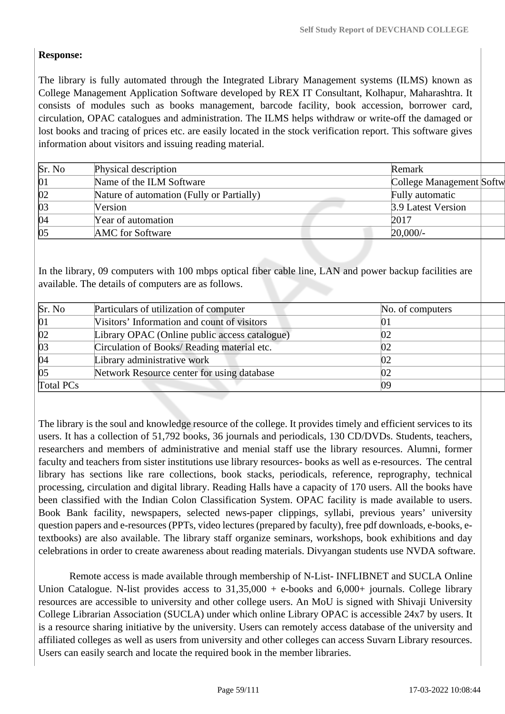## **Response:**

The library is fully automated through the Integrated Library Management systems (ILMS) known as College Management Application Software developed by REX IT Consultant, Kolhapur, Maharashtra. It consists of modules such as books management, barcode facility, book accession, borrower card, circulation, OPAC catalogues and administration. The ILMS helps withdraw or write-off the damaged or lost books and tracing of prices etc. are easily located in the stock verification report. This software gives information about visitors and issuing reading material.

| Sr. No       | Physical description                      | Remark                   |
|--------------|-------------------------------------------|--------------------------|
| 01           | Name of the ILM Software                  | College Management Softw |
| $ 02\rangle$ | Nature of automation (Fully or Partially) | Fully automatic          |
| $ 03\rangle$ | Version                                   | 3.9 Latest Version       |
| $\sqrt{04}$  | Year of automation                        | 2017                     |
| 05           | <b>AMC</b> for Software                   | $20,000/$ -              |

In the library, 09 computers with 100 mbps optical fiber cable line, LAN and power backup facilities are available. The details of computers are as follows.

| Sr. No       | Particulars of utilization of computer        | No. of computers |  |
|--------------|-----------------------------------------------|------------------|--|
| 01           | Visitors' Information and count of visitors   | 01               |  |
| $ 02\rangle$ | Library OPAC (Online public access catalogue) | 02               |  |
| 03           | Circulation of Books/ Reading material etc.   | 02               |  |
| 04           | Library administrative work                   | 02               |  |
| 05           | Network Resource center for using database    | 02               |  |
| Total PCs    |                                               | 09               |  |

The library is the soul and knowledge resource of the college. It provides timely and efficient services to its users. It has a collection of 51,792 books, 36 journals and periodicals, 130 CD/DVDs. Students, teachers, researchers and members of administrative and menial staff use the library resources. Alumni, former faculty and teachers from sister institutions use library resources- books as well as e-resources. The central library has sections like rare collections, book stacks, periodicals, reference, reprography, technical processing, circulation and digital library. Reading Halls have a capacity of 170 users. All the books have been classified with the Indian Colon Classification System. OPAC facility is made available to users. Book Bank facility, newspapers, selected news-paper clippings, syllabi, previous years' university question papers and e-resources (PPTs, video lectures (prepared by faculty), free pdf downloads, e-books, etextbooks) are also available. The library staff organize seminars, workshops, book exhibitions and day celebrations in order to create awareness about reading materials. Divyangan students use NVDA software.

 Remote access is made available through membership of N-List- INFLIBNET and SUCLA Online Union Catalogue. N-list provides access to  $31,35,000 + e$ -books and  $6,000+$  journals. College library resources are accessible to university and other college users. An MoU is signed with Shivaji University College Librarian Association (SUCLA) under which online Library OPAC is accessible 24x7 by users. It is a resource sharing initiative by the university. Users can remotely access database of the university and affiliated colleges as well as users from university and other colleges can access Suvarn Library resources. Users can easily search and locate the required book in the member libraries.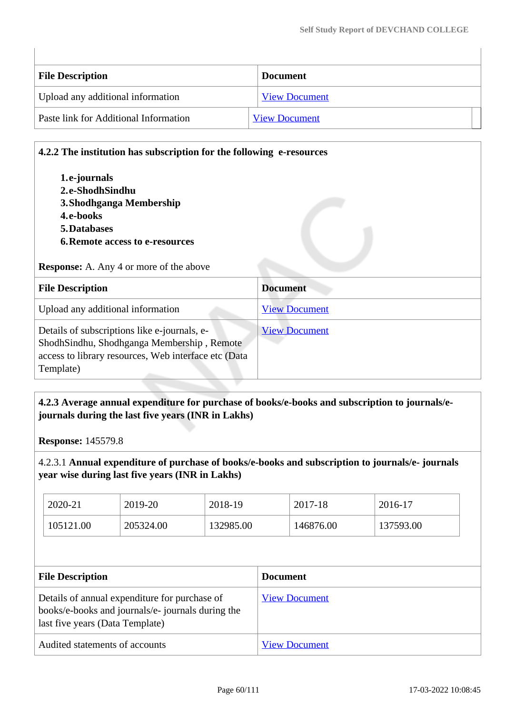| <b>File Description</b>               | <b>Document</b>      |
|---------------------------------------|----------------------|
| Upload any additional information     | <b>View Document</b> |
| Paste link for Additional Information | <b>View Document</b> |

# **4.2.2 The institution has subscription for the following e-resources**

| 1.e-journals                           |
|----------------------------------------|
| 2.e-ShodhSindhu                        |
| 3. Shodhganga Membership               |
| 4.e-books                              |
| <b>5.Databases</b>                     |
| <b>6. Remote access to e-resources</b> |

### **Response:** A. Any 4 or more of the above

| <b>File Description</b>                                                                                                                                         | <b>Document</b>      |
|-----------------------------------------------------------------------------------------------------------------------------------------------------------------|----------------------|
| Upload any additional information                                                                                                                               | <b>View Document</b> |
| Details of subscriptions like e-journals, e-<br>ShodhSindhu, Shodhganga Membership, Remote<br>access to library resources, Web interface etc (Data<br>Template) | <b>View Document</b> |

# **4.2.3 Average annual expenditure for purchase of books/e-books and subscription to journals/ejournals during the last five years (INR in Lakhs)**

**Response:** 145579.8

## 4.2.3.1 **Annual expenditure of purchase of books/e-books and subscription to journals/e- journals year wise during last five years (INR in Lakhs)**

| 2020-21   | 2019-20   | 2018-19   | 2017-18   | 2016-17   |
|-----------|-----------|-----------|-----------|-----------|
| 105121.00 | 205324.00 | 132985.00 | 146876.00 | 137593.00 |

| <b>File Description</b>                                                                                                              | <b>Document</b>      |
|--------------------------------------------------------------------------------------------------------------------------------------|----------------------|
| Details of annual expenditure for purchase of<br>books/e-books and journals/e-journals during the<br>last five years (Data Template) | <b>View Document</b> |
| Audited statements of accounts                                                                                                       | <b>View Document</b> |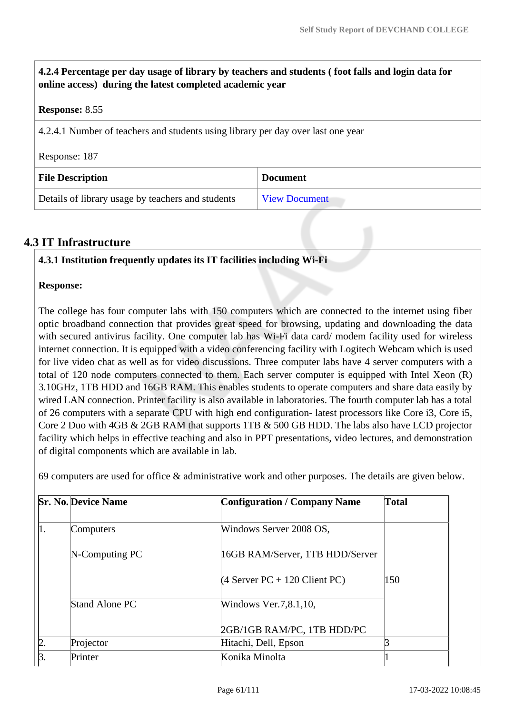**4.2.4 Percentage per day usage of library by teachers and students ( foot falls and login data for online access) during the latest completed academic year Response:** 8.55 4.2.4.1 Number of teachers and students using library per day over last one year Response: 187 **File Description Document** Details of library usage by teachers and students [View Document](https://assessmentonline.naac.gov.in/storage/app/hei/SSR/104917/4.2.4_1647326043_7329.pdf)

# **4.3 IT Infrastructure**

### **4.3.1 Institution frequently updates its IT facilities including Wi-Fi**

### **Response:**

The college has four computer labs with 150 computers which are connected to the internet using fiber optic broadband connection that provides great speed for browsing, updating and downloading the data with secured antivirus facility. One computer lab has Wi-Fi data card/ modem facility used for wireless internet connection. It is equipped with a video conferencing facility with Logitech Webcam which is used for live video chat as well as for video discussions. Three computer labs have 4 server computers with a total of 120 node computers connected to them. Each server computer is equipped with Intel Xeon (R) 3.10GHz, 1TB HDD and 16GB RAM. This enables students to operate computers and share data easily by wired LAN connection. Printer facility is also available in laboratories. The fourth computer lab has a total of 26 computers with a separate CPU with high end configuration- latest processors like Core i3, Core i5, Core 2 Duo with 4GB & 2GB RAM that supports 1TB & 500 GB HDD. The labs also have LCD projector facility which helps in effective teaching and also in PPT presentations, video lectures, and demonstration of digital components which are available in lab.

69 computers are used for office & administrative work and other purposes. The details are given below.

| <b>Sr. No. Device Name</b> | <b>Configuration / Company Name</b> | <b>Total</b> |
|----------------------------|-------------------------------------|--------------|
| Computers                  | Windows Server 2008 OS,             |              |
| N-Computing PC             | 16GB RAM/Server, 1TB HDD/Server     |              |
|                            | $(4$ Server PC + 120 Client PC)     | 150          |
| Stand Alone PC             | Windows Ver.7,8.1,10,               |              |
|                            | 2GB/1GB RAM/PC, 1TB HDD/PC          |              |
| Projector                  | Hitachi, Dell, Epson                |              |
| Printer                    | Konika Minolta                      |              |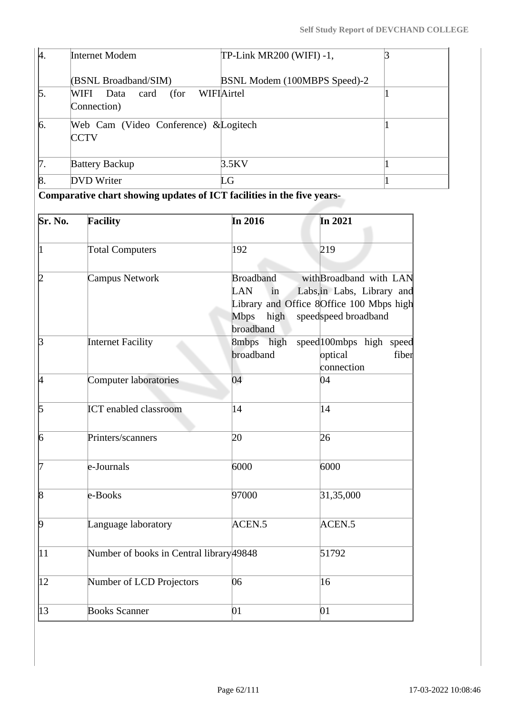| 4.              | <b>Internet Modem</b>                                | TP-Link MR200 (WIFI) -1,     |  |
|-----------------|------------------------------------------------------|------------------------------|--|
|                 | (BSNL Broadband/SIM)                                 | BSNL Modem (100MBPS Speed)-2 |  |
| $\mathfrak b$ . | (for WIFIAirtel)<br>WIFI Data card<br>Connection)    |                              |  |
| 6.              | Web Cam (Video Conference) & Logitech<br><b>CCTV</b> |                              |  |
| 17.             | <b>Battery Backup</b>                                | 3.5KV                        |  |
| $\vert 8$       | <b>DVD</b> Writer                                    | LG                           |  |

**Comparative chart showing updates of ICT facilities in the five years-**

| Sr. No.                 | <b>Facility</b>                          | In 2016                                                           | In 2021                                                                                                                  |
|-------------------------|------------------------------------------|-------------------------------------------------------------------|--------------------------------------------------------------------------------------------------------------------------|
|                         | <b>Total Computers</b>                   | 192                                                               | 219                                                                                                                      |
|                         | Campus Network                           | <b>Broadband</b><br>LAN<br>in<br><b>Mbps</b><br>high<br>broadband | withBroadband with LAN<br>Labs, in Labs, Library and<br>Library and Office 8Office 100 Mbps high<br>speedspeed broadband |
| B                       | <b>Internet Facility</b>                 | 8mbps high<br>broadband                                           | speed 100mbps high speed<br>optical<br>fiber<br>connection                                                               |
| 14                      | <b>Computer laboratories</b>             | 04                                                                | 04                                                                                                                       |
| 5                       | <b>ICT</b> enabled classroom             | 14                                                                | 14                                                                                                                       |
| 6                       | Printers/scanners                        | 20                                                                | 26                                                                                                                       |
|                         | e-Journals                               | 6000                                                              | 6000                                                                                                                     |
| $\mathsf{\overline{8}}$ | e-Books                                  | 97000                                                             | 31,35,000                                                                                                                |
| $\beta$                 | Language laboratory                      | ACEN.5                                                            | ACEN.5                                                                                                                   |
| 11                      | Number of books in Central library 49848 |                                                                   | 51792                                                                                                                    |
| $ 12\rangle$            | Number of LCD Projectors                 | 06                                                                | 16                                                                                                                       |
| 13                      | <b>Books Scanner</b>                     | 01                                                                | 01                                                                                                                       |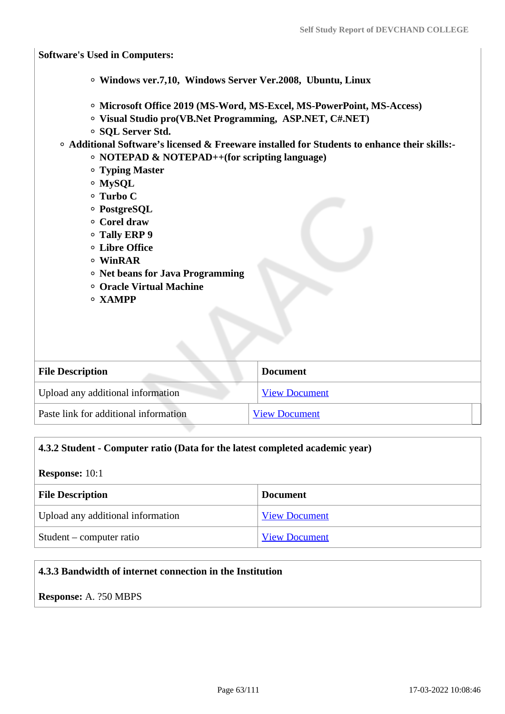**Software's Used in Computers: Windows ver.7,10, Windows Server Ver.2008, Ubuntu, Linux Microsoft Office 2019 (MS-Word, MS-Excel, MS-PowerPoint, MS-Access) Visual Studio pro(VB.Net Programming, ASP.NET, C#.NET) SQL Server Std. Additional Software's licensed & Freeware installed for Students to enhance their skills:- NOTEPAD & NOTEPAD++(for scripting language) Typing Master MySQL Turbo C PostgreSQL Corel draw Tally ERP 9 Libre Office WinRAR Net beans for Java Programming Oracle Virtual Machine XAMPP File Description Document** Upload any additional information [View Document](https://assessmentonline.naac.gov.in/storage/app/hei/SSR/104917/4.3.1_1647070426_7329.pdf) Paste link for additional information [View Document](http://devchandcollege.org/computer-labs/)

# **4.3.2 Student - Computer ratio (Data for the latest completed academic year)**

### **Response:** 10:1

| <b>File Description</b>           | <b>Document</b>      |
|-----------------------------------|----------------------|
| Upload any additional information | <b>View Document</b> |
| Student – computer ratio          | <b>View Document</b> |

# **4.3.3 Bandwidth of internet connection in the Institution**

**Response:** A. ?50 MBPS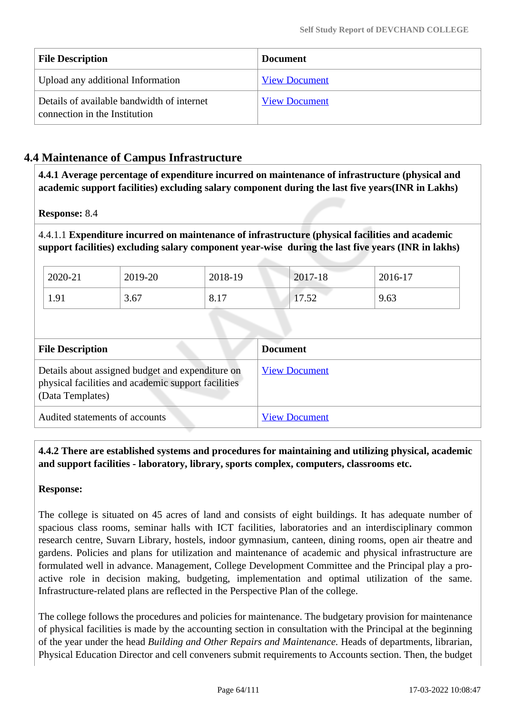| <b>File Description</b>                                                     | <b>Document</b>      |
|-----------------------------------------------------------------------------|----------------------|
| Upload any additional Information                                           | <b>View Document</b> |
| Details of available bandwidth of internet<br>connection in the Institution | <b>View Document</b> |

# **4.4 Maintenance of Campus Infrastructure**

 **4.4.1 Average percentage of expenditure incurred on maintenance of infrastructure (physical and academic support facilities) excluding salary component during the last five years(INR in Lakhs)**

**Response:** 8.4

4.4.1.1 **Expenditure incurred on maintenance of infrastructure (physical facilities and academic support facilities) excluding salary component year-wise during the last five years (INR in lakhs)**

| 2020-21 | 2019-20 | 2018-19                        | 2017-18          | $2016-17$ |
|---------|---------|--------------------------------|------------------|-----------|
| 1.91    | 3.67    | $1 \mathcal{F}$<br>$8.1^\circ$ | ドウ<br>7<br>11.JZ | 9.63      |

| <b>File Description</b>                                                                                                     | <b>Document</b>      |
|-----------------------------------------------------------------------------------------------------------------------------|----------------------|
| Details about assigned budget and expenditure on<br>physical facilities and academic support facilities<br>(Data Templates) | <b>View Document</b> |
| Audited statements of accounts                                                                                              | <b>View Document</b> |

 **4.4.2 There are established systems and procedures for maintaining and utilizing physical, academic and support facilities - laboratory, library, sports complex, computers, classrooms etc.**

# **Response:**

The college is situated on 45 acres of land and consists of eight buildings. It has adequate number of spacious class rooms, seminar halls with ICT facilities, laboratories and an interdisciplinary common research centre, Suvarn Library, hostels, indoor gymnasium, canteen, dining rooms, open air theatre and gardens. Policies and plans for utilization and maintenance of academic and physical infrastructure are formulated well in advance. Management, College Development Committee and the Principal play a proactive role in decision making, budgeting, implementation and optimal utilization of the same. Infrastructure-related plans are reflected in the Perspective Plan of the college.

The college follows the procedures and policies for maintenance. The budgetary provision for maintenance of physical facilities is made by the accounting section in consultation with the Principal at the beginning of the year under the head *Building and Other Repairs and Maintenance.* Heads of departments, librarian, Physical Education Director and cell conveners submit requirements to Accounts section. Then, the budget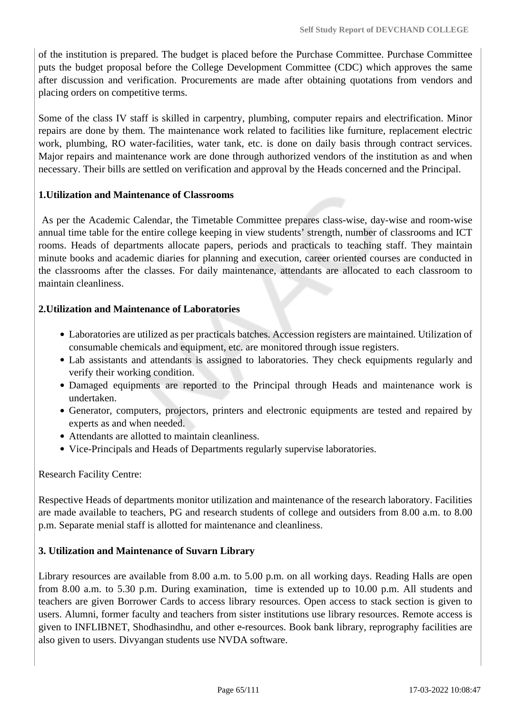of the institution is prepared. The budget is placed before the Purchase Committee. Purchase Committee puts the budget proposal before the College Development Committee (CDC) which approves the same after discussion and verification. Procurements are made after obtaining quotations from vendors and placing orders on competitive terms.

Some of the class IV staff is skilled in carpentry, plumbing, computer repairs and electrification. Minor repairs are done by them. The maintenance work related to facilities like furniture, replacement electric work, plumbing, RO water-facilities, water tank, etc. is done on daily basis through contract services. Major repairs and maintenance work are done through authorized vendors of the institution as and when necessary. Their bills are settled on verification and approval by the Heads concerned and the Principal.

### **1.Utilization and Maintenance of Classrooms**

 As per the Academic Calendar, the Timetable Committee prepares class-wise, day-wise and room-wise annual time table for the entire college keeping in view students' strength, number of classrooms and ICT rooms. Heads of departments allocate papers, periods and practicals to teaching staff. They maintain minute books and academic diaries for planning and execution, career oriented courses are conducted in the classrooms after the classes. For daily maintenance, attendants are allocated to each classroom to maintain cleanliness.

### **2.Utilization and Maintenance of Laboratories**

- Laboratories are utilized as per practicals batches. Accession registers are maintained. Utilization of consumable chemicals and equipment, etc. are monitored through issue registers.
- Lab assistants and attendants is assigned to laboratories. They check equipments regularly and verify their working condition.
- Damaged equipments are reported to the Principal through Heads and maintenance work is undertaken.
- Generator, computers, projectors, printers and electronic equipments are tested and repaired by experts as and when needed.
- Attendants are allotted to maintain cleanliness.
- Vice-Principals and Heads of Departments regularly supervise laboratories.

#### Research Facility Centre:

Respective Heads of departments monitor utilization and maintenance of the research laboratory. Facilities are made available to teachers, PG and research students of college and outsiders from 8.00 a.m. to 8.00 p.m. Separate menial staff is allotted for maintenance and cleanliness.

#### **3. Utilization and Maintenance of Suvarn Library**

Library resources are available from 8.00 a.m. to 5.00 p.m. on all working days. Reading Halls are open from 8.00 a.m. to 5.30 p.m. During examination, time is extended up to 10.00 p.m. All students and teachers are given Borrower Cards to access library resources. Open access to stack section is given to users. Alumni, former faculty and teachers from sister institutions use library resources. Remote access is given to INFLIBNET, Shodhasindhu, and other e-resources. Book bank library, reprography facilities are also given to users. Divyangan students use NVDA software.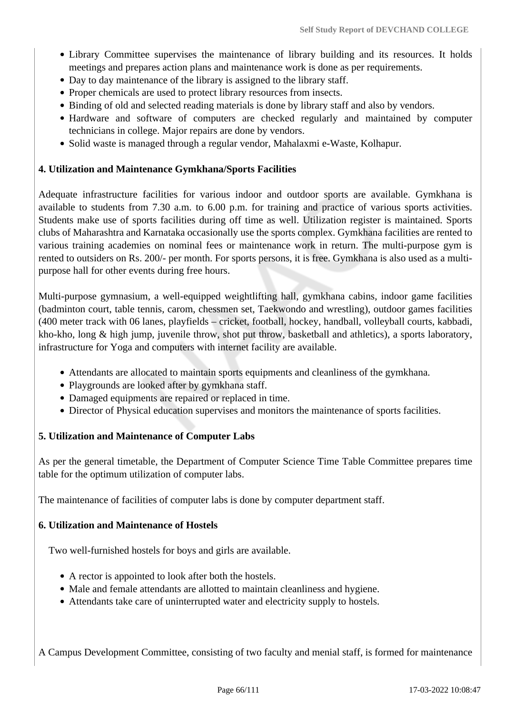- Library Committee supervises the maintenance of library building and its resources. It holds meetings and prepares action plans and maintenance work is done as per requirements.
- Day to day maintenance of the library is assigned to the library staff.
- Proper chemicals are used to protect library resources from insects.
- Binding of old and selected reading materials is done by library staff and also by vendors.
- Hardware and software of computers are checked regularly and maintained by computer technicians in college. Major repairs are done by vendors.
- Solid waste is managed through a regular vendor, Mahalaxmi e-Waste, Kolhapur.

### **4. Utilization and Maintenance Gymkhana/Sports Facilities**

Adequate infrastructure facilities for various indoor and outdoor sports are available. Gymkhana is available to students from 7.30 a.m. to 6.00 p.m. for training and practice of various sports activities. Students make use of sports facilities during off time as well. Utilization register is maintained. Sports clubs of Maharashtra and Karnataka occasionally use the sports complex. Gymkhana facilities are rented to various training academies on nominal fees or maintenance work in return. The multi-purpose gym is rented to outsiders on Rs. 200/- per month. For sports persons, it is free. Gymkhana is also used as a multipurpose hall for other events during free hours.

Multi-purpose gymnasium, a well-equipped weightlifting hall, gymkhana cabins, indoor game facilities (badminton court, table tennis, carom, chessmen set, Taekwondo and wrestling), outdoor games facilities (400 meter track with 06 lanes, playfields – cricket, football, hockey, handball, volleyball courts, kabbadi, kho-kho, long & high jump, juvenile throw, shot put throw, basketball and athletics), a sports laboratory, infrastructure for Yoga and computers with internet facility are available.

- Attendants are allocated to maintain sports equipments and cleanliness of the gymkhana.
- Playgrounds are looked after by gymkhana staff.
- Damaged equipments are repaired or replaced in time.
- Director of Physical education supervises and monitors the maintenance of sports facilities.

### **5. Utilization and Maintenance of Computer Labs**

As per the general timetable, the Department of Computer Science Time Table Committee prepares time table for the optimum utilization of computer labs.

The maintenance of facilities of computer labs is done by computer department staff.

### **6. Utilization and Maintenance of Hostels**

Two well-furnished hostels for boys and girls are available.

- A rector is appointed to look after both the hostels.
- Male and female attendants are allotted to maintain cleanliness and hygiene.
- Attendants take care of uninterrupted water and electricity supply to hostels.

A Campus Development Committee, consisting of two faculty and menial staff, is formed for maintenance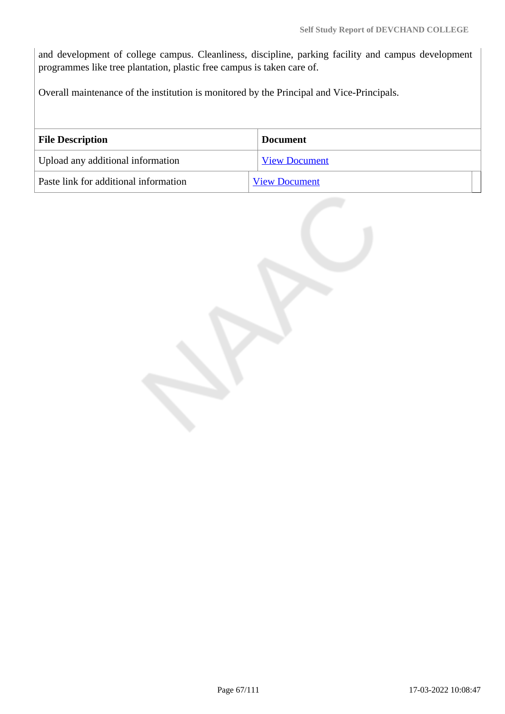and development of college campus. Cleanliness, discipline, parking facility and campus development programmes like tree plantation, plastic free campus is taken care of.

Overall maintenance of the institution is monitored by the Principal and Vice-Principals.

| <b>File Description</b>               | <b>Document</b>      |
|---------------------------------------|----------------------|
| Upload any additional information     | <b>View Document</b> |
| Paste link for additional information | <b>View Document</b> |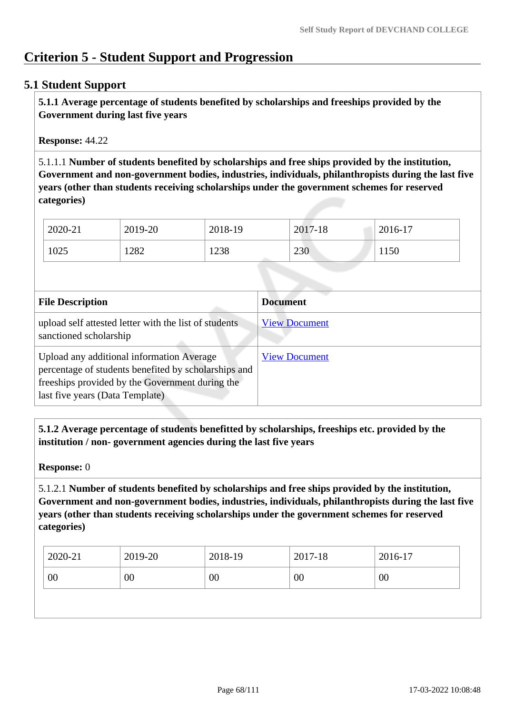# **Criterion 5 - Student Support and Progression**

## **5.1 Student Support**

 **5.1.1 Average percentage of students benefited by scholarships and freeships provided by the Government during last five years** 

**Response:** 44.22

5.1.1.1 **Number of students benefited by scholarships and free ships provided by the institution, Government and non-government bodies, industries, individuals, philanthropists during the last five years (other than students receiving scholarships under the government schemes for reserved categories)** 

| 2020-21 | 2019-20 | 2018-19 | 2017-18 | 2016-17 |
|---------|---------|---------|---------|---------|
| 1025    | 1282    | 1238    | 230     | 1150    |

| <b>File Description</b>                                                                                                                                                                 | <b>Document</b>      |
|-----------------------------------------------------------------------------------------------------------------------------------------------------------------------------------------|----------------------|
| upload self attested letter with the list of students<br>sanctioned scholarship                                                                                                         | <b>View Document</b> |
| Upload any additional information Average<br>percentage of students benefited by scholarships and<br>freeships provided by the Government during the<br>last five years (Data Template) | <b>View Document</b> |

 **5.1.2 Average percentage of students benefitted by scholarships, freeships etc. provided by the institution / non- government agencies during the last five years**

**Response:** 0

5.1.2.1 **Number of students benefited by scholarships and free ships provided by the institution, Government and non-government bodies, industries, individuals, philanthropists during the last five years (other than students receiving scholarships under the government schemes for reserved categories)** 

| 2016-17 | 2017-18 | 2018-19 | 2019-20 | 2020-21 |
|---------|---------|---------|---------|---------|
| 00      | 00      | 00      | 00      | 00      |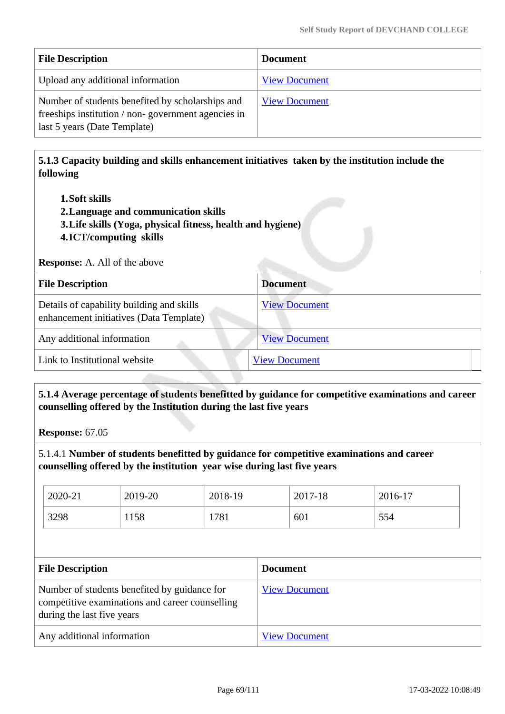| <b>File Description</b>                                                                                                                | <b>Document</b>      |
|----------------------------------------------------------------------------------------------------------------------------------------|----------------------|
| Upload any additional information                                                                                                      | <b>View Document</b> |
| Number of students benefited by scholarships and<br>freeships institution / non-government agencies in<br>last 5 years (Date Template) | <b>View Document</b> |

 **5.1.3 Capacity building and skills enhancement initiatives taken by the institution include the following**

- **1.Soft skills**
- **2.Language and communication skills**
- **3.Life skills (Yoga, physical fitness, health and hygiene)**
- **4.ICT/computing skills**

**Response:** A. All of the above

| <b>File Description</b>                                                              | <b>Document</b>      |
|--------------------------------------------------------------------------------------|----------------------|
| Details of capability building and skills<br>enhancement initiatives (Data Template) | <b>View Document</b> |
| Any additional information                                                           | <b>View Document</b> |
| Link to Institutional website                                                        | <b>View Document</b> |

 **5.1.4 Average percentage of students benefitted by guidance for competitive examinations and career counselling offered by the Institution during the last five years**

**Response:** 67.05

5.1.4.1 **Number of students benefitted by guidance for competitive examinations and career counselling offered by the institution year wise during last five years**

| 2020-21 | 2019-20 | 2018-19 | 2017-18 | 2016-17 |
|---------|---------|---------|---------|---------|
| 3298    | 1158    | 1781    | 601     | 554     |

| <b>File Description</b>                                                                                                       | <b>Document</b>      |
|-------------------------------------------------------------------------------------------------------------------------------|----------------------|
| Number of students benefited by guidance for<br>competitive examinations and career counselling<br>during the last five years | <b>View Document</b> |
| Any additional information                                                                                                    | <b>View Document</b> |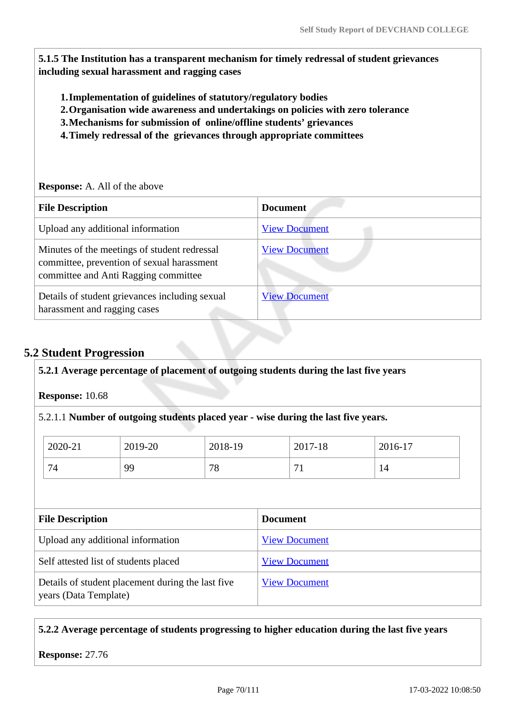**5.1.5 The Institution has a transparent mechanism for timely redressal of student grievances including sexual harassment and ragging cases**

- **1.Implementation of guidelines of statutory/regulatory bodies**
- **2.Organisation wide awareness and undertakings on policies with zero tolerance**
- **3.Mechanisms for submission of online/offline students' grievances**
- **4.Timely redressal of the grievances through appropriate committees**

**Response:** A. All of the above

| <b>File Description</b>                                                                                                            | <b>Document</b>      |
|------------------------------------------------------------------------------------------------------------------------------------|----------------------|
| Upload any additional information                                                                                                  | <b>View Document</b> |
| Minutes of the meetings of student redressal<br>committee, prevention of sexual harassment<br>committee and Anti Ragging committee | <b>View Document</b> |
| Details of student grievances including sexual<br>harassment and ragging cases                                                     | <b>View Document</b> |

# **5.2 Student Progression**

#### **5.2.1 Average percentage of placement of outgoing students during the last five years**

**Response:** 10.68

5.2.1.1 **Number of outgoing students placed year - wise during the last five years.**

| 2020-21 | 2019-20 | 2018-19 | 2017-18 | 2016-17 |
|---------|---------|---------|---------|---------|
| 74      | QQ      | 78      | −       | 14      |

| <b>File Description</b>                                                    | <b>Document</b>      |
|----------------------------------------------------------------------------|----------------------|
| Upload any additional information                                          | <b>View Document</b> |
| Self attested list of students placed                                      | <b>View Document</b> |
| Details of student placement during the last five<br>years (Data Template) | <b>View Document</b> |

### **5.2.2 Average percentage of students progressing to higher education during the last five years**

**Response:** 27.76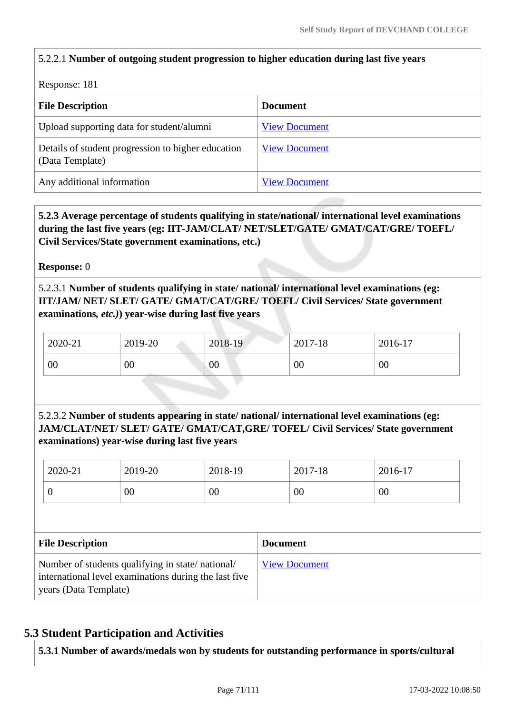# 5.2.2.1 **Number of outgoing student progression to higher education during last five years**

Response: 181

| <b>File Description</b>                                               | <b>Document</b>      |
|-----------------------------------------------------------------------|----------------------|
| Upload supporting data for student/alumni                             | <b>View Document</b> |
| Details of student progression to higher education<br>(Data Template) | <b>View Document</b> |
| Any additional information                                            | <b>View Document</b> |

 **5.2.3 Average percentage of students qualifying in state/national/ international level examinations during the last five years (eg: IIT-JAM/CLAT/ NET/SLET/GATE/ GMAT/CAT/GRE/ TOEFL/ Civil Services/State government examinations, etc.)**

**Response:** 0

5.2.3.1 **Number of students qualifying in state/ national/ international level examinations (eg: IIT/JAM/ NET/ SLET/ GATE/ GMAT/CAT/GRE/ TOEFL/ Civil Services/ State government examinations***, etc.)***) year-wise during last five years**

| 2020-21 | 2019-20 | 2018-19 | 2017-18 | 2016-17 |
|---------|---------|---------|---------|---------|
| 00      | 00      | 00      | 00      | 00      |

5.2.3.2 **Number of students appearing in state/ national/ international level examinations (eg: JAM/CLAT/NET/ SLET/ GATE/ GMAT/CAT,GRE/ TOFEL/ Civil Services/ State government examinations) year-wise during last five years**

|                         | 2020-21                                                                                                                            | 2019-20 | 2018-19 |                 | 2017-18              | 2016-17 |  |  |  |
|-------------------------|------------------------------------------------------------------------------------------------------------------------------------|---------|---------|-----------------|----------------------|---------|--|--|--|
|                         | 0                                                                                                                                  | $00\,$  | 00      |                 | 00                   | 00      |  |  |  |
|                         |                                                                                                                                    |         |         |                 |                      |         |  |  |  |
| <b>File Description</b> |                                                                                                                                    |         |         | <b>Document</b> |                      |         |  |  |  |
|                         | Number of students qualifying in state/national/<br>international level examinations during the last five<br>years (Data Template) |         |         |                 | <b>View Document</b> |         |  |  |  |

# **5.3 Student Participation and Activities**

**5.3.1 Number of awards/medals won by students for outstanding performance in sports/cultural**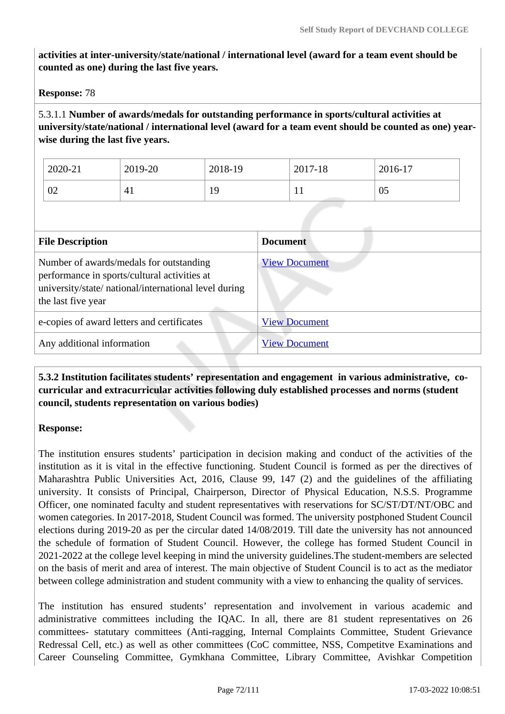**activities at inter-university/state/national / international level (award for a team event should be counted as one) during the last five years.**

**Response:** 78

5.3.1.1 **Number of awards/medals for outstanding performance in sports/cultural activities at university/state/national / international level (award for a team event should be counted as one) yearwise during the last five years.**

| 2020-21 | 2019-20           | 2018-19   | 2017-18 | 2016-17 |
|---------|-------------------|-----------|---------|---------|
| 02      | Д<br>$\mathbf{r}$ | 1 Q<br>ᅩノ | T T     | 05      |

| <b>File Description</b>                                                                                                                                                | <b>Document</b>      |  |  |  |  |
|------------------------------------------------------------------------------------------------------------------------------------------------------------------------|----------------------|--|--|--|--|
| Number of awards/medals for outstanding<br>performance in sports/cultural activities at<br>university/state/ national/international level during<br>the last five year | <b>View Document</b> |  |  |  |  |
| e-copies of award letters and certificates                                                                                                                             | <b>View Document</b> |  |  |  |  |
| Any additional information                                                                                                                                             | <b>View Document</b> |  |  |  |  |

 **5.3.2 Institution facilitates students' representation and engagement in various administrative, cocurricular and extracurricular activities following duly established processes and norms (student council, students representation on various bodies)** 

### **Response:**

The institution ensures students' participation in decision making and conduct of the activities of the institution as it is vital in the effective functioning. Student Council is formed as per the directives of Maharashtra Public Universities Act, 2016, Clause 99, 147 (2) and the guidelines of the affiliating university. It consists of Principal, Chairperson, Director of Physical Education, N.S.S. Programme Officer, one nominated faculty and student representatives with reservations for SC/ST/DT/NT/OBC and women categories. In 2017-2018, Student Council was formed. The university postphoned Student Council elections during 2019-20 as per the circular dated 14/08/2019. Till date the university has not announced the schedule of formation of Student Council. However, the college has formed Student Council in 2021-2022 at the college level keeping in mind the university guidelines.The student-members are selected on the basis of merit and area of interest. The main objective of Student Council is to act as the mediator between college administration and student community with a view to enhancing the quality of services.

The institution has ensured students' representation and involvement in various academic and administrative committees including the IQAC. In all, there are 81 student representatives on 26 committees- statutary committees (Anti-ragging, Internal Complaints Committee, Student Grievance Redressal Cell, etc.) as well as other committees (CoC committee, NSS, Competitve Examinations and Career Counseling Committee, Gymkhana Committee, Library Committee, Avishkar Competition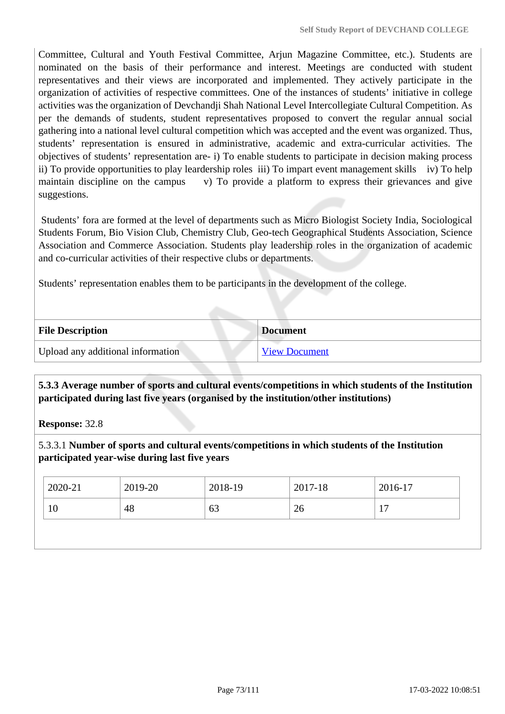Committee, Cultural and Youth Festival Committee, Arjun Magazine Committee, etc.). Students are nominated on the basis of their performance and interest. Meetings are conducted with student representatives and their views are incorporated and implemented. They actively participate in the organization of activities of respective committees. One of the instances of students' initiative in college activities was the organization of Devchandji Shah National Level Intercollegiate Cultural Competition. As per the demands of students, student representatives proposed to convert the regular annual social gathering into a national level cultural competition which was accepted and the event was organized. Thus, students' representation is ensured in administrative, academic and extra-curricular activities. The objectives of students' representation are- i) To enable students to participate in decision making process ii) To provide opportunities to play leardership roles iii) To impart event management skills iv) To help maintain discipline on the campus v) To provide a platform to express their grievances and give suggestions.

 Students' fora are formed at the level of departments such as Micro Biologist Society India, Sociological Students Forum, Bio Vision Club, Chemistry Club, Geo-tech Geographical Students Association, Science Association and Commerce Association. Students play leadership roles in the organization of academic and co-curricular activities of their respective clubs or departments.

Students' representation enables them to be participants in the development of the college.

| <b>File Description</b>           | <b>Document</b>      |
|-----------------------------------|----------------------|
| Upload any additional information | <b>View Document</b> |

# **5.3.3 Average number of sports and cultural events/competitions in which students of the Institution participated during last five years (organised by the institution/other institutions)**

**Response:** 32.8

5.3.3.1 **Number of sports and cultural events/competitions in which students of the Institution participated year-wise during last five years**

| $2020 - 21$ | 2019-20 | 2018-19 | 2017-18 | 2016-17               |
|-------------|---------|---------|---------|-----------------------|
| 10          | 48      | 63      | 26      | 1 <sub>7</sub><br>. . |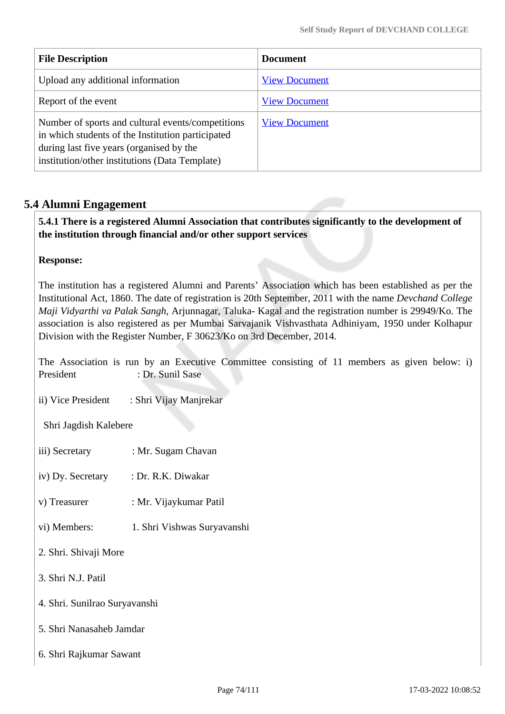| <b>File Description</b>                                                                                                                                                                              | <b>Document</b>      |
|------------------------------------------------------------------------------------------------------------------------------------------------------------------------------------------------------|----------------------|
| Upload any additional information                                                                                                                                                                    | <b>View Document</b> |
| Report of the event                                                                                                                                                                                  | <b>View Document</b> |
| Number of sports and cultural events/competitions<br>in which students of the Institution participated<br>during last five years (organised by the<br>institution/other institutions (Data Template) | <b>View Document</b> |

# **5.4 Alumni Engagement**

 **5.4.1 There is a registered Alumni Association that contributes significantly to the development of the institution through financial and/or other support services**

### **Response:**

The institution has a registered Alumni and Parents' Association which has been established as per the Institutional Act, 1860. The date of registration is 20th September, 2011 with the name *Devchand College Maji Vidyarthi va Palak Sangh*, Arjunnagar, Taluka- Kagal and the registration number is 29949/Ko. The association is also registered as per Mumbai Sarvajanik Vishvasthata Adhiniyam, 1950 under Kolhapur Division with the Register Number, F 30623/Ko on 3rd December, 2014.

The Association is run by an Executive Committee consisting of 11 members as given below: i) President : Dr. Sunil Sase

ii) Vice President : Shri Vijay Manjrekar

Shri Jagdish Kalebere

iii) Secretary : Mr. Sugam Chavan

iv) Dy. Secretary : Dr. R.K. Diwakar

- v) Treasurer : Mr. Vijaykumar Patil
- vi) Members: 1. Shri Vishwas Suryavanshi
- 2. Shri. Shivaji More
- 3. Shri N.J. Patil
- 4. Shri. Sunilrao Suryavanshi
- 5. Shri Nanasaheb Jamdar
- 6. Shri Rajkumar Sawant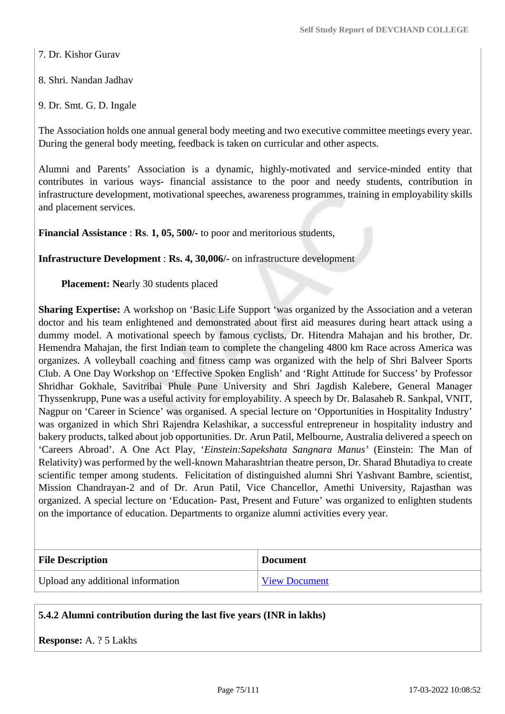7. Dr. Kishor Gurav

8. Shri. Nandan Jadhav

9. Dr. Smt. G. D. Ingale

The Association holds one annual general body meeting and two executive committee meetings every year. During the general body meeting, feedback is taken on curricular and other aspects.

Alumni and Parents' Association is a dynamic, highly-motivated and service-minded entity that contributes in various ways- financial assistance to the poor and needy students, contribution in infrastructure development, motivational speeches, awareness programmes, training in employability skills and placement services.

**Financial Assistance** : **Rs**. **1, 05, 500/-** to poor and meritorious students,

**Infrastructure Development** : **Rs. 4, 30,006/-** on infrastructure development

**Placement: Ne**arly 30 students placed

**Sharing Expertise:** A workshop on 'Basic Life Support 'was organized by the Association and a veteran doctor and his team enlightened and demonstrated about first aid measures during heart attack using a dummy model. A motivational speech by famous cyclists, Dr. Hitendra Mahajan and his brother, Dr. Hemendra Mahajan, the first Indian team to complete the changeling 4800 km Race across America was organizes. A volleyball coaching and fitness camp was organized with the help of Shri Balveer Sports Club. A One Day Workshop on 'Effective Spoken English' and 'Right Attitude for Success' by Professor Shridhar Gokhale, Savitribai Phule Pune University and Shri Jagdish Kalebere, General Manager Thyssenkrupp, Pune was a useful activity for employability. A speech by Dr. Balasaheb R. Sankpal, VNIT, Nagpur on 'Career in Science' was organised. A special lecture on 'Opportunities in Hospitality Industry' was organized in which Shri Rajendra Kelashikar, a successful entrepreneur in hospitality industry and bakery products, talked about job opportunities. Dr. Arun Patil, Melbourne, Australia delivered a speech on 'Careers Abroad'. A One Act Play, '*Einstein:Sapekshata Sangnara Manus'* (Einstein: The Man of Relativity) was performed by the well-known Maharashtrian theatre person, Dr. Sharad Bhutadiya to create scientific temper among students. Felicitation of distinguished alumni Shri Yashvant Bambre, scientist, Mission Chandrayan-2 and of Dr. Arun Patil, Vice Chancellor, Amethi University, Rajasthan was organized. A special lecture on 'Education- Past, Present and Future' was organized to enlighten students on the importance of education. Departments to organize alumni activities every year.

| <b>File Description</b>           | <b>Document</b>      |
|-----------------------------------|----------------------|
| Upload any additional information | <b>View Document</b> |

### **5.4.2 Alumni contribution during the last five years (INR in lakhs)**

**Response:** A. ? 5 Lakhs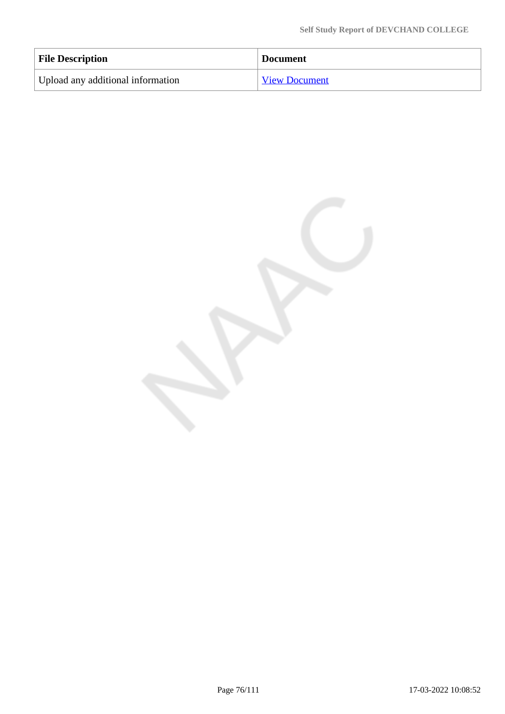| <b>File Description</b>           | <b>Document</b>      |
|-----------------------------------|----------------------|
| Upload any additional information | <b>View Document</b> |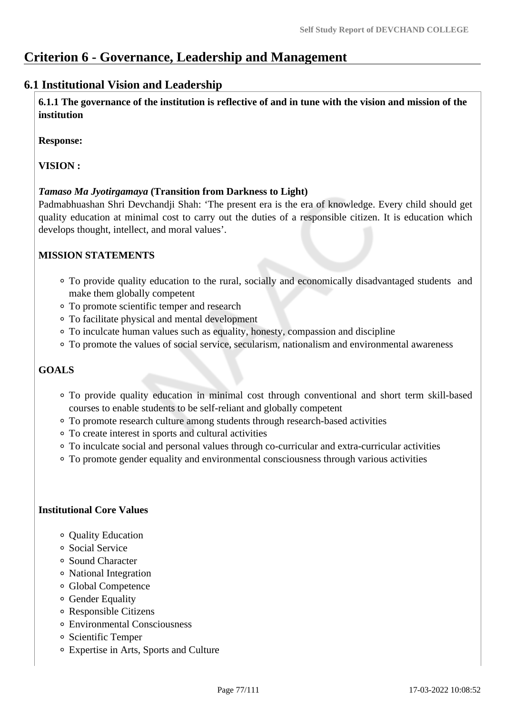# **Criterion 6 - Governance, Leadership and Management**

# **6.1 Institutional Vision and Leadership**

 **6.1.1 The governance of the institution is reflective of and in tune with the vision and mission of the institution**

**Response:** 

**VISION :**

#### *Tamaso Ma Jyotirgamaya* **(Transition from Darkness to Light)**

Padmabhuashan Shri Devchandji Shah: 'The present era is the era of knowledge. Every child should get quality education at minimal cost to carry out the duties of a responsible citizen. It is education which develops thought, intellect, and moral values'.

### **MISSION STATEMENTS**

- To provide quality education to the rural, socially and economically disadvantaged students and make them globally competent
- To promote scientific temper and research
- To facilitate physical and mental development
- To inculcate human values such as equality, honesty, compassion and discipline
- To promote the values of social service, secularism, nationalism and environmental awareness

# **GOALS**

- To provide quality education in minimal cost through conventional and short term skill-based courses to enable students to be self-reliant and globally competent
- To promote research culture among students through research-based activities
- To create interest in sports and cultural activities
- To inculcate social and personal values through co-curricular and extra-curricular activities
- To promote gender equality and environmental consciousness through various activities

#### **Institutional Core Values**

- Ouality Education
- Social Service
- Sound Character
- National Integration
- Global Competence
- Gender Equality
- Responsible Citizens
- Environmental Consciousness
- Scientific Temper
- Expertise in Arts, Sports and Culture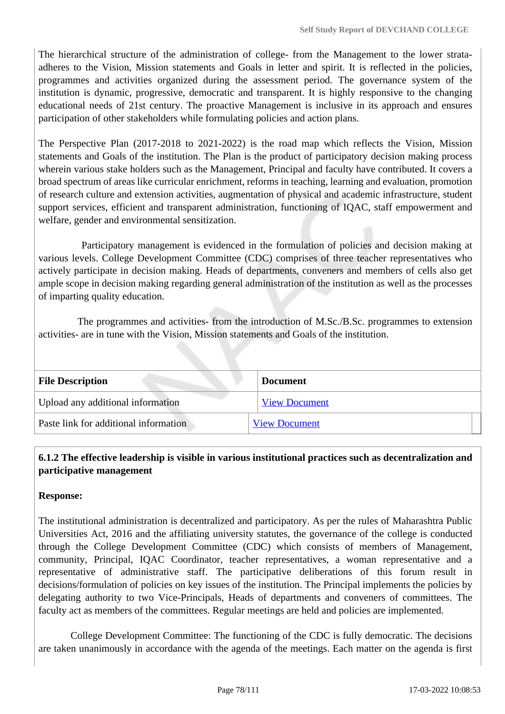The hierarchical structure of the administration of college- from the Management to the lower strataadheres to the Vision, Mission statements and Goals in letter and spirit. It is reflected in the policies, programmes and activities organized during the assessment period. The governance system of the institution is dynamic, progressive, democratic and transparent. It is highly responsive to the changing educational needs of 21st century. The proactive Management is inclusive in its approach and ensures participation of other stakeholders while formulating policies and action plans.

The Perspective Plan (2017-2018 to 2021-2022) is the road map which reflects the Vision, Mission statements and Goals of the institution. The Plan is the product of participatory decision making process wherein various stake holders such as the Management, Principal and faculty have contributed. It covers a broad spectrum of areas like curricular enrichment, reforms in teaching, learning and evaluation, promotion of research culture and extension activities, augmentation of physical and academic infrastructure, student support services, efficient and transparent administration, functioning of IQAC, staff empowerment and welfare, gender and environmental sensitization.

 Participatory management is evidenced in the formulation of policies and decision making at various levels. College Development Committee (CDC) comprises of three teacher representatives who actively participate in decision making. Heads of departments, conveners and members of cells also get ample scope in decision making regarding general administration of the institution as well as the processes of imparting quality education.

 The programmes and activities- from the introduction of M.Sc./B.Sc. programmes to extension activities- are in tune with the Vision, Mission statements and Goals of the institution.

| <b>File Description</b>               | <b>Document</b>      |
|---------------------------------------|----------------------|
| Upload any additional information     | <b>View Document</b> |
| Paste link for additional information | <b>View Document</b> |

# **6.1.2 The effective leadership is visible in various institutional practices such as decentralization and participative management**

# **Response:**

The institutional administration is decentralized and participatory. As per the rules of Maharashtra Public Universities Act, 2016 and the affiliating university statutes, the governance of the college is conducted through the College Development Committee (CDC) which consists of members of Management, community, Principal, IQAC Coordinator, teacher representatives, a woman representative and a representative of administrative staff. The participative deliberations of this forum result in decisions/formulation of policies on key issues of the institution. The Principal implements the policies by delegating authority to two Vice-Principals, Heads of departments and conveners of committees. The faculty act as members of the committees. Regular meetings are held and policies are implemented.

 College Development Committee: The functioning of the CDC is fully democratic. The decisions are taken unanimously in accordance with the agenda of the meetings. Each matter on the agenda is first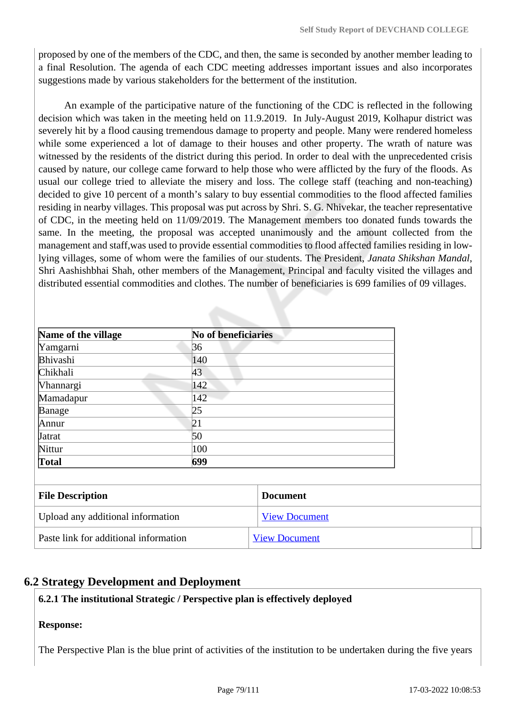proposed by one of the members of the CDC, and then, the same is seconded by another member leading to a final Resolution. The agenda of each CDC meeting addresses important issues and also incorporates suggestions made by various stakeholders for the betterment of the institution.

 An example of the participative nature of the functioning of the CDC is reflected in the following decision which was taken in the meeting held on 11.9.2019. In July-August 2019, Kolhapur district was severely hit by a flood causing tremendous damage to property and people. Many were rendered homeless while some experienced a lot of damage to their houses and other property. The wrath of nature was witnessed by the residents of the district during this period. In order to deal with the unprecedented crisis caused by nature, our college came forward to help those who were afflicted by the fury of the floods. As usual our college tried to alleviate the misery and loss. The college staff (teaching and non-teaching) decided to give 10 percent of a month's salary to buy essential commodities to the flood affected families residing in nearby villages. This proposal was put across by Shri. S. G. Nhivekar, the teacher representative of CDC, in the meeting held on 11/09/2019. The Management members too donated funds towards the same. In the meeting, the proposal was accepted unanimously and the amount collected from the management and staff,was used to provide essential commodities to flood affected families residing in lowlying villages, some of whom were the families of our students. The President, *Janata Shikshan Mandal*, Shri Aashishbhai Shah, other members of the Management, Principal and faculty visited the villages and distributed essential commodities and clothes. The number of beneficiaries is 699 families of 09 villages.

| Name of the village | <b>No of beneficiaries</b> |  |
|---------------------|----------------------------|--|
| Yamgarni            | 36                         |  |
| Bhivashi            | 140                        |  |
| Chikhali            | 43                         |  |
| <b>Vhannargi</b>    | 142                        |  |
| Mamadapur           | 142                        |  |
| Banage              | 25                         |  |
| Annur               | 21                         |  |
| <b>J</b> atrat      | 50                         |  |
| Nittur              | 100                        |  |
| Total               | 699                        |  |

| <b>File Description</b>               | <b>Document</b>      |
|---------------------------------------|----------------------|
| Upload any additional information     | <b>View Document</b> |
| Paste link for additional information | <b>View Document</b> |

# **6.2 Strategy Development and Deployment**

### **6.2.1 The institutional Strategic / Perspective plan is effectively deployed**

### **Response:**

The Perspective Plan is the blue print of activities of the institution to be undertaken during the five years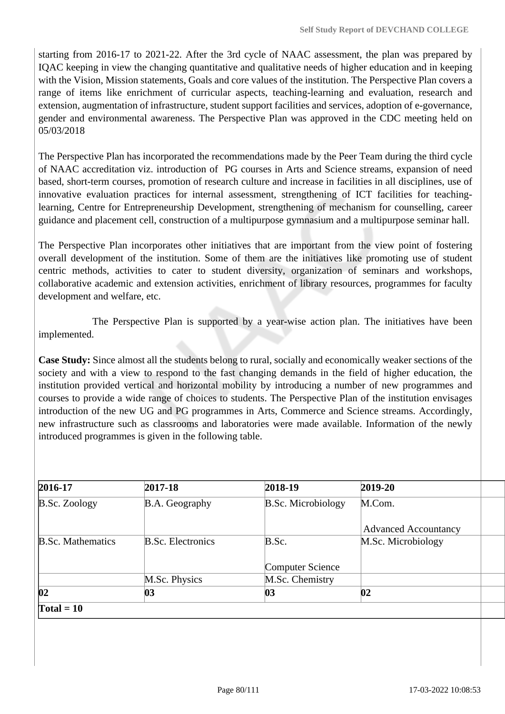starting from 2016-17 to 2021-22. After the 3rd cycle of NAAC assessment, the plan was prepared by IQAC keeping in view the changing quantitative and qualitative needs of higher education and in keeping with the Vision, Mission statements, Goals and core values of the institution. The Perspective Plan covers a range of items like enrichment of curricular aspects, teaching-learning and evaluation, research and extension, augmentation of infrastructure, student support facilities and services, adoption of e-governance, gender and environmental awareness. The Perspective Plan was approved in the CDC meeting held on 05/03/2018

The Perspective Plan has incorporated the recommendations made by the Peer Team during the third cycle of NAAC accreditation viz. introduction of PG courses in Arts and Science streams, expansion of need based, short-term courses, promotion of research culture and increase in facilities in all disciplines, use of innovative evaluation practices for internal assessment, strengthening of ICT facilities for teachinglearning, Centre for Entrepreneurship Development, strengthening of mechanism for counselling, career guidance and placement cell, construction of a multipurpose gymnasium and a multipurpose seminar hall.

The Perspective Plan incorporates other initiatives that are important from the view point of fostering overall development of the institution. Some of them are the initiatives like promoting use of student centric methods, activities to cater to student diversity, organization of seminars and workshops, collaborative academic and extension activities, enrichment of library resources, programmes for faculty development and welfare, etc.

 The Perspective Plan is supported by a year-wise action plan. The initiatives have been implemented.

**Case Study:** Since almost all the students belong to rural, socially and economically weaker sections of the society and with a view to respond to the fast changing demands in the field of higher education, the institution provided vertical and horizontal mobility by introducing a number of new programmes and courses to provide a wide range of choices to students. The Perspective Plan of the institution envisages introduction of the new UG and PG programmes in Arts, Commerce and Science streams. Accordingly, new infrastructure such as classrooms and laboratories were made available. Information of the newly introduced programmes is given in the following table.

| 2016-17                  | 2017-18                  | 2018-19                   | 2019-20                     |
|--------------------------|--------------------------|---------------------------|-----------------------------|
| <b>B.Sc. Zoology</b>     | B.A. Geography           | <b>B.Sc. Microbiology</b> | M.Com.                      |
|                          |                          |                           | <b>Advanced Accountancy</b> |
| <b>B.Sc. Mathematics</b> | <b>B.Sc. Electronics</b> | B.Sc.                     | M.Sc. Microbiology          |
|                          |                          | <b>Computer Science</b>   |                             |
|                          | M.Sc. Physics            | M.Sc. Chemistry           |                             |
| 02                       | 03                       | 03                        | 02                          |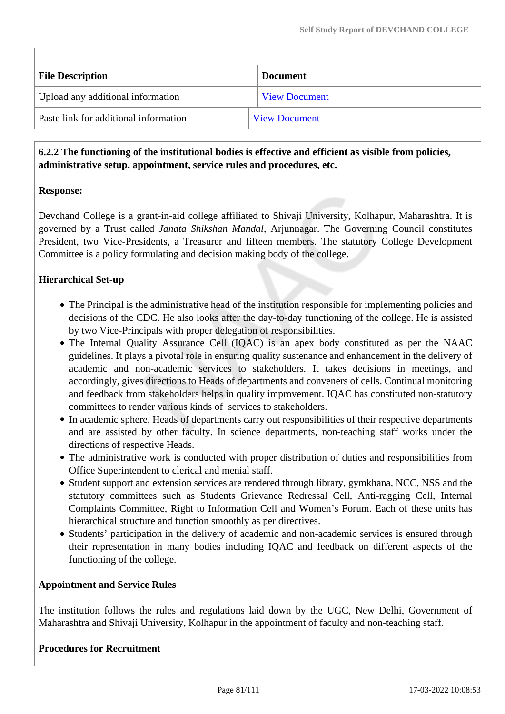| <b>File Description</b>               | <b>Document</b>      |
|---------------------------------------|----------------------|
| Upload any additional information     | <b>View Document</b> |
| Paste link for additional information | <b>View Document</b> |

# **6.2.2 The functioning of the institutional bodies is effective and efficient as visible from policies, administrative setup, appointment, service rules and procedures, etc.**

### **Response:**

Devchand College is a grant-in-aid college affiliated to Shivaji University, Kolhapur, Maharashtra. It is governed by a Trust called *Janata Shikshan Mandal*, Arjunnagar. The Governing Council constitutes President, two Vice-Presidents, a Treasurer and fifteen members. The statutory College Development Committee is a policy formulating and decision making body of the college.

# **Hierarchical Set-up**

- The Principal is the administrative head of the institution responsible for implementing policies and decisions of the CDC. He also looks after the day-to-day functioning of the college. He is assisted by two Vice-Principals with proper delegation of responsibilities.
- The Internal Quality Assurance Cell (IQAC) is an apex body constituted as per the NAAC guidelines. It plays a pivotal role in ensuring quality sustenance and enhancement in the delivery of academic and non-academic services to stakeholders. It takes decisions in meetings, and accordingly, gives directions to Heads of departments and conveners of cells. Continual monitoring and feedback from stakeholders helps in quality improvement. IQAC has constituted non-statutory committees to render various kinds of services to stakeholders.
- In academic sphere, Heads of departments carry out responsibilities of their respective departments and are assisted by other faculty. In science departments, non-teaching staff works under the directions of respective Heads.
- The administrative work is conducted with proper distribution of duties and responsibilities from Office Superintendent to clerical and menial staff.
- Student support and extension services are rendered through library, gymkhana, NCC, NSS and the statutory committees such as Students Grievance Redressal Cell, Anti-ragging Cell, Internal Complaints Committee, Right to Information Cell and Women's Forum. Each of these units has hierarchical structure and function smoothly as per directives.
- Students' participation in the delivery of academic and non-academic services is ensured through their representation in many bodies including IQAC and feedback on different aspects of the functioning of the college.

### **Appointment and Service Rules**

The institution follows the rules and regulations laid down by the UGC, New Delhi, Government of Maharashtra and Shivaji University, Kolhapur in the appointment of faculty and non-teaching staff.

#### **Procedures for Recruitment**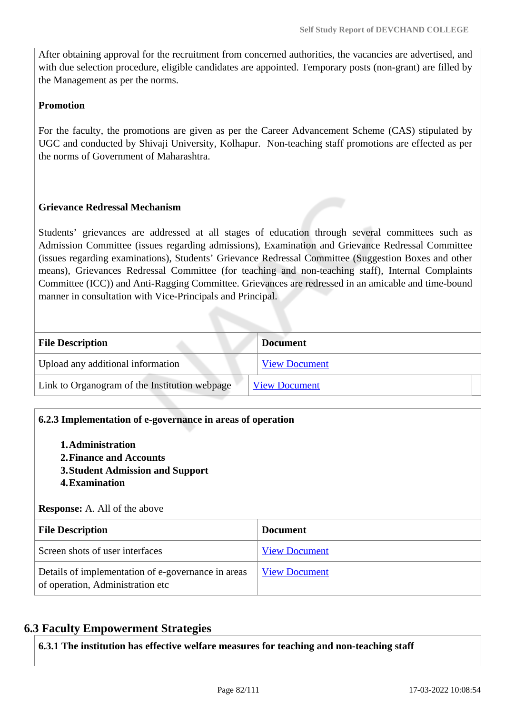After obtaining approval for the recruitment from concerned authorities, the vacancies are advertised, and with due selection procedure, eligible candidates are appointed. Temporary posts (non-grant) are filled by the Management as per the norms.

### **Promotion**

For the faculty, the promotions are given as per the Career Advancement Scheme (CAS) stipulated by UGC and conducted by Shivaji University, Kolhapur. Non-teaching staff promotions are effected as per the norms of Government of Maharashtra.

# **Grievance Redressal Mechanism**

Students' grievances are addressed at all stages of education through several committees such as Admission Committee (issues regarding admissions), Examination and Grievance Redressal Committee (issues regarding examinations), Students' Grievance Redressal Committee (Suggestion Boxes and other means), Grievances Redressal Committee (for teaching and non-teaching staff), Internal Complaints Committee (ICC)) and Anti-Ragging Committee. Grievances are redressed in an amicable and time-bound manner in consultation with Vice-Principals and Principal.

| <b>File Description</b>                       | <b>Document</b>      |
|-----------------------------------------------|----------------------|
| Upload any additional information             | <b>View Document</b> |
| Link to Organogram of the Institution webpage | <b>View Document</b> |
|                                               |                      |

### **6.2.3 Implementation of e-governance in areas of operation**

- **1.Administration**
- **2.Finance and Accounts**
- **3.Student Admission and Support**
- **4.Examination**

#### **Response:** A. All of the above

| <b>File Description</b>                                                                | <b>Document</b>      |
|----------------------------------------------------------------------------------------|----------------------|
| Screen shots of user interfaces                                                        | <b>View Document</b> |
| Details of implementation of e-governance in areas<br>of operation, Administration etc | <b>View Document</b> |

# **6.3 Faculty Empowerment Strategies**

**6.3.1 The institution has effective welfare measures for teaching and non-teaching staff**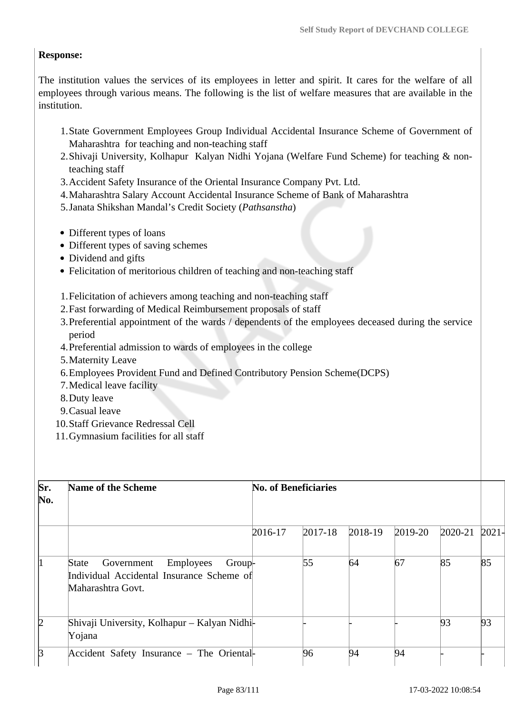# **Response:**

The institution values the services of its employees in letter and spirit. It cares for the welfare of all employees through various means. The following is the list of welfare measures that are available in the institution.

- 1.State Government Employees Group Individual Accidental Insurance Scheme of Government of Maharashtra for teaching and non-teaching staff
- 2.Shivaji University, Kolhapur Kalyan Nidhi Yojana (Welfare Fund Scheme) for teaching & nonteaching staff
- 3.Accident Safety Insurance of the Oriental Insurance Company Pvt. Ltd.
- 4.Maharashtra Salary Account Accidental Insurance Scheme of Bank of Maharashtra
- 5.Janata Shikshan Mandal's Credit Society (*Pathsanstha*)
- Different types of loans
- Different types of saving schemes
- Dividend and gifts
- Felicitation of meritorious children of teaching and non-teaching staff

# 1.Felicitation of achievers among teaching and non-teaching staff

- 2.Fast forwarding of Medical Reimbursement proposals of staff
- 3.Preferential appointment of the wards / dependents of the employees deceased during the service period
- 4.Preferential admission to wards of employees in the college
- 5.Maternity Leave
- 6.Employees Provident Fund and Defined Contributory Pension Scheme(DCPS)
- 7.Medical leave facility
- 8.Duty leave
- 9.Casual leave
- 10.Staff Grievance Redressal Cell
- 11.Gymnasium facilities for all staff

| Sr.<br>$\bf{No}.$ | Name of the Scheme                                                                                                  |         | <b>No. of Beneficiaries</b> |         |         |         |          |
|-------------------|---------------------------------------------------------------------------------------------------------------------|---------|-----------------------------|---------|---------|---------|----------|
|                   |                                                                                                                     | 2016-17 | $2017 - 18$                 | 2018-19 | 2019-20 | 2020-21 | $2021 -$ |
|                   | Employees<br>Government<br><b>State</b><br>Group-<br>Individual Accidental Insurance Scheme of<br>Maharashtra Govt. |         | 55                          | 64      | 67      | 85      | 85       |
| 12                | Shivaji University, Kolhapur - Kalyan Nidhi-<br>Yojana                                                              |         |                             |         |         | 93      | 93       |
| B                 | Accident Safety Insurance – The Oriental-                                                                           |         | 96                          | 94      | 94      |         |          |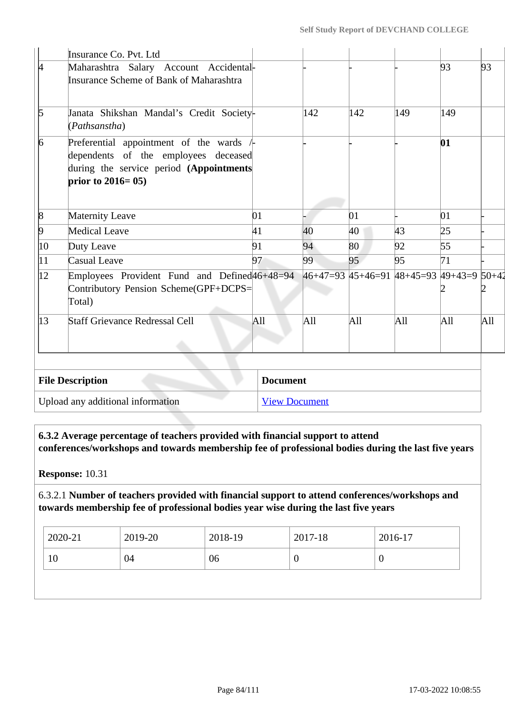|                  | Insurance Co. Pvt. Ltd                                                                                                                                      |                 |                                          |     |     |     |     |
|------------------|-------------------------------------------------------------------------------------------------------------------------------------------------------------|-----------------|------------------------------------------|-----|-----|-----|-----|
| k.               | Maharashtra Salary Account Accidental-<br><b>Insurance Scheme of Bank of Maharashtra</b>                                                                    |                 |                                          |     |     | 93  | 93  |
| $\mathfrak b$    | Janata Shikshan Mandal's Credit Society-<br>(Pathsanstha)                                                                                                   |                 | 142                                      | 142 | 149 | 149 |     |
| $\vert 6 \vert$  | Preferential appointment of the wards $\angle$<br>dependents of the employees deceased<br>during the service period (Appointments<br>prior to $2016 = 05$ ) |                 |                                          |     |     | 01  |     |
| $\vert 8$        | <b>Maternity Leave</b>                                                                                                                                      | 01              |                                          | 01  |     | 01  |     |
| $\overline{9}$   | Medical Leave                                                                                                                                               | 41              | 40                                       | 40  | 43  | 25  |     |
| 10               | Duty Leave                                                                                                                                                  | 91              | 94                                       | 80  | 92  | 55  |     |
| $ 11\rangle$     | Casual Leave                                                                                                                                                | 97              | 99                                       | 95  | 95  | 71  |     |
| $ 12\rangle$     | Employees Provident Fund and Defined 46+48=94<br>Contributory Pension Scheme(GPF+DCPS=<br>Total)                                                            |                 | 46+47=93 45+46=91 48+45=93 49+43=9 50+42 |     |     |     |     |
| $\vert 13 \vert$ | <b>Staff Grievance Redressal Cell</b>                                                                                                                       | All             | All                                      | All | All | All | All |
|                  | <b>File Description</b>                                                                                                                                     | <b>Document</b> |                                          |     |     |     |     |

Upload any additional information [View Document](https://assessmentonline.naac.gov.in/storage/app/hei/SSR/104917/6.3.1_1646460629_7329.pdf)

 **6.3.2 Average percentage of teachers provided with financial support to attend conferences/workshops and towards membership fee of professional bodies during the last five years**

**Response:** 10.31

6.3.2.1 **Number of teachers provided with financial support to attend conferences/workshops and towards membership fee of professional bodies year wise during the last five years**

| 2020-21 | 2019-20 | 2018-19 | 2017-18 | 2016-17 |
|---------|---------|---------|---------|---------|
| 10      | 04      | 06      | υ       | v       |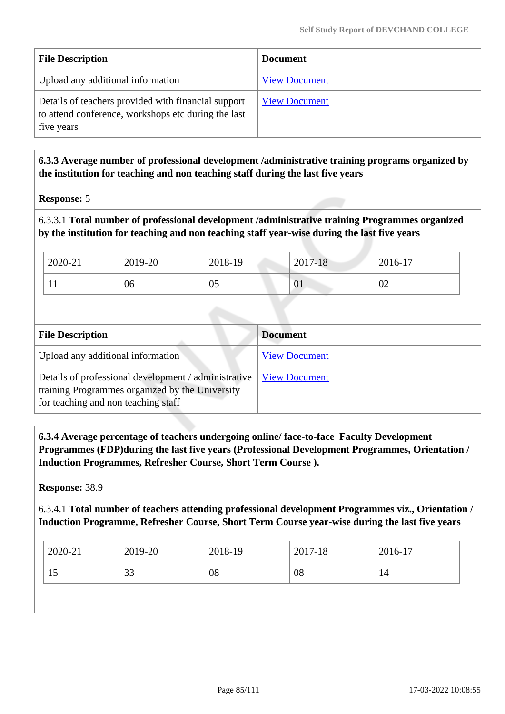| <b>File Description</b>                                                                                                  | <b>Document</b>      |
|--------------------------------------------------------------------------------------------------------------------------|----------------------|
| Upload any additional information                                                                                        | <b>View Document</b> |
| Details of teachers provided with financial support<br>to attend conference, workshops etc during the last<br>five years | <b>View Document</b> |

 **6.3.3 Average number of professional development /administrative training programs organized by the institution for teaching and non teaching staff during the last five years**

### **Response:** 5

### 6.3.3.1 **Total number of professional development /administrative training Programmes organized by the institution for teaching and non teaching staff year-wise during the last five years**

| 2020-21 | 2019-20 | 2018-19 | 2017-18 | 2016-17 |
|---------|---------|---------|---------|---------|
|         | 06      | 05      | UI      | 02      |

| <b>File Description</b>                                                                                                                        | <b>Document</b>      |
|------------------------------------------------------------------------------------------------------------------------------------------------|----------------------|
| Upload any additional information                                                                                                              | <b>View Document</b> |
| Details of professional development / administrative<br>training Programmes organized by the University<br>for teaching and non teaching staff | <b>View Document</b> |

 **6.3.4 Average percentage of teachers undergoing online/ face-to-face Faculty Development Programmes (FDP)during the last five years (Professional Development Programmes, Orientation / Induction Programmes, Refresher Course, Short Term Course ).**

**Response:** 38.9

6.3.4.1 **Total number of teachers attending professional development Programmes viz., Orientation / Induction Programme, Refresher Course, Short Term Course year-wise during the last five years**

| 2020-21 | 2019-20             | 2018-19 | 2017-18 | 2016-17 |
|---------|---------------------|---------|---------|---------|
| 15      | $\mathcal{D}$<br>33 | 08      | 08      | 14      |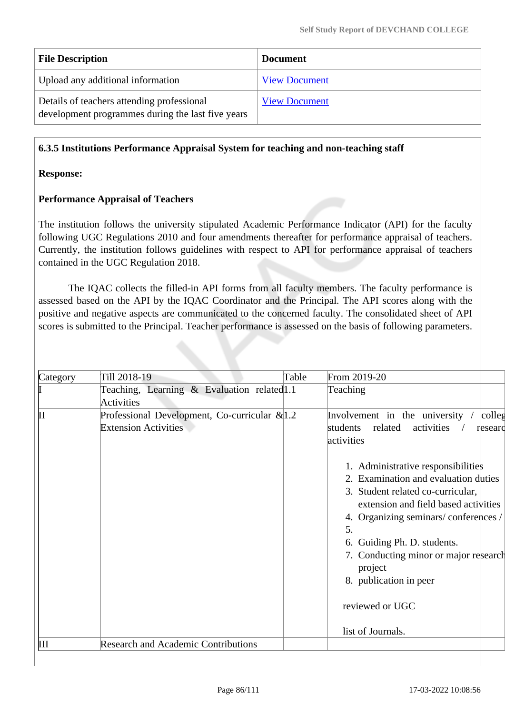| <b>File Description</b>                                                                         | <b>Document</b>      |
|-------------------------------------------------------------------------------------------------|----------------------|
| Upload any additional information                                                               | <b>View Document</b> |
| Details of teachers attending professional<br>development programmes during the last five years | <b>View Document</b> |

# **6.3.5 Institutions Performance Appraisal System for teaching and non-teaching staff**

#### **Response:**

### **Performance Appraisal of Teachers**

The institution follows the university stipulated Academic Performance Indicator (API) for the faculty following UGC Regulations 2010 and four amendments thereafter for performance appraisal of teachers. Currently, the institution follows guidelines with respect to API for performance appraisal of teachers contained in the UGC Regulation 2018.

 The IQAC collects the filled-in API forms from all faculty members. The faculty performance is assessed based on the API by the IQAC Coordinator and the Principal. The API scores along with the positive and negative aspects are communicated to the concerned faculty. The consolidated sheet of API scores is submitted to the Principal. Teacher performance is assessed on the basis of following parameters.

| Category | Till 2018-19                                                                    | Table | From 2019-20                                                                                                                                                                                                                                                                                                      |
|----------|---------------------------------------------------------------------------------|-------|-------------------------------------------------------------------------------------------------------------------------------------------------------------------------------------------------------------------------------------------------------------------------------------------------------------------|
|          | Teaching, Learning & Evaluation related 1.1<br><b>Activities</b>                |       | Teaching                                                                                                                                                                                                                                                                                                          |
| Ш        | Professional Development, Co-curricular $\&$ 1.2<br><b>Extension Activities</b> |       | Involvement in the university /<br>colleg<br>activities<br>related<br>students<br>researd<br>activities                                                                                                                                                                                                           |
|          |                                                                                 |       | 1. Administrative responsibilities<br>2. Examination and evaluation duties<br>3. Student related co-curricular,<br>extension and field based activities<br>4. Organizing seminars/conferences/<br>5.<br>6. Guiding Ph. D. students.<br>7. Conducting minor or major research<br>project<br>8. publication in peer |
|          |                                                                                 |       | reviewed or UGC<br>list of Journals.                                                                                                                                                                                                                                                                              |
| Ш        | <b>Research and Academic Contributions</b>                                      |       |                                                                                                                                                                                                                                                                                                                   |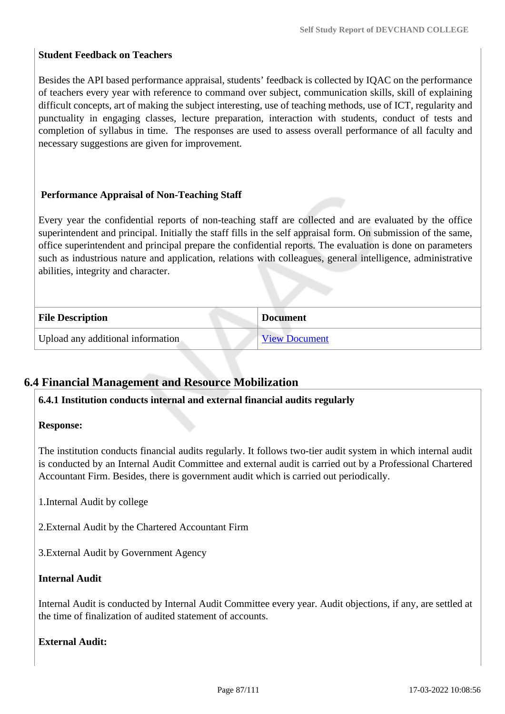# **Student Feedback on Teachers**

Besides the API based performance appraisal, students' feedback is collected by IQAC on the performance of teachers every year with reference to command over subject, communication skills, skill of explaining difficult concepts, art of making the subject interesting, use of teaching methods, use of ICT, regularity and punctuality in engaging classes, lecture preparation, interaction with students, conduct of tests and completion of syllabus in time. The responses are used to assess overall performance of all faculty and necessary suggestions are given for improvement.

# **Performance Appraisal of Non-Teaching Staff**

Every year the confidential reports of non-teaching staff are collected and are evaluated by the office superintendent and principal. Initially the staff fills in the self appraisal form. On submission of the same, office superintendent and principal prepare the confidential reports. The evaluation is done on parameters such as industrious nature and application, relations with colleagues, general intelligence, administrative abilities, integrity and character.

| <b>File Description</b>           | <b>Document</b>      |
|-----------------------------------|----------------------|
| Upload any additional information | <b>View Document</b> |

# **6.4 Financial Management and Resource Mobilization**

### **6.4.1 Institution conducts internal and external financial audits regularly**

#### **Response:**

The institution conducts financial audits regularly. It follows two-tier audit system in which internal audit is conducted by an Internal Audit Committee and external audit is carried out by a Professional Chartered Accountant Firm. Besides, there is government audit which is carried out periodically.

1.Internal Audit by college

2.External Audit by the Chartered Accountant Firm

3.External Audit by Government Agency

### **Internal Audit**

Internal Audit is conducted by Internal Audit Committee every year. Audit objections, if any, are settled at the time of finalization of audited statement of accounts.

### **External Audit:**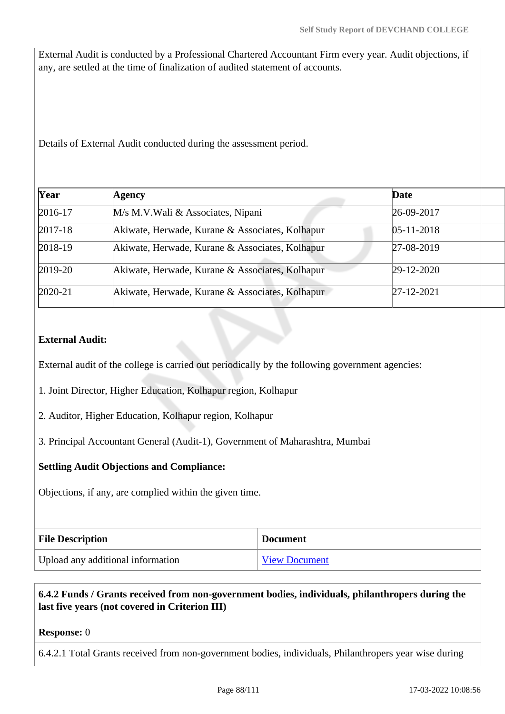External Audit is conducted by a Professional Chartered Accountant Firm every year. Audit objections, if any, are settled at the time of finalization of audited statement of accounts.

Details of External Audit conducted during the assessment period.

| Agency                                          | Date             |  |
|-------------------------------------------------|------------------|--|
| M/s M.V. Wali & Associates, Nipani              | 26-09-2017       |  |
| Akiwate, Herwade, Kurane & Associates, Kolhapur | $05 - 11 - 2018$ |  |
| Akiwate, Herwade, Kurane & Associates, Kolhapur | 27-08-2019       |  |
| Akiwate, Herwade, Kurane & Associates, Kolhapur | 29-12-2020       |  |
| Akiwate, Herwade, Kurane & Associates, Kolhapur | $27 - 12 - 2021$ |  |
|                                                 |                  |  |

# **External Audit:**

External audit of the college is carried out periodically by the following government agencies:

1. Joint Director, Higher Education, Kolhapur region, Kolhapur

2. Auditor, Higher Education, Kolhapur region, Kolhapur

3. Principal Accountant General (Audit-1), Government of Maharashtra, Mumbai

#### **Settling Audit Objections and Compliance:**

Objections, if any, are complied within the given time.

| <b>File Description</b>           | <b>Document</b>      |
|-----------------------------------|----------------------|
| Upload any additional information | <b>View Document</b> |

# **6.4.2 Funds / Grants received from non-government bodies, individuals, philanthropers during the last five years (not covered in Criterion III)**

#### **Response:** 0

6.4.2.1 Total Grants received from non-government bodies, individuals, Philanthropers year wise during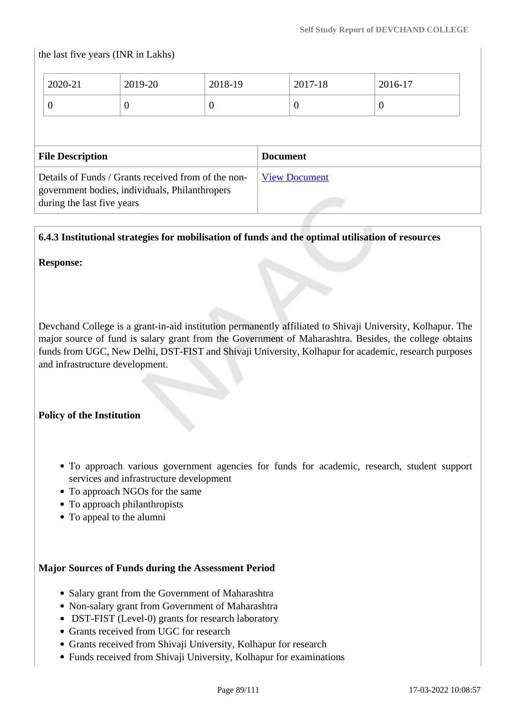# the last five years (INR in Lakhs)

| 2020-21                 | 2019-20  | 2018-19  |                 | 2017-18  | 2016-17  |
|-------------------------|----------|----------|-----------------|----------|----------|
| $\overline{0}$          | $\theta$ | $\theta$ |                 | $\theta$ | $\theta$ |
|                         |          |          |                 |          |          |
| <b>File Description</b> |          |          |                 |          |          |
|                         |          |          | <b>Document</b> |          |          |

**6.4.3 Institutional strategies for mobilisation of funds and the optimal utilisation of resources**

**Response:** 

Devchand College is a grant-in-aid institution permanently affiliated to Shivaji University, Kolhapur. The major source of fund is salary grant from the Government of Maharashtra. Besides, the college obtains funds from UGC, New Delhi, DST-FIST and Shivaji University, Kolhapur for academic, research purposes and infrastructure development.

### **Policy of the Institution**

- To approach various government agencies for funds for academic, research, student support services and infrastructure development
- To approach NGOs for the same
- To approach philanthropists
- To appeal to the alumni

#### **Major Sources of Funds during the Assessment Period**

- Salary grant from the Government of Maharashtra
- Non-salary grant from Government of Maharashtra
- DST-FIST (Level-0) grants for research laboratory
- Grants received from UGC for research
- Grants received from Shivaji University, Kolhapur for research
- Funds received from Shivaji University, Kolhapur for examinations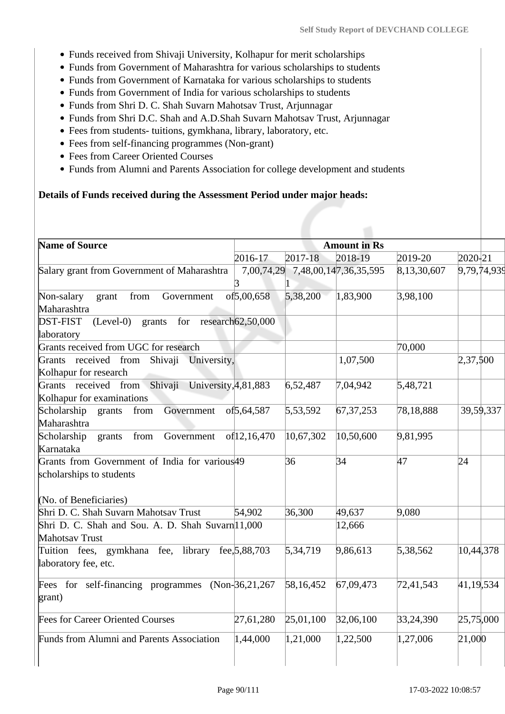- Funds received from Shivaji University, Kolhapur for merit scholarships
- Funds from Government of Maharashtra for various scholarships to students
- Funds from Government of Karnataka for various scholarships to students
- Funds from Government of India for various scholarships to students
- Funds from Shri D. C. Shah Suvarn Mahotsav Trust, Arjunnagar
- Funds from Shri D.C. Shah and A.D.Shah Suvarn Mahotsav Trust, Arjunnagar
- Fees from students- tuitions, gymkhana, library, laboratory, etc.
- Fees from self-financing programmes (Non-grant)
- Fees from Career Oriented Courses
- Funds from Alumni and Parents Association for college development and students

#### **Details of Funds received during the Assessment Period under major heads:**

| <b>Name of Source</b>                                                                 |                         |           | <b>Amount in Rs</b>              |             |             |
|---------------------------------------------------------------------------------------|-------------------------|-----------|----------------------------------|-------------|-------------|
|                                                                                       | 2016-17                 | 2017-18   | 2018-19                          | 2019-20     | 2020-21     |
| Salary grant from Government of Maharashtra                                           |                         |           | 7,00,74,29 7,48,00,147,36,35,595 | 8,13,30,607 | 9,79,74,939 |
| from<br>Non-salary<br>Government<br>grant<br>Maharashtra                              | of5,00,658              | 5,38,200  | 1,83,900                         | 3,98,100    |             |
| <b>DST-FIST</b><br>$(Level-0)$<br>for<br>grants<br>laboratory                         | research62,50,000       |           |                                  |             |             |
| Grants received from UGC for research                                                 |                         |           |                                  | 70,000      |             |
| Grants received from<br>Shivaji University,<br>Kolhapur for research                  |                         |           | 1,07,500                         |             | 2,37,500    |
| received from Shivaji<br>University, 4,81,883<br>Grants<br>Kolhapur for examinations  |                         | 6,52,487  | 7,04,942                         | 5,48,721    |             |
| Scholarship<br>Government<br>grants<br>from<br>Maharashtra                            | of <sub>5</sub> ,64,587 | 5,53,592  | 67, 37, 253                      | 78,18,888   | 39,59,337   |
| Scholarship<br>from<br>Government<br>grants<br>Karnataka                              | of12,16,470             | 10,67,302 | 10,50,600                        | 9,81,995    |             |
| Grants from Government of India for various <sup>49</sup><br>scholarships to students |                         | 36        | 34                               | 47          | 24          |
| (No. of Beneficiaries)                                                                |                         |           |                                  |             |             |
| Shri D. C. Shah Suvarn Mahotsav Trust                                                 | 54,902                  | 36,300    | 49,637                           | 9,080       |             |
| Shri D. C. Shah and Sou. A. D. Shah Suvarn 11,000<br>Mahotsav Trust                   |                         |           | 12,666                           |             |             |
| Tuition fees, gymkhana fee, library<br>laboratory fee, etc.                           | fee, 5, 88, 703         | 5,34,719  | 9,86,613                         | 5,38,562    | 10,44,378   |
| Fees for self-financing programmes<br>grant)                                          | $(Non-36,21,267)$       | 58,16,452 | 67,09,473                        | 72,41,543   | 41,19,534   |
| Fees for Career Oriented Courses                                                      | 27,61,280               | 25,01,100 | 32,06,100                        | 33,24,390   | 25,75,000   |
| Funds from Alumni and Parents Association                                             | 1,44,000                | 1,21,000  | 1,22,500                         | 1,27,006    | 21,000      |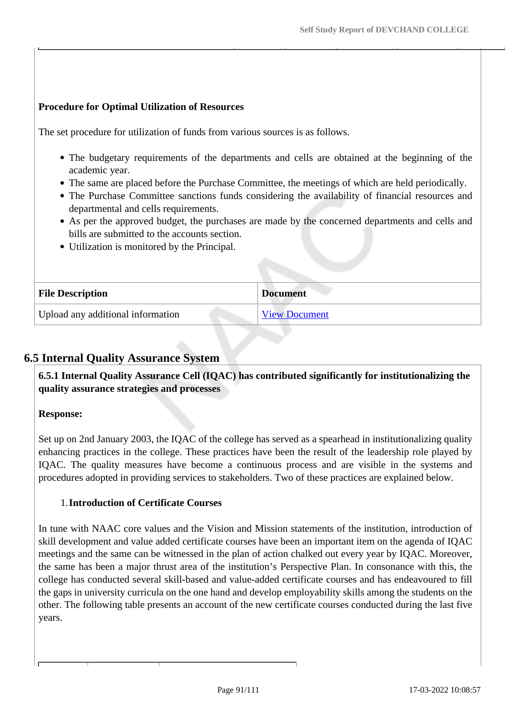# **Procedure for Optimal Utilization of Resources**

The set procedure for utilization of funds from various sources is as follows.

- The budgetary requirements of the departments and cells are obtained at the beginning of the academic year.
- The same are placed before the Purchase Committee, the meetings of which are held periodically.
- The Purchase Committee sanctions funds considering the availability of financial resources and departmental and cells requirements.
- As per the approved budget, the purchases are made by the concerned departments and cells and bills are submitted to the accounts section.
- Utilization is monitored by the Principal.

| <b>File Description</b>           | <b>Document</b>      |
|-----------------------------------|----------------------|
| Upload any additional information | <b>View Document</b> |

# **6.5 Internal Quality Assurance System**

 **6.5.1 Internal Quality Assurance Cell (IQAC) has contributed significantly for institutionalizing the quality assurance strategies and processes**

# **Response:**

Set up on 2nd January 2003, the IQAC of the college has served as a spearhead in institutionalizing quality enhancing practices in the college. These practices have been the result of the leadership role played by IQAC. The quality measures have become a continuous process and are visible in the systems and procedures adopted in providing services to stakeholders. Two of these practices are explained below.

### 1.**Introduction of Certificate Courses**

In tune with NAAC core values and the Vision and Mission statements of the institution, introduction of skill development and value added certificate courses have been an important item on the agenda of IQAC meetings and the same can be witnessed in the plan of action chalked out every year by IQAC. Moreover, the same has been a major thrust area of the institution's Perspective Plan. In consonance with this, the college has conducted several skill-based and value-added certificate courses and has endeavoured to fill the gaps in university curricula on the one hand and develop employability skills among the students on the other. The following table presents an account of the new certificate courses conducted during the last five years.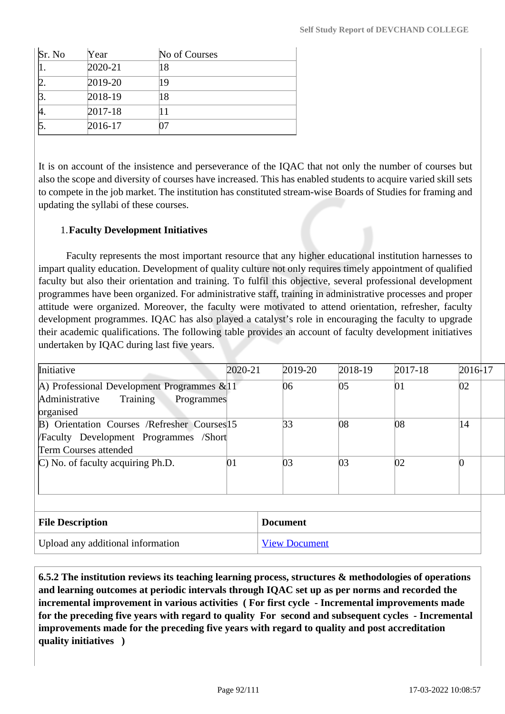| Sr. No | Year        | No of Courses |
|--------|-------------|---------------|
|        | 2020-21     | 18            |
|        | 2019-20     | 19            |
|        | 2018-19     | 18            |
|        | $2017 - 18$ |               |
|        | 2016-17     |               |

It is on account of the insistence and perseverance of the IQAC that not only the number of courses but also the scope and diversity of courses have increased. This has enabled students to acquire varied skill sets to compete in the job market. The institution has constituted stream-wise Boards of Studies for framing and updating the syllabi of these courses.

# 1.**Faculty Development Initiatives**

 Faculty represents the most important resource that any higher educational institution harnesses to impart quality education. Development of quality culture not only requires timely appointment of qualified faculty but also their orientation and training. To fulfil this objective, several professional development programmes have been organized. For administrative staff, training in administrative processes and proper attitude were organized. Moreover, the faculty were motivated to attend orientation, refresher, faculty development programmes. IQAC has also played a catalyst's role in encouraging the faculty to upgrade their academic qualifications. The following table provides an account of faculty development initiatives undertaken by IQAC during last five years.

| Initiative                                    | 2020-21 | 2019-20 | 2018-19 | $2017 - 18$ | $2016-17$ |  |
|-----------------------------------------------|---------|---------|---------|-------------|-----------|--|
| A) Professional Development Programmes $&11$  |         | 06      | 05      | 01          | 02        |  |
| Administrative<br>Training<br>Programmes      |         |         |         |             |           |  |
| organised                                     |         |         |         |             |           |  |
| B) Orientation Courses /Refresher Courses 15  |         | 33      | 08      | 08          | 14        |  |
| <b>/Faculty Development Programmes /Short</b> |         |         |         |             |           |  |
| Term Courses attended                         |         |         |         |             |           |  |
| $\mathbb{C}$ ) No. of faculty acquiring Ph.D. | 01      | 03      | 03      | 02          |           |  |
|                                               |         |         |         |             |           |  |
|                                               |         |         |         |             |           |  |
|                                               |         |         |         |             |           |  |
|                                               |         |         |         |             |           |  |

| <b>File Description</b>           | <b>Document</b>      |
|-----------------------------------|----------------------|
| Upload any additional information | <b>View Document</b> |

 **6.5.2 The institution reviews its teaching learning process, structures & methodologies of operations and learning outcomes at periodic intervals through IQAC set up as per norms and recorded the incremental improvement in various activities ( For first cycle - Incremental improvements made for the preceding five years with regard to quality For second and subsequent cycles - Incremental improvements made for the preceding five years with regard to quality and post accreditation quality initiatives )**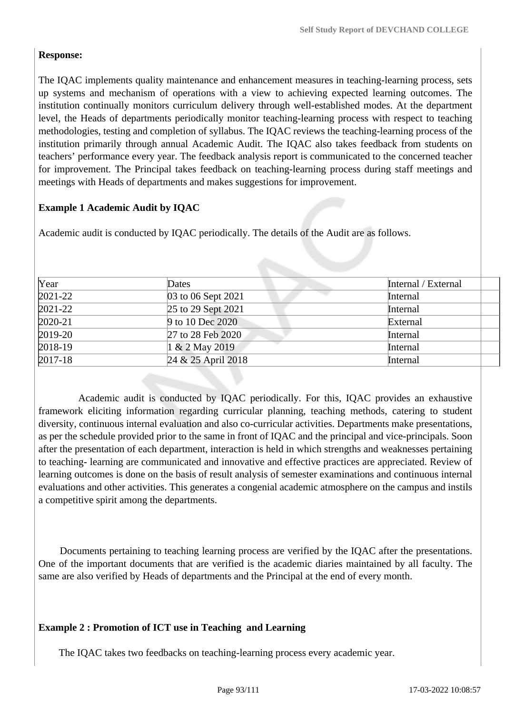# **Response:**

The IQAC implements quality maintenance and enhancement measures in teaching-learning process, sets up systems and mechanism of operations with a view to achieving expected learning outcomes. The institution continually monitors curriculum delivery through well-established modes. At the department level, the Heads of departments periodically monitor teaching-learning process with respect to teaching methodologies, testing and completion of syllabus. The IQAC reviews the teaching-learning process of the institution primarily through annual Academic Audit. The IQAC also takes feedback from students on teachers' performance every year. The feedback analysis report is communicated to the concerned teacher for improvement. The Principal takes feedback on teaching-learning process during staff meetings and meetings with Heads of departments and makes suggestions for improvement.

# **Example 1 Academic Audit by IQAC**

Academic audit is conducted by IQAC periodically. The details of the Audit are as follows.

| Year        | Dates              | Internal / External |
|-------------|--------------------|---------------------|
| $2021 - 22$ | 03 to 06 Sept 2021 | Internal            |
| $2021 - 22$ | 25 to 29 Sept 2021 | Internal            |
| $2020 - 21$ | 9 to 10 Dec 2020   | External            |
| $2019 - 20$ | 27 to 28 Feb 2020  | Internal            |
| $2018-19$   | 1 & 2 May 2019     | Internal            |
| $2017 - 18$ | 24 & 25 April 2018 | Internal            |

 Academic audit is conducted by IQAC periodically. For this, IQAC provides an exhaustive framework eliciting information regarding curricular planning, teaching methods, catering to student diversity, continuous internal evaluation and also co-curricular activities. Departments make presentations, as per the schedule provided prior to the same in front of IQAC and the principal and vice-principals. Soon after the presentation of each department, interaction is held in which strengths and weaknesses pertaining to teaching- learning are communicated and innovative and effective practices are appreciated. Review of learning outcomes is done on the basis of result analysis of semester examinations and continuous internal evaluations and other activities. This generates a congenial academic atmosphere on the campus and instils a competitive spirit among the departments.

 Documents pertaining to teaching learning process are verified by the IQAC after the presentations. One of the important documents that are verified is the academic diaries maintained by all faculty. The same are also verified by Heads of departments and the Principal at the end of every month.

# **Example 2 : Promotion of ICT use in Teaching and Learning**

The IQAC takes two feedbacks on teaching-learning process every academic year.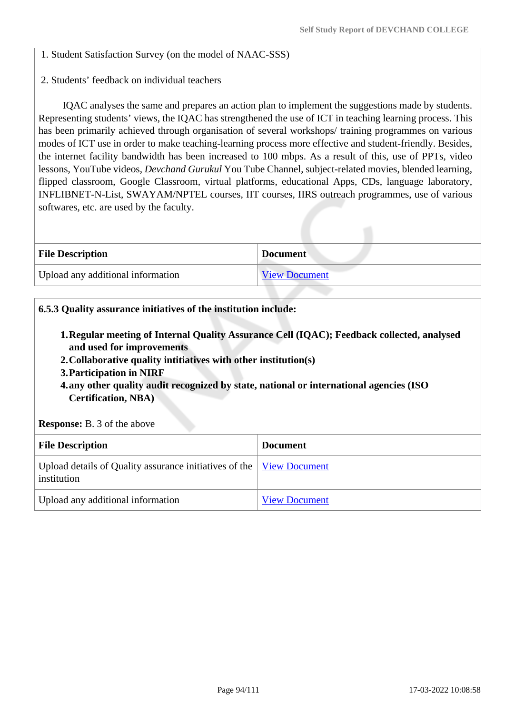1. Student Satisfaction Survey (on the model of NAAC-SSS)

2. Students' feedback on individual teachers

 IQAC analyses the same and prepares an action plan to implement the suggestions made by students. Representing students' views, the IQAC has strengthened the use of ICT in teaching learning process. This has been primarily achieved through organisation of several workshops/ training programmes on various modes of ICT use in order to make teaching-learning process more effective and student-friendly. Besides, the internet facility bandwidth has been increased to 100 mbps. As a result of this, use of PPTs, video lessons, YouTube videos, *Devchand Gurukul* You Tube Channel, subject-related movies, blended learning, flipped classroom, Google Classroom, virtual platforms, educational Apps, CDs, language laboratory, INFLIBNET-N-List, SWAYAM/NPTEL courses, IIT courses, IIRS outreach programmes, use of various softwares, etc. are used by the faculty.

| <b>File Description</b>           | <b>Document</b>      |
|-----------------------------------|----------------------|
| Upload any additional information | <b>View Document</b> |

### **6.5.3 Quality assurance initiatives of the institution include:**

- **1.Regular meeting of Internal Quality Assurance Cell (IQAC); Feedback collected, analysed and used for improvements**
- **2.Collaborative quality intitiatives with other institution(s)**
- **3.Participation in NIRF**
- **4.any other quality audit recognized by state, national or international agencies (ISO Certification, NBA)**

**Response:** B. 3 of the above

| <b>File Description</b>                                                                    | <b>Document</b>      |
|--------------------------------------------------------------------------------------------|----------------------|
| Upload details of Quality assurance initiatives of the <u>View Document</u><br>institution |                      |
| Upload any additional information                                                          | <b>View Document</b> |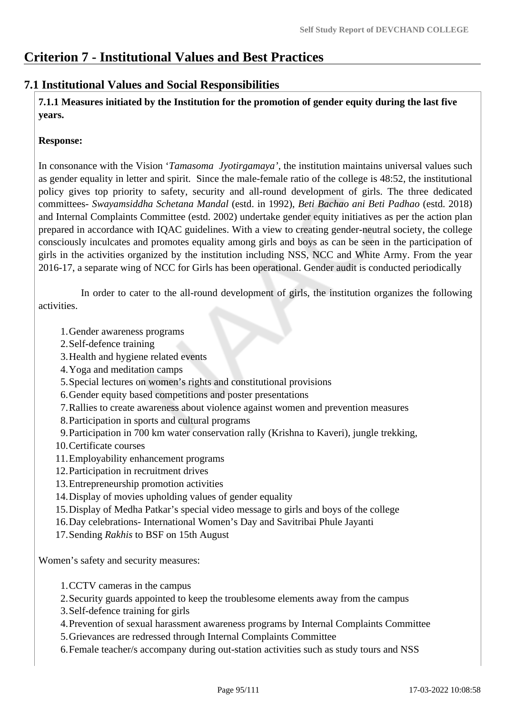# **Criterion 7 - Institutional Values and Best Practices**

# **7.1 Institutional Values and Social Responsibilities**

 **7.1.1 Measures initiated by the Institution for the promotion of gender equity during the last five years.**

#### **Response:**

In consonance with the Vision '*Tamasoma Jyotirgamaya'*, the institution maintains universal values such as gender equality in letter and spirit. Since the male-female ratio of the college is 48:52, the institutional policy gives top priority to safety, security and all-round development of girls. The three dedicated committees- *Swayamsiddha Schetana Mandal* (estd. in 1992), *Beti Bachao ani Beti Padhao* (estd. 2018) and Internal Complaints Committee (estd. 2002) undertake gender equity initiatives as per the action plan prepared in accordance with IQAC guidelines. With a view to creating gender-neutral society, the college consciously inculcates and promotes equality among girls and boys as can be seen in the participation of girls in the activities organized by the institution including NSS, NCC and White Army. From the year 2016-17, a separate wing of NCC for Girls has been operational. Gender audit is conducted periodically

 In order to cater to the all-round development of girls, the institution organizes the following activities.

1.Gender awareness programs

- 2.Self-defence training
- 3.Health and hygiene related events
- 4.Yoga and meditation camps
- 5.Special lectures on women's rights and constitutional provisions
- 6.Gender equity based competitions and poster presentations
- 7.Rallies to create awareness about violence against women and prevention measures
- 8.Participation in sports and cultural programs
- 9.Participation in 700 km water conservation rally (Krishna to Kaveri), jungle trekking,
- 10.Certificate courses
- 11.Employability enhancement programs
- 12.Participation in recruitment drives
- 13.Entrepreneurship promotion activities
- 14.Display of movies upholding values of gender equality
- 15.Display of Medha Patkar's special video message to girls and boys of the college
- 16.Day celebrations- International Women's Day and Savitribai Phule Jayanti

17.Sending *Rakhis* to BSF on 15th August

Women's safety and security measures:

1.CCTV cameras in the campus

2.Security guards appointed to keep the troublesome elements away from the campus

- 3.Self-defence training for girls
- 4.Prevention of sexual harassment awareness programs by Internal Complaints Committee

5.Grievances are redressed through Internal Complaints Committee

6.Female teacher/s accompany during out-station activities such as study tours and NSS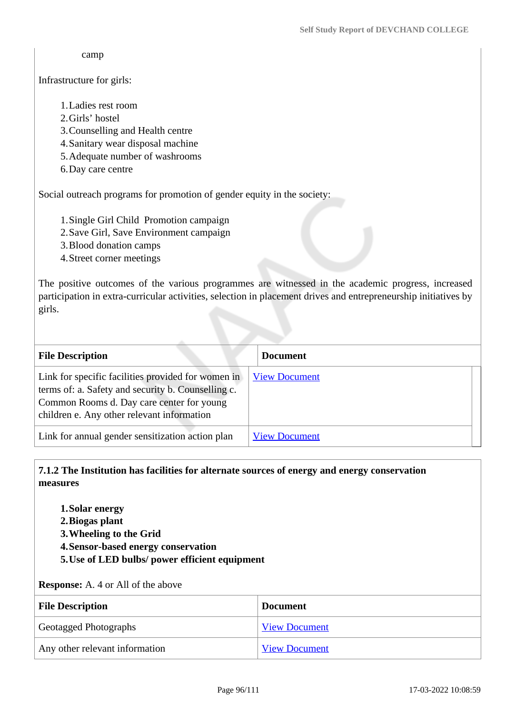camp

#### Infrastructure for girls:

### 1.Ladies rest room

- 2.Girls' hostel
- 3.Counselling and Health centre
- 4.Sanitary wear disposal machine
- 5.Adequate number of washrooms
- 6.Day care centre

Social outreach programs for promotion of gender equity in the society:

- 1.Single Girl Child Promotion campaign
- 2.Save Girl, Save Environment campaign
- 3.Blood donation camps
- 4.Street corner meetings

The positive outcomes of the various programmes are witnessed in the academic progress, increased participation in extra-curricular activities, selection in placement drives and entrepreneurship initiatives by girls.

| <b>File Description</b>                                                                                                                                                                             | <b>Document</b>      |
|-----------------------------------------------------------------------------------------------------------------------------------------------------------------------------------------------------|----------------------|
| Link for specific facilities provided for women in<br>terms of: a. Safety and security b. Counselling c.<br>Common Rooms d. Day care center for young<br>children e. Any other relevant information | <b>View Document</b> |
| Link for annual gender sensitization action plan                                                                                                                                                    | <b>View Document</b> |

### **7.1.2 The Institution has facilities for alternate sources of energy and energy conservation measures**

- **1.Solar energy**
- **2.Biogas plant**
- **3.Wheeling to the Grid**
- **4.Sensor-based energy conservation**
- **5.Use of LED bulbs/ power efficient equipment**

#### **Response:** A. 4 or All of the above

| <b>File Description</b>        | <b>Document</b>      |
|--------------------------------|----------------------|
| <b>Geotagged Photographs</b>   | <b>View Document</b> |
| Any other relevant information | <b>View Document</b> |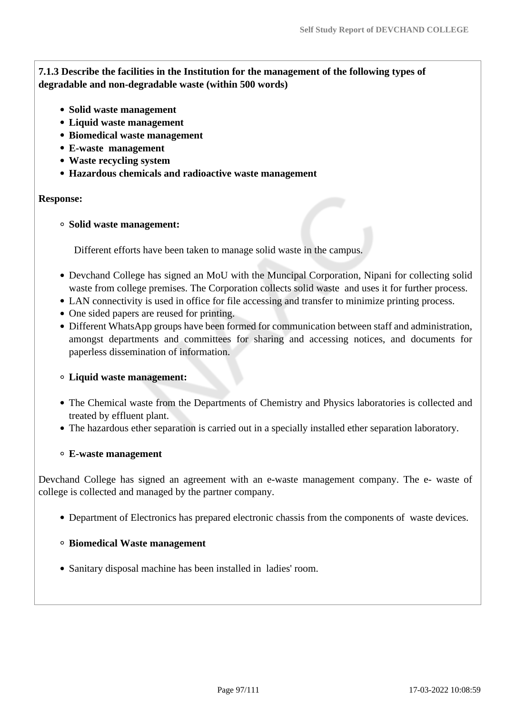**7.1.3 Describe the facilities in the Institution for the management of the following types of degradable and non-degradable waste (within 500 words)**

- **Solid waste management**
- **Liquid waste management**
- **Biomedical waste management**
- **E-waste management**
- **Waste recycling system**
- **Hazardous chemicals and radioactive waste management**

#### **Response:**

#### **Solid waste management:**

Different efforts have been taken to manage solid waste in the campus.

- Devchand College has signed an MoU with the Muncipal Corporation, Nipani for collecting solid waste from college premises. The Corporation collects solid waste and uses it for further process.
- LAN connectivity is used in office for file accessing and transfer to minimize printing process.
- One sided papers are reused for printing.
- Different WhatsApp groups have been formed for communication between staff and administration, amongst departments and committees for sharing and accessing notices, and documents for paperless dissemination of information.

#### **Liquid waste management:**

- The Chemical waste from the Departments of Chemistry and Physics laboratories is collected and treated by effluent plant.
- The hazardous ether separation is carried out in a specially installed ether separation laboratory.

#### **E-waste management**

Devchand College has signed an agreement with an e-waste management company. The e- waste of college is collected and managed by the partner company.

Department of Electronics has prepared electronic chassis from the components of waste devices.

#### **Biomedical Waste management**

Sanitary disposal machine has been installed in ladies' room.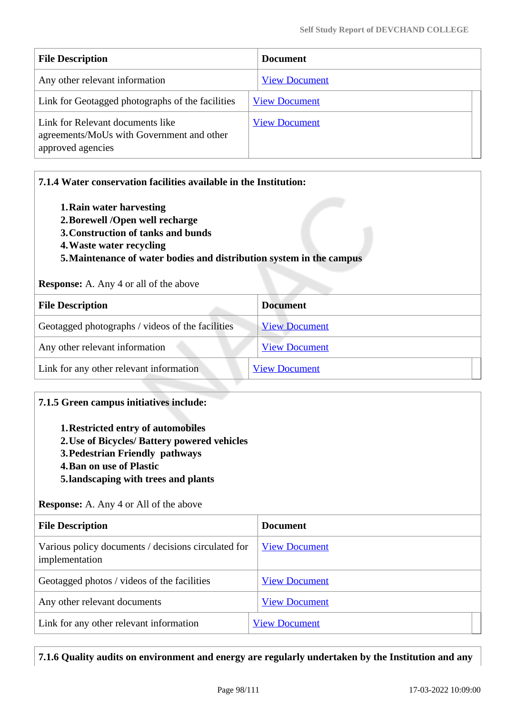| <b>File Description</b>                                                                            | <b>Document</b>      |
|----------------------------------------------------------------------------------------------------|----------------------|
| Any other relevant information                                                                     | <b>View Document</b> |
| Link for Geotagged photographs of the facilities                                                   | <b>View Document</b> |
| Link for Relevant documents like<br>agreements/MoUs with Government and other<br>approved agencies | <b>View Document</b> |

| 7.1.4 Water conservation facilities available in the Institution:<br>1. Rain water harvesting<br>2. Borewell /Open well recharge<br>3. Construction of tanks and bunds<br>4. Waste water recycling<br>5. Maintenance of water bodies and distribution system in the campus<br><b>Response:</b> A. Any 4 or all of the above |                      |
|-----------------------------------------------------------------------------------------------------------------------------------------------------------------------------------------------------------------------------------------------------------------------------------------------------------------------------|----------------------|
| <b>File Description</b>                                                                                                                                                                                                                                                                                                     | <b>Document</b>      |
| Geotagged photographs / videos of the facilities                                                                                                                                                                                                                                                                            | <b>View Document</b> |
| Any other relevant information                                                                                                                                                                                                                                                                                              | <b>View Document</b> |
| Link for any other relevant information                                                                                                                                                                                                                                                                                     | <b>View Document</b> |

# **7.1.5 Green campus initiatives include:**

- **1.Restricted entry of automobiles**
- **2.Use of Bicycles/ Battery powered vehicles**
- **3.Pedestrian Friendly pathways**
- **4.Ban on use of Plastic**
- **5.landscaping with trees and plants**

#### **Response:** A. Any 4 or All of the above

| <b>File Description</b>                                               | <b>Document</b>      |
|-----------------------------------------------------------------------|----------------------|
| Various policy documents / decisions circulated for<br>implementation | <b>View Document</b> |
| Geotagged photos / videos of the facilities                           | <b>View Document</b> |
| Any other relevant documents                                          | <b>View Document</b> |
| Link for any other relevant information                               | <b>View Document</b> |

# **7.1.6 Quality audits on environment and energy are regularly undertaken by the Institution and any**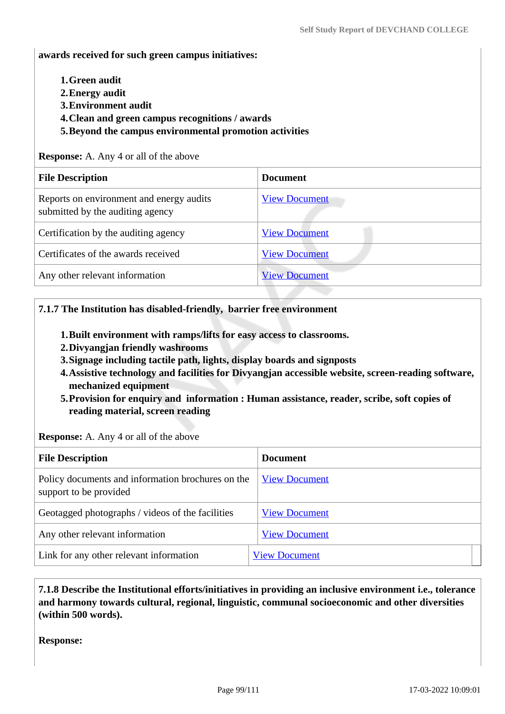**awards received for such green campus initiatives:**

- **1.Green audit**
- **2.Energy audit**
- **3.Environment audit**
- **4.Clean and green campus recognitions / awards**
- **5.Beyond the campus environmental promotion activities**

**Response:** A. Any 4 or all of the above

| <b>File Description</b>                                                      | <b>Document</b>      |
|------------------------------------------------------------------------------|----------------------|
| Reports on environment and energy audits<br>submitted by the auditing agency | <b>View Document</b> |
| Certification by the auditing agency                                         | <b>View Document</b> |
| Certificates of the awards received                                          | <b>View Document</b> |
| Any other relevant information                                               | <b>View Document</b> |

#### **7.1.7 The Institution has disabled-friendly, barrier free environment**

- **1.Built environment with ramps/lifts for easy access to classrooms.**
- **2.Divyangjan friendly washrooms**
- **3.Signage including tactile path, lights, display boards and signposts**
- **4.Assistive technology and facilities for Divyangjan accessible website, screen-reading software, mechanized equipment**
- **5.Provision for enquiry and information : Human assistance, reader, scribe, soft copies of reading material, screen reading**

**Response:** A. Any 4 or all of the above

| <b>File Description</b>                                                     | <b>Document</b>      |
|-----------------------------------------------------------------------------|----------------------|
| Policy documents and information brochures on the<br>support to be provided | <b>View Document</b> |
| Geotagged photographs / videos of the facilities                            | <b>View Document</b> |
| Any other relevant information                                              | <b>View Document</b> |
| Link for any other relevant information                                     | <b>View Document</b> |

 **7.1.8 Describe the Institutional efforts/initiatives in providing an inclusive environment i.e., tolerance and harmony towards cultural, regional, linguistic, communal socioeconomic and other diversities (within 500 words).**

**Response:**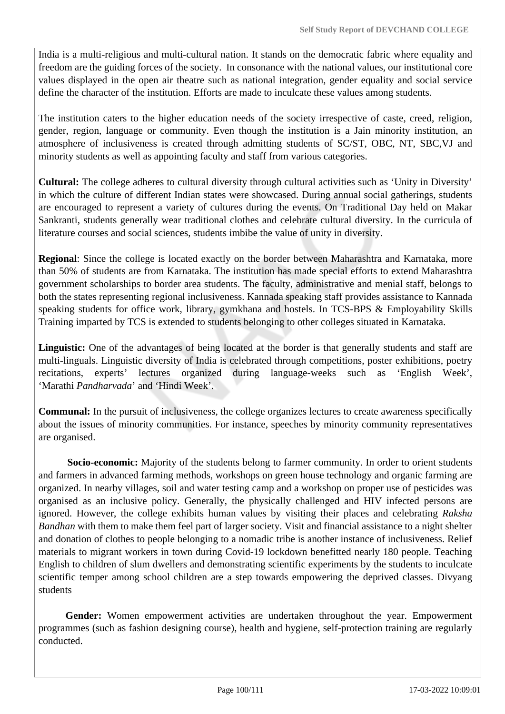India is a multi-religious and multi-cultural nation. It stands on the democratic fabric where equality and freedom are the guiding forces of the society. In consonance with the national values, our institutional core values displayed in the open air theatre such as national integration, gender equality and social service define the character of the institution. Efforts are made to inculcate these values among students.

The institution caters to the higher education needs of the society irrespective of caste, creed, religion, gender, region, language or community. Even though the institution is a Jain minority institution, an atmosphere of inclusiveness is created through admitting students of SC/ST, OBC, NT, SBC,VJ and minority students as well as appointing faculty and staff from various categories.

**Cultural:** The college adheres to cultural diversity through cultural activities such as 'Unity in Diversity' in which the culture of different Indian states were showcased. During annual social gatherings, students are encouraged to represent a variety of cultures during the events. On Traditional Day held on Makar Sankranti, students generally wear traditional clothes and celebrate cultural diversity. In the curricula of literature courses and social sciences, students imbibe the value of unity in diversity.

**Regional**: Since the college is located exactly on the border between Maharashtra and Karnataka, more than 50% of students are from Karnataka. The institution has made special efforts to extend Maharashtra government scholarships to border area students. The faculty, administrative and menial staff, belongs to both the states representing regional inclusiveness. Kannada speaking staff provides assistance to Kannada speaking students for office work, library, gymkhana and hostels. In TCS-BPS & Employability Skills Training imparted by TCS is extended to students belonging to other colleges situated in Karnataka.

Linguistic: One of the advantages of being located at the border is that generally students and staff are multi-linguals. Linguistic diversity of India is celebrated through competitions, poster exhibitions, poetry recitations, experts' lectures organized during language-weeks such as 'English Week', 'Marathi *Pandharvada*' and 'Hindi Week'.

**Communal:** In the pursuit of inclusiveness, the college organizes lectures to create awareness specifically about the issues of minority communities. For instance, speeches by minority community representatives are organised.

 **Socio-economic:** Majority of the students belong to farmer community. In order to orient students and farmers in advanced farming methods, workshops on green house technology and organic farming are organized. In nearby villages, soil and water testing camp and a workshop on proper use of pesticides was organised as an inclusive policy. Generally, the physically challenged and HIV infected persons are ignored. However, the college exhibits human values by visiting their places and celebrating *Raksha Bandhan* with them to make them feel part of larger society. Visit and financial assistance to a night shelter and donation of clothes to people belonging to a nomadic tribe is another instance of inclusiveness. Relief materials to migrant workers in town during Covid-19 lockdown benefitted nearly 180 people. Teaching English to children of slum dwellers and demonstrating scientific experiments by the students to inculcate scientific temper among school children are a step towards empowering the deprived classes. Divyang students

 **Gender:** Women empowerment activities are undertaken throughout the year. Empowerment programmes (such as fashion designing course), health and hygiene, self-protection training are regularly conducted.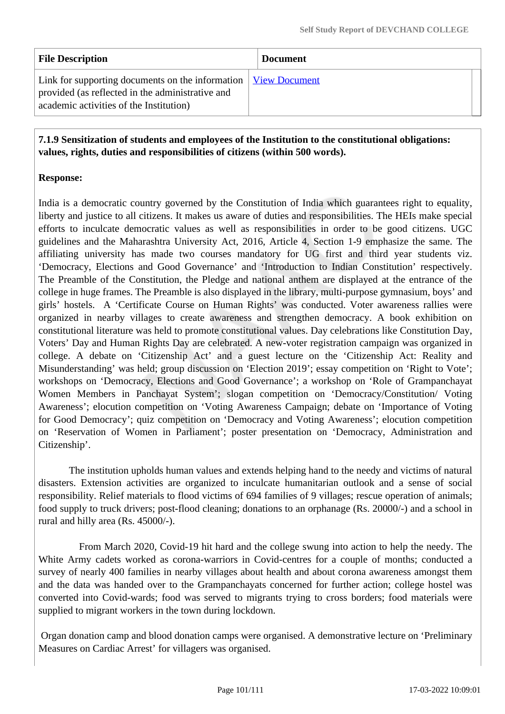| <b>File Description</b>                                                                                                                                                                                 | <b>Document</b> |
|---------------------------------------------------------------------------------------------------------------------------------------------------------------------------------------------------------|-----------------|
| Link for supporting documents on the information $\sqrt{\frac{V_{\text{icw}}}{V_{\text{icw}}}}$ Document<br>provided (as reflected in the administrative and<br>academic activities of the Institution) |                 |

 **7.1.9 Sensitization of students and employees of the Institution to the constitutional obligations: values, rights, duties and responsibilities of citizens (within 500 words).**

# **Response:**

India is a democratic country governed by the Constitution of India which guarantees right to equality, liberty and justice to all citizens. It makes us aware of duties and responsibilities. The HEIs make special efforts to inculcate democratic values as well as responsibilities in order to be good citizens. UGC guidelines and the Maharashtra University Act, 2016, Article 4, Section 1-9 emphasize the same. The affiliating university has made two courses mandatory for UG first and third year students viz. 'Democracy, Elections and Good Governance' and 'Introduction to Indian Constitution' respectively. The Preamble of the Constitution, the Pledge and national anthem are displayed at the entrance of the college in huge frames. The Preamble is also displayed in the library, multi-purpose gymnasium, boys' and girls' hostels. A 'Certificate Course on Human Rights' was conducted. Voter awareness rallies were organized in nearby villages to create awareness and strengthen democracy. A book exhibition on constitutional literature was held to promote constitutional values. Day celebrations like Constitution Day, Voters' Day and Human Rights Day are celebrated. A new-voter registration campaign was organized in college. A debate on 'Citizenship Act' and a guest lecture on the 'Citizenship Act: Reality and Misunderstanding' was held; group discussion on 'Election 2019'; essay competition on 'Right to Vote'; workshops on 'Democracy, Elections and Good Governance'; a workshop on 'Role of Grampanchayat Women Members in Panchayat System'; slogan competition on 'Democracy/Constitution/ Voting Awareness'; elocution competition on 'Voting Awareness Campaign; debate on 'Importance of Voting for Good Democracy'; quiz competition on 'Democracy and Voting Awareness'; elocution competition on 'Reservation of Women in Parliament'; poster presentation on 'Democracy, Administration and Citizenship'.

 The institution upholds human values and extends helping hand to the needy and victims of natural disasters. Extension activities are organized to inculcate humanitarian outlook and a sense of social responsibility. Relief materials to flood victims of 694 families of 9 villages; rescue operation of animals; food supply to truck drivers; post-flood cleaning; donations to an orphanage (Rs. 20000/-) and a school in rural and hilly area (Rs. 45000/-).

 From March 2020, Covid-19 hit hard and the college swung into action to help the needy. The White Army cadets worked as corona-warriors in Covid-centres for a couple of months; conducted a survey of nearly 400 families in nearby villages about health and about corona awareness amongst them and the data was handed over to the Grampanchayats concerned for further action; college hostel was converted into Covid-wards; food was served to migrants trying to cross borders; food materials were supplied to migrant workers in the town during lockdown.

 Organ donation camp and blood donation camps were organised. A demonstrative lecture on 'Preliminary Measures on Cardiac Arrest' for villagers was organised.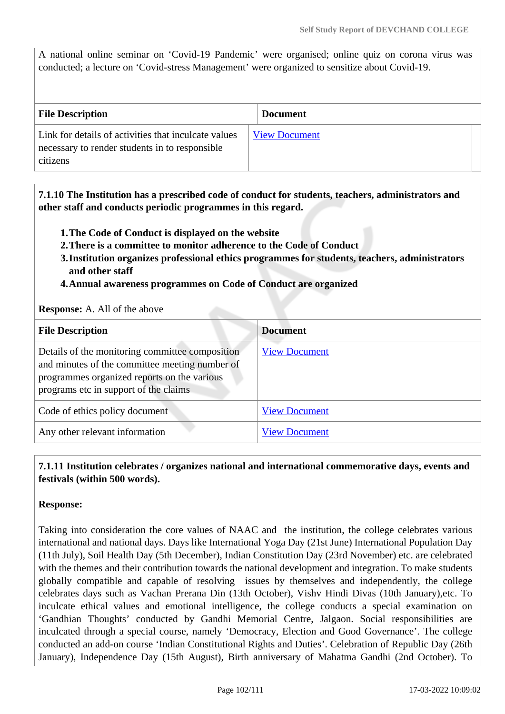A national online seminar on 'Covid-19 Pandemic' were organised; online quiz on corona virus was conducted; a lecture on 'Covid-stress Management' were organized to sensitize about Covid-19.

| <b>File Description</b>                                                                                            | <b>Document</b>      |
|--------------------------------------------------------------------------------------------------------------------|----------------------|
| Link for details of activities that inculcate values<br>necessary to render students in to responsible<br>citizens | <b>View Document</b> |

 **7.1.10 The Institution has a prescribed code of conduct for students, teachers, administrators and other staff and conducts periodic programmes in this regard.** 

- **1.The Code of Conduct is displayed on the website**
- **2.There is a committee to monitor adherence to the Code of Conduct**
- **3.Institution organizes professional ethics programmes for students, teachers, administrators and other staff**
- **4.Annual awareness programmes on Code of Conduct are organized**

**Response:** A. All of the above

| <b>File Description</b>                                                                                                                                                                   | <b>Document</b>      |
|-------------------------------------------------------------------------------------------------------------------------------------------------------------------------------------------|----------------------|
| Details of the monitoring committee composition<br>and minutes of the committee meeting number of<br>programmes organized reports on the various<br>programs etc in support of the claims | <b>View Document</b> |
| Code of ethics policy document                                                                                                                                                            | <b>View Document</b> |
| Any other relevant information                                                                                                                                                            | <b>View Document</b> |

# **7.1.11 Institution celebrates / organizes national and international commemorative days, events and festivals (within 500 words).**

### **Response:**

Taking into consideration the core values of NAAC and the institution, the college celebrates various international and national days. Days like International Yoga Day (21st June) International Population Day (11th July), Soil Health Day (5th December), Indian Constitution Day (23rd November) etc. are celebrated with the themes and their contribution towards the national development and integration. To make students globally compatible and capable of resolving issues by themselves and independently, the college celebrates days such as Vachan Prerana Din (13th October), Vishv Hindi Divas (10th January),etc. To inculcate ethical values and emotional intelligence, the college conducts a special examination on 'Gandhian Thoughts' conducted by Gandhi Memorial Centre, Jalgaon. Social responsibilities are inculcated through a special course, namely 'Democracy, Election and Good Governance'. The college conducted an add-on course 'Indian Constitutional Rights and Duties'. Celebration of Republic Day (26th January), Independence Day (15th August), Birth anniversary of Mahatma Gandhi (2nd October). To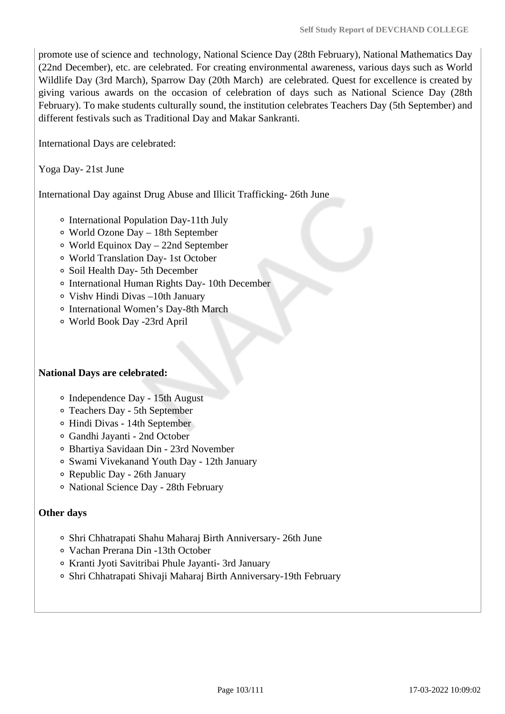promote use of science and technology, National Science Day (28th February), National Mathematics Day (22nd December), etc. are celebrated. For creating environmental awareness, various days such as World Wildlife Day (3rd March), Sparrow Day (20th March) are celebrated. Quest for excellence is created by giving various awards on the occasion of celebration of days such as National Science Day (28th February). To make students culturally sound, the institution celebrates Teachers Day (5th September) and different festivals such as Traditional Day and Makar Sankranti.

International Days are celebrated:

Yoga Day- 21st June

International Day against Drug Abuse and Illicit Trafficking- 26th June

- International Population Day-11th July
- World Ozone Day 18th September
- World Equinox Day 22nd September
- World Translation Day- 1st October
- Soil Health Day- 5th December
- International Human Rights Day- 10th December
- Vishv Hindi Divas –10th January
- International Women's Day-8th March
- World Book Day -23rd April

#### **National Days are celebrated:**

- Independence Day 15th August
- Teachers Day 5th September
- Hindi Divas 14th September
- Gandhi Jayanti 2nd October
- Bhartiya Savidaan Din 23rd November
- Swami Vivekanand Youth Day 12th January
- Republic Day 26th January
- National Science Day 28th February

#### **Other days**

- Shri Chhatrapati Shahu Maharaj Birth Anniversary- 26th June
- Vachan Prerana Din -13th October
- Kranti Jyoti Savitribai Phule Jayanti- 3rd January
- Shri Chhatrapati Shivaji Maharaj Birth Anniversary-19th February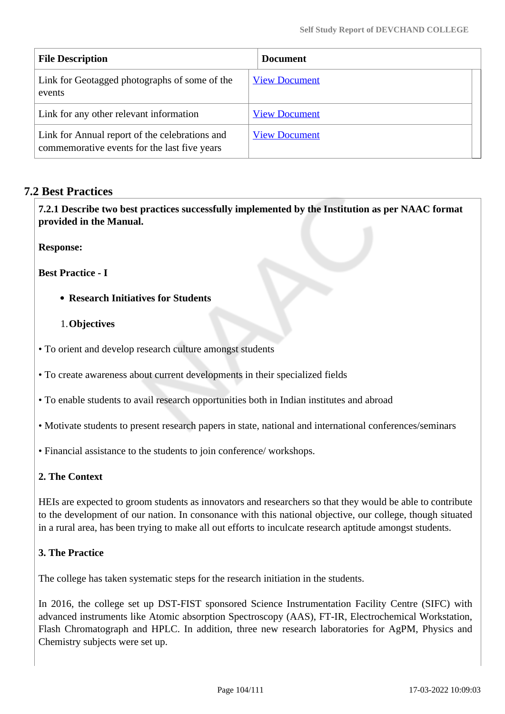| <b>File Description</b>                                                                        | <b>Document</b>      |
|------------------------------------------------------------------------------------------------|----------------------|
| Link for Geotagged photographs of some of the<br>events                                        | <b>View Document</b> |
| Link for any other relevant information                                                        | <b>View Document</b> |
| Link for Annual report of the celebrations and<br>commemorative events for the last five years | <b>View Document</b> |

# **7.2 Best Practices**

 **7.2.1 Describe two best practices successfully implemented by the Institution as per NAAC format provided in the Manual.**

**Response:** 

**Best Practice - I** 

#### **Research Initiatives for Students**

#### 1.**Objectives**

• To orient and develop research culture amongst students

• To create awareness about current developments in their specialized fields

• To enable students to avail research opportunities both in Indian institutes and abroad

• Motivate students to present research papers in state, national and international conferences/seminars

• Financial assistance to the students to join conference/ workshops.

### **2. The Context**

HEIs are expected to groom students as innovators and researchers so that they would be able to contribute to the development of our nation. In consonance with this national objective, our college, though situated in a rural area, has been trying to make all out efforts to inculcate research aptitude amongst students.

### **3. The Practice**

The college has taken systematic steps for the research initiation in the students.

In 2016, the college set up DST-FIST sponsored Science Instrumentation Facility Centre (SIFC) with advanced instruments like Atomic absorption Spectroscopy (AAS), FT-IR, Electrochemical Workstation, Flash Chromatograph and HPLC. In addition, three new research laboratories for AgPM, Physics and Chemistry subjects were set up.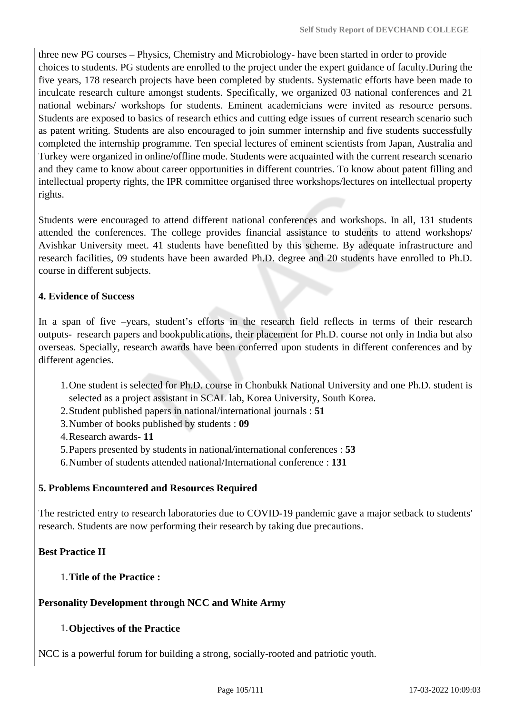three new PG courses – Physics, Chemistry and Microbiology- have been started in order to provide choices to students. PG students are enrolled to the project under the expert guidance of faculty.During the five years, 178 research projects have been completed by students. Systematic efforts have been made to inculcate research culture amongst students. Specifically, we organized 03 national conferences and 21 national webinars/ workshops for students. Eminent academicians were invited as resource persons. Students are exposed to basics of research ethics and cutting edge issues of current research scenario such as patent writing. Students are also encouraged to join summer internship and five students successfully completed the internship programme. Ten special lectures of eminent scientists from Japan, Australia and Turkey were organized in online/offline mode. Students were acquainted with the current research scenario and they came to know about career opportunities in different countries. To know about patent filling and intellectual property rights, the IPR committee organised three workshops/lectures on intellectual property rights.

Students were encouraged to attend different national conferences and workshops. In all, 131 students attended the conferences. The college provides financial assistance to students to attend workshops/ Avishkar University meet. 41 students have benefitted by this scheme. By adequate infrastructure and research facilities, 09 students have been awarded Ph.D. degree and 20 students have enrolled to Ph.D. course in different subjects.

# **4. Evidence of Success**

In a span of five –years, student's efforts in the research field reflects in terms of their research outputs- research papers and bookpublications, their placement for Ph.D. course not only in India but also overseas. Specially, research awards have been conferred upon students in different conferences and by different agencies.

- 1.One student is selected for Ph.D. course in Chonbukk National University and one Ph.D. student is selected as a project assistant in SCAL lab, Korea University, South Korea.
- 2.Student published papers in national/international journals : **51**
- 3.Number of books published by students : **09**
- 4.Research awards- **11**
- 5.Papers presented by students in national/international conferences : **53**
- 6.Number of students attended national/International conference : **131**

# **5. Problems Encountered and Resources Required**

The restricted entry to research laboratories due to COVID-19 pandemic gave a major setback to students' research. Students are now performing their research by taking due precautions.

# **Best Practice II**

# 1.**Title of the Practice :**

# **Personality Development through NCC and White Army**

# 1.**Objectives of the Practice**

NCC is a powerful forum for building a strong, socially-rooted and patriotic youth.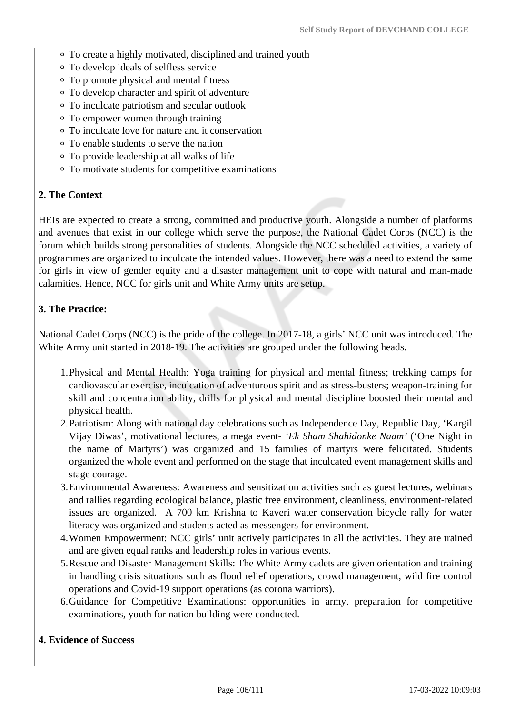- To create a highly motivated, disciplined and trained youth
- To develop ideals of selfless service
- To promote physical and mental fitness
- To develop character and spirit of adventure
- To inculcate patriotism and secular outlook
- To empower women through training
- To inculcate love for nature and it conservation
- To enable students to serve the nation
- To provide leadership at all walks of life
- To motivate students for competitive examinations

#### **2. The Context**

HEIs are expected to create a strong, committed and productive youth. Alongside a number of platforms and avenues that exist in our college which serve the purpose, the National Cadet Corps (NCC) is the forum which builds strong personalities of students. Alongside the NCC scheduled activities, a variety of programmes are organized to inculcate the intended values. However, there was a need to extend the same for girls in view of gender equity and a disaster management unit to cope with natural and man-made calamities. Hence, NCC for girls unit and White Army units are setup.

#### **3. The Practice:**

National Cadet Corps (NCC) is the pride of the college. In 2017-18, a girls' NCC unit was introduced. The White Army unit started in 2018-19. The activities are grouped under the following heads.

- 1.Physical and Mental Health: Yoga training for physical and mental fitness; trekking camps for cardiovascular exercise, inculcation of adventurous spirit and as stress-busters; weapon-training for skill and concentration ability, drills for physical and mental discipline boosted their mental and physical health.
- 2.Patriotism: Along with national day celebrations such as Independence Day, Republic Day, 'Kargil Vijay Diwas', motivational lectures, a mega event- *'Ek Sham Shahidonke Naam'* ('One Night in the name of Martyrs') was organized and 15 families of martyrs were felicitated. Students organized the whole event and performed on the stage that inculcated event management skills and stage courage.
- 3.Environmental Awareness: Awareness and sensitization activities such as guest lectures, webinars and rallies regarding ecological balance, plastic free environment, cleanliness, environment-related issues are organized. A 700 km Krishna to Kaveri water conservation bicycle rally for water literacy was organized and students acted as messengers for environment.
- 4.Women Empowerment: NCC girls' unit actively participates in all the activities. They are trained and are given equal ranks and leadership roles in various events.
- 5.Rescue and Disaster Management Skills: The White Army cadets are given orientation and training in handling crisis situations such as flood relief operations, crowd management, wild fire control operations and Covid-19 support operations (as corona warriors).
- 6.Guidance for Competitive Examinations: opportunities in army, preparation for competitive examinations, youth for nation building were conducted.

#### **4. Evidence of Success**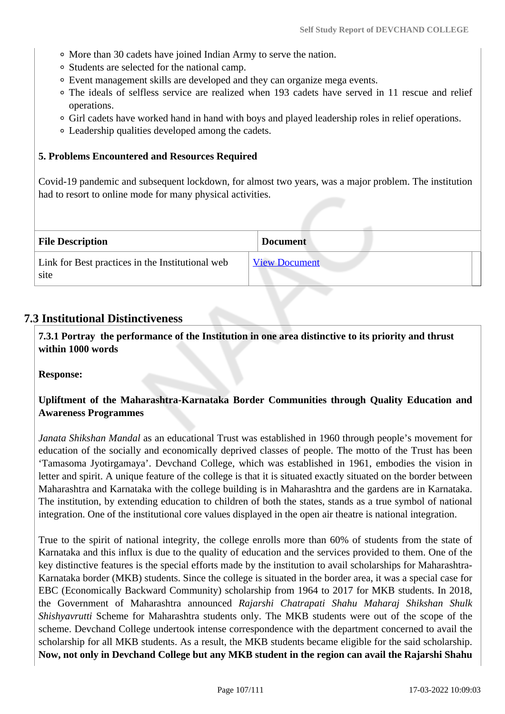- More than 30 cadets have joined Indian Army to serve the nation.
- Students are selected for the national camp.
- Event management skills are developed and they can organize mega events.
- The ideals of selfless service are realized when 193 cadets have served in 11 rescue and relief operations.
- Girl cadets have worked hand in hand with boys and played leadership roles in relief operations.
- Leadership qualities developed among the cadets.

#### **5. Problems Encountered and Resources Required**

Covid-19 pandemic and subsequent lockdown, for almost two years, was a major problem. The institution had to resort to online mode for many physical activities.

| <b>File Description</b>                                  | <b>Document</b>      |
|----------------------------------------------------------|----------------------|
| Link for Best practices in the Institutional web<br>site | <b>View Document</b> |

### **7.3 Institutional Distinctiveness**

 **7.3.1 Portray the performance of the Institution in one area distinctive to its priority and thrust within 1000 words**

**Response:** 

### **Upliftment of the Maharashtra-Karnataka Border Communities through Quality Education and Awareness Programmes**

*Janata Shikshan Mandal* as an educational Trust was established in 1960 through people's movement for education of the socially and economically deprived classes of people. The motto of the Trust has been 'Tamasoma Jyotirgamaya'. Devchand College, which was established in 1961, embodies the vision in letter and spirit. A unique feature of the college is that it is situated exactly situated on the border between Maharashtra and Karnataka with the college building is in Maharashtra and the gardens are in Karnataka. The institution, by extending education to children of both the states, stands as a true symbol of national integration. One of the institutional core values displayed in the open air theatre is national integration.

True to the spirit of national integrity, the college enrolls more than 60% of students from the state of Karnataka and this influx is due to the quality of education and the services provided to them. One of the key distinctive features is the special efforts made by the institution to avail scholarships for Maharashtra-Karnataka border (MKB) students. Since the college is situated in the border area, it was a special case for EBC (Economically Backward Community) scholarship from 1964 to 2017 for MKB students. In 2018, the Government of Maharashtra announced *Rajarshi Chatrapati Shahu Maharaj Shikshan Shulk Shishyavrutti* Scheme for Maharashtra students only. The MKB students were out of the scope of the scheme. Devchand College undertook intense correspondence with the department concerned to avail the scholarship for all MKB students. As a result, the MKB students became eligible for the said scholarship. **Now, not only in Devchand College but any MKB student in the region can avail the Rajarshi Shahu**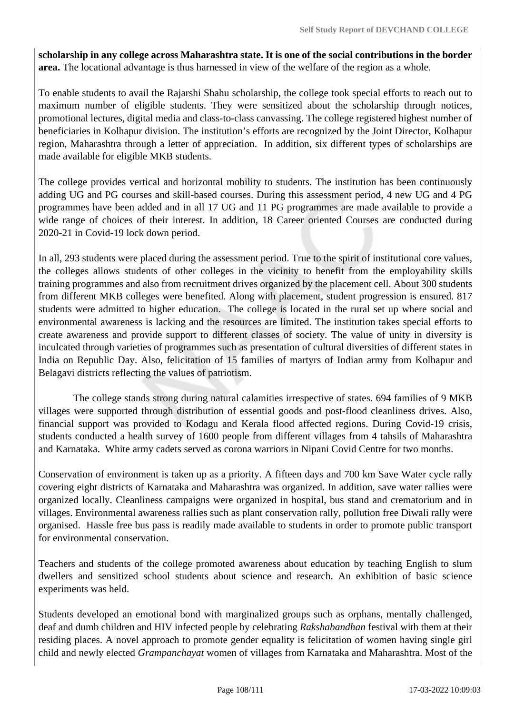**scholarship in any college across Maharashtra state. It is one of the social contributions in the border area.** The locational advantage is thus harnessed in view of the welfare of the region as a whole.

To enable students to avail the Rajarshi Shahu scholarship, the college took special efforts to reach out to maximum number of eligible students. They were sensitized about the scholarship through notices, promotional lectures, digital media and class-to-class canvassing. The college registered highest number of beneficiaries in Kolhapur division. The institution's efforts are recognized by the Joint Director, Kolhapur region, Maharashtra through a letter of appreciation. In addition, six different types of scholarships are made available for eligible MKB students.

The college provides vertical and horizontal mobility to students. The institution has been continuously adding UG and PG courses and skill-based courses. During this assessment period, 4 new UG and 4 PG programmes have been added and in all 17 UG and 11 PG programmes are made available to provide a wide range of choices of their interest. In addition, 18 Career oriented Courses are conducted during 2020-21 in Covid-19 lock down period.

In all, 293 students were placed during the assessment period. True to the spirit of institutional core values, the colleges allows students of other colleges in the vicinity to benefit from the employability skills training programmes and also from recruitment drives organized by the placement cell. About 300 students from different MKB colleges were benefited. Along with placement, student progression is ensured. 817 students were admitted to higher education. The college is located in the rural set up where social and environmental awareness is lacking and the resources are limited. The institution takes special efforts to create awareness and provide support to different classes of society. The value of unity in diversity is inculcated through varieties of programmes such as presentation of cultural diversities of different states in India on Republic Day. Also, felicitation of 15 families of martyrs of Indian army from Kolhapur and Belagavi districts reflecting the values of patriotism.

 The college stands strong during natural calamities irrespective of states. 694 families of 9 MKB villages were supported through distribution of essential goods and post-flood cleanliness drives. Also, financial support was provided to Kodagu and Kerala flood affected regions. During Covid-19 crisis, students conducted a health survey of 1600 people from different villages from 4 tahsils of Maharashtra and Karnataka. White army cadets served as corona warriors in Nipani Covid Centre for two months.

Conservation of environment is taken up as a priority. A fifteen days and 700 km Save Water cycle rally covering eight districts of Karnataka and Maharashtra was organized. In addition, save water rallies were organized locally. Cleanliness campaigns were organized in hospital, bus stand and crematorium and in villages. Environmental awareness rallies such as plant conservation rally, pollution free Diwali rally were organised. Hassle free bus pass is readily made available to students in order to promote public transport for environmental conservation.

Teachers and students of the college promoted awareness about education by teaching English to slum dwellers and sensitized school students about science and research. An exhibition of basic science experiments was held.

Students developed an emotional bond with marginalized groups such as orphans, mentally challenged, deaf and dumb children and HIV infected people by celebrating *Rakshabandhan* festival with them at their residing places. A novel approach to promote gender equality is felicitation of women having single girl child and newly elected *Grampanchayat* women of villages from Karnataka and Maharashtra. Most of the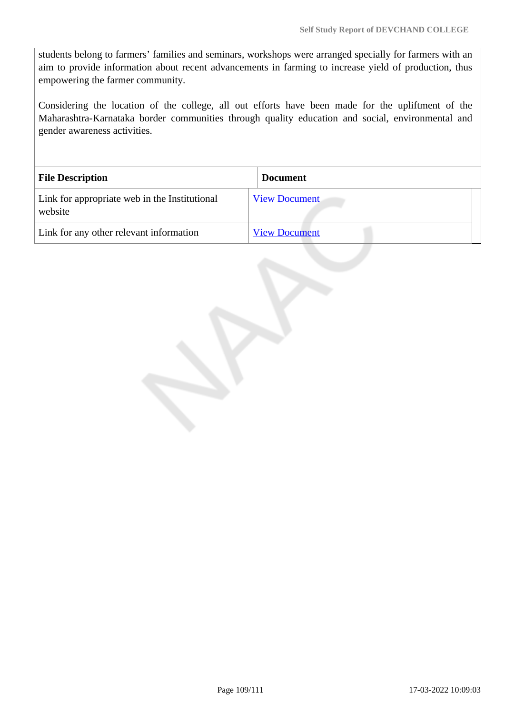students belong to farmers' families and seminars, workshops were arranged specially for farmers with an aim to provide information about recent advancements in farming to increase yield of production, thus empowering the farmer community.

Considering the location of the college, all out efforts have been made for the upliftment of the Maharashtra-Karnataka border communities through quality education and social, environmental and gender awareness activities.

| <b>File Description</b>                                  | <b>Document</b>      |
|----------------------------------------------------------|----------------------|
| Link for appropriate web in the Institutional<br>website | <b>View Document</b> |
| Link for any other relevant information                  | <b>View Document</b> |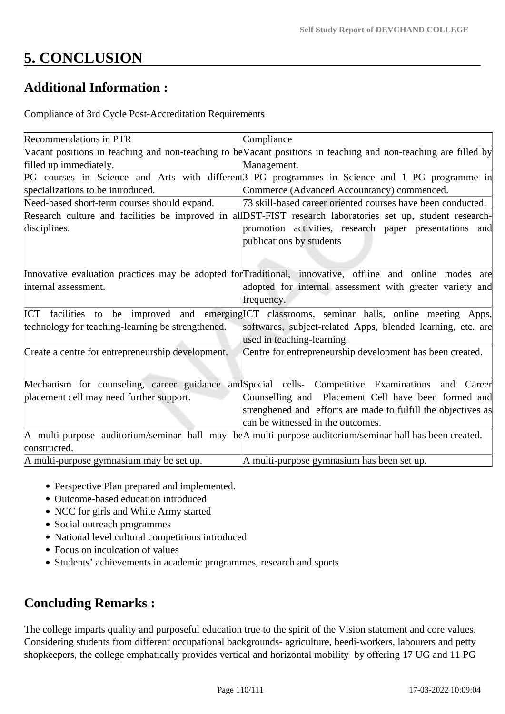## **5. CONCLUSION**

## **Additional Information :**

Compliance of 3rd Cycle Post-Accreditation Requirements

| Recommendations in PTR                            | Compliance                                                                                                      |
|---------------------------------------------------|-----------------------------------------------------------------------------------------------------------------|
|                                                   | Vacant positions in teaching and non-teaching to be Vacant positions in teaching and non-teaching are filled by |
| filled up immediately.                            | Management.                                                                                                     |
|                                                   | PG courses in Science and Arts with different <sup>3</sup> PG programmes in Science and 1 PG programme in       |
| specializations to be introduced.                 | Commerce (Advanced Accountancy) commenced.                                                                      |
| Need-based short-term courses should expand.      | 73 skill-based career oriented courses have been conducted.                                                     |
|                                                   | Research culture and facilities be improved in all DST-FIST research laboratories set up, student research-     |
| disciplines.                                      | promotion activities, research paper presentations and                                                          |
|                                                   | publications by students                                                                                        |
|                                                   |                                                                                                                 |
|                                                   |                                                                                                                 |
|                                                   | Innovative evaluation practices may be adopted for Traditional, innovative, offline and online modes are        |
| internal assessment.                              | adopted for internal assessment with greater variety and                                                        |
|                                                   | frequency.                                                                                                      |
| ICT                                               | facilities to be improved and emerging CT classrooms, seminar halls, online meeting Apps,                       |
| technology for teaching-learning be strengthened. | softwares, subject-related Apps, blended learning, etc. are                                                     |
|                                                   | used in teaching-learning.                                                                                      |
| Create a centre for entrepreneurship development. | Centre for entrepreneurship development has been created.                                                       |
|                                                   |                                                                                                                 |
|                                                   | Mechanism for counseling, career guidance and Special cells- Competitive Examinations and Career                |
| placement cell may need further support.          | Counselling and Placement Cell have been formed and                                                             |
|                                                   | strenghened and efforts are made to fulfill the objectives as                                                   |
|                                                   | can be witnessed in the outcomes.                                                                               |
|                                                   |                                                                                                                 |
|                                                   | A multi-purpose auditorium/seminar hall may beA multi-purpose auditorium/seminar hall has been created.         |
| constructed.                                      |                                                                                                                 |
| A multi-purpose gymnasium may be set up.          | A multi-purpose gymnasium has been set up.                                                                      |

- Perspective Plan prepared and implemented.
- Outcome-based education introduced
- NCC for girls and White Army started
- Social outreach programmes
- National level cultural competitions introduced
- Focus on inculcation of values
- Students' achievements in academic programmes, research and sports

## **Concluding Remarks :**

The college imparts quality and purposeful education true to the spirit of the Vision statement and core values. Considering students from different occupational backgrounds- agriculture, beedi-workers, labourers and petty shopkeepers, the college emphatically provides vertical and horizontal mobility by offering 17 UG and 11 PG